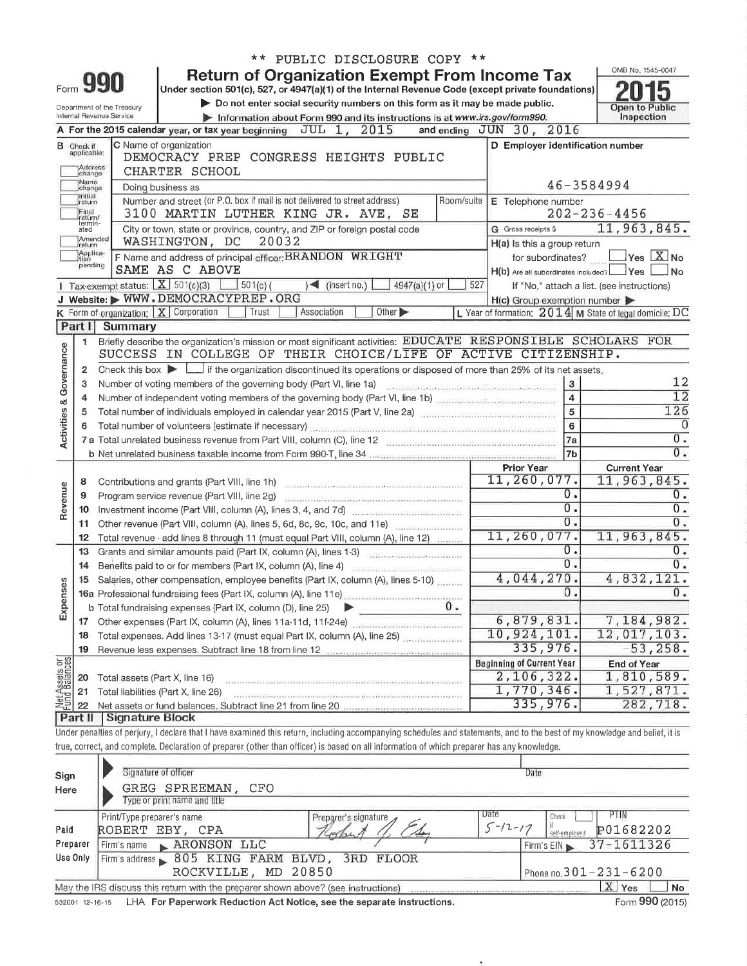|                                    |                                  |                                                         |                                                                                                                                                                                                                                     |       |                         | ** PUBLIC DISCLOSURE COPY **                                                                                       |    |     |                                                     |                   |                                                           |  |  |
|------------------------------------|----------------------------------|---------------------------------------------------------|-------------------------------------------------------------------------------------------------------------------------------------------------------------------------------------------------------------------------------------|-------|-------------------------|--------------------------------------------------------------------------------------------------------------------|----|-----|-----------------------------------------------------|-------------------|-----------------------------------------------------------|--|--|
|                                    |                                  |                                                         | <b>Return of Organization Exempt From Income Tax</b>                                                                                                                                                                                |       |                         |                                                                                                                    |    |     |                                                     |                   | OMB No. 1545-0047                                         |  |  |
|                                    | Form yy                          |                                                         | Under section 501(c), 527, or 4947(a)(1) of the Internal Revenue Code (except private foundations)                                                                                                                                  |       |                         |                                                                                                                    |    |     |                                                     |                   |                                                           |  |  |
|                                    |                                  | Department of the Treasury<br>Internal Revenue Service  | Do not enter social security numbers on this form as it may be made public.                                                                                                                                                         |       |                         |                                                                                                                    |    |     |                                                     |                   | Open to Public                                            |  |  |
|                                    |                                  |                                                         | Information about Form 990 and its instructions is at www.irs.gov/form990.<br>A For the 2015 calendar year, or tax year beginning $JUL$ 1, $2015$                                                                                   |       |                         |                                                                                                                    |    |     | and ending JUN 30, 2016                             |                   | Inspection                                                |  |  |
|                                    |                                  |                                                         | C Name of organization                                                                                                                                                                                                              |       |                         |                                                                                                                    |    |     | D Employer identification number                    |                   |                                                           |  |  |
|                                    | <b>B</b> Check if<br>applicable: |                                                         | DEMOCRACY PREP CONGRESS HEIGHTS PUBLIC                                                                                                                                                                                              |       |                         |                                                                                                                    |    |     |                                                     |                   |                                                           |  |  |
|                                    | Address<br>change                |                                                         | CHARTER SCHOOL                                                                                                                                                                                                                      |       |                         |                                                                                                                    |    |     |                                                     |                   |                                                           |  |  |
|                                    | Name<br>change                   |                                                         | Doing business as                                                                                                                                                                                                                   |       |                         |                                                                                                                    |    |     |                                                     | 46-3584994        |                                                           |  |  |
|                                    | Initial<br>]return               |                                                         | Number and street (or P.O. box if mail is not delivered to street address)                                                                                                                                                          |       |                         | E Telephone number                                                                                                 |    |     |                                                     |                   |                                                           |  |  |
|                                    | Final<br>return/                 |                                                         | 3100 MARTIN LUTHER KING JR. AVE, SE                                                                                                                                                                                                 |       |                         |                                                                                                                    |    |     |                                                     |                   | $202 - 236 - 4456$                                        |  |  |
|                                    | termin-<br>ated                  |                                                         | City or town, state or province, country, and ZIP or foreign postal code                                                                                                                                                            |       |                         |                                                                                                                    |    |     | G Gross receipts \$                                 |                   | 11,963,845.                                               |  |  |
|                                    | Amended<br>return                |                                                         | WASHINGTON, DC                                                                                                                                                                                                                      | 20032 |                         |                                                                                                                    |    |     | H(a) Is this a group return                         |                   |                                                           |  |  |
|                                    | Applica-<br>Ition<br>pending     |                                                         | F Name and address of principal officer: BRANDON WRIGHT                                                                                                                                                                             |       |                         |                                                                                                                    |    |     |                                                     | for subordinates? | $\sqrt{}$ Yes $\boxed{\text{X}}$ No                       |  |  |
|                                    |                                  |                                                         | SAME AS C ABOVE                                                                                                                                                                                                                     |       |                         |                                                                                                                    |    |     |                                                     |                   | H(b) Are all subordinates included? Yes<br>⊥No            |  |  |
|                                    |                                  |                                                         | Tax-exempt status: $X \mid 501(c)(3)$<br>$\pm$ 501(c) (                                                                                                                                                                             |       | $\sqrt{2}$ (insert no.) | 4947(a)(1) or                                                                                                      |    | 527 |                                                     |                   | If "No," attach a list. (see instructions)                |  |  |
|                                    |                                  |                                                         | J Website: WWW.DEMOCRACYPREP.ORG<br>K Form of organization: $X$ Corporation<br>Trust                                                                                                                                                |       | Association             | Other D                                                                                                            |    |     | $H(c)$ Group exemption number $\blacktriangleright$ |                   |                                                           |  |  |
|                                    | Part I                           | Summary                                                 |                                                                                                                                                                                                                                     |       |                         |                                                                                                                    |    |     |                                                     |                   | L Year of formation: $2014$ M State of legal domicile: DC |  |  |
|                                    | 1.                               |                                                         | Briefly describe the organization's mission or most significant activities: EDUCATE RESPONSIBLE SCHOLARS FOR                                                                                                                        |       |                         |                                                                                                                    |    |     |                                                     |                   |                                                           |  |  |
|                                    |                                  |                                                         | SUCCESS IN COLLEGE OF THEIR CHOICE/LIFE OF ACTIVE CITIZENSHIP.                                                                                                                                                                      |       |                         |                                                                                                                    |    |     |                                                     |                   |                                                           |  |  |
|                                    | 2                                |                                                         | Check this box $\blacktriangleright$ if the organization discontinued its operations or disposed of more than 25% of its net assets.                                                                                                |       |                         |                                                                                                                    |    |     |                                                     |                   |                                                           |  |  |
|                                    | 3                                |                                                         | Number of voting members of the governing body (Part VI, line 1a)                                                                                                                                                                   |       |                         |                                                                                                                    |    |     |                                                     | $\mathbf{3}$      | 12                                                        |  |  |
|                                    | 4                                |                                                         | Number of independent voting members of the governing body (Part VI, line 1b)                                                                                                                                                       |       |                         |                                                                                                                    |    |     |                                                     | $\overline{4}$    | $\overline{12}$                                           |  |  |
|                                    | 5                                |                                                         | Total number of individuals employed in calendar year 2015 (Part V, line 2a) manufactured in the capacity of                                                                                                                        |       |                         |                                                                                                                    |    |     |                                                     | $\overline{5}$    | 126                                                       |  |  |
|                                    | 6                                |                                                         | Total number of volunteers (estimate if necessary) material content content of the content of the content of the content of the content of the content of the content of the content of the content of the content of the cont      |       |                         |                                                                                                                    |    |     |                                                     | 6                 | $\Omega$                                                  |  |  |
| <b>Activities &amp; Governance</b> |                                  |                                                         | 7 a Total unrelated business revenue from Part VIII, column (C), line 12 <b>Entity of the Column C</b> intervention contains a state of the C and the C and the C and the C and the C and the C and the C and the C and the C and t |       |                         |                                                                                                                    |    |     |                                                     | 7a                | 0.                                                        |  |  |
|                                    |                                  |                                                         |                                                                                                                                                                                                                                     |       |                         |                                                                                                                    |    |     |                                                     | 7b                | 0.                                                        |  |  |
|                                    |                                  | <b>Current Year</b><br><b>Prior Year</b><br>11,260,077. |                                                                                                                                                                                                                                     |       |                         |                                                                                                                    |    |     |                                                     |                   |                                                           |  |  |
|                                    | 8                                |                                                         | Contributions and grants (Part VIII, line 1h)                                                                                                                                                                                       |       |                         |                                                                                                                    |    |     |                                                     |                   | 11,963,845.                                               |  |  |
| Revenue                            | 9                                |                                                         | Program service revenue (Part VIII, line 2g)                                                                                                                                                                                        |       |                         |                                                                                                                    |    |     |                                                     | 0.<br>Ο.          | 0.<br>0.                                                  |  |  |
|                                    | 10                               |                                                         | Investment income (Part VIII, column (A), lines 3, 4, and 7d)<br>Other revenue (Part VIII, column (A), lines 5, 6d, 8c, 9c, 10c, and 11e)                                                                                           |       |                         |                                                                                                                    |    |     |                                                     | $0$ .             | 0.                                                        |  |  |
|                                    | 11<br>12.                        |                                                         | Total revenue - add lines 8 through 11 (must equal Part VIII, column (A), line 12)                                                                                                                                                  |       |                         |                                                                                                                    |    |     | 11,260,077.                                         |                   | 11,963,845.                                               |  |  |
|                                    | 13                               |                                                         | Grants and similar amounts paid (Part IX, column (A), lines 1-3)                                                                                                                                                                    |       |                         |                                                                                                                    |    |     |                                                     | Ο.                | 0.                                                        |  |  |
|                                    | 14                               |                                                         | Benefits paid to or for members (Part IX, column (A), line 4) manuscript contains a control of                                                                                                                                      |       |                         |                                                                                                                    |    |     |                                                     | $\overline{0}$ .  | $0$ .                                                     |  |  |
|                                    | 15                               |                                                         | Salaries, other compensation, employee benefits (Part IX, column (A), lines 5-10)                                                                                                                                                   |       |                         |                                                                                                                    |    |     | 4,044,270.                                          |                   | 4,832,121.                                                |  |  |
| ses                                |                                  |                                                         | 16a Professional fundraising fees (Part IX, column (A), line 11e)                                                                                                                                                                   |       |                         |                                                                                                                    |    |     |                                                     | 0.                | 0.                                                        |  |  |
| Expens                             |                                  |                                                         | <b>b</b> Total fundraising expenses (Part IX, column (D), line 25)                                                                                                                                                                  |       |                         |                                                                                                                    | 0. |     |                                                     |                   |                                                           |  |  |
|                                    | 17                               |                                                         | Other expenses (Part IX, column (A), lines 11a-11d, 11f-24e)                                                                                                                                                                        |       |                         |                                                                                                                    |    |     | 6, 879, 831.                                        |                   | 7,184,982.                                                |  |  |
|                                    | 18                               |                                                         | Total expenses. Add lines 13-17 (must equal Part IX, column (A), line 25) [11] Total expenses. Add lines 13-17                                                                                                                      |       |                         |                                                                                                                    |    |     | 10,924,101.                                         |                   | 12,017,103.                                               |  |  |
|                                    | 19                               |                                                         | Revenue less expenses. Subtract line 18 from line 12 manuscriptures expenses.                                                                                                                                                       |       |                         |                                                                                                                    |    |     | 335,976.                                            |                   | $-53, 258.$                                               |  |  |
| Net Assets or                      |                                  |                                                         |                                                                                                                                                                                                                                     |       |                         |                                                                                                                    |    |     | <b>Beginning of Current Year</b>                    |                   | <b>End of Year</b>                                        |  |  |
|                                    | 20                               | Total assets (Part X, line 16)                          |                                                                                                                                                                                                                                     |       |                         |                                                                                                                    |    |     | 2,106,322.<br>1,770,346.                            |                   | 1,810,589.<br>1,527,871.                                  |  |  |
|                                    | 21                               |                                                         | Total liabilities (Part X, line 26)                                                                                                                                                                                                 |       |                         | .<br>Najdržava s predstava v sve sveto s predstava s svedstava s stava streda s predstava s sveto streda adrestava |    |     | 335,976.                                            |                   | 282,718.                                                  |  |  |
|                                    | 22<br>Part II                    | <b>Signature Block</b>                                  |                                                                                                                                                                                                                                     |       |                         |                                                                                                                    |    |     |                                                     |                   |                                                           |  |  |
|                                    |                                  |                                                         | Under penalties of perjury, I declare that I have examined this return, including accompanying schedules and statements, and to the best of my knowledge and belief, it is                                                          |       |                         |                                                                                                                    |    |     |                                                     |                   |                                                           |  |  |
|                                    |                                  |                                                         | true, correct, and complete. Declaration of preparer (other than officer) is based on all information of which preparer has any knowledge.                                                                                          |       |                         |                                                                                                                    |    |     |                                                     |                   |                                                           |  |  |
|                                    |                                  |                                                         |                                                                                                                                                                                                                                     |       |                         |                                                                                                                    |    |     |                                                     |                   |                                                           |  |  |
| Sign                               |                                  | Signature of officer                                    |                                                                                                                                                                                                                                     |       |                         |                                                                                                                    |    |     | Date                                                |                   |                                                           |  |  |
| Here                               |                                  |                                                         | GREG SPREEMAN,<br>CFO                                                                                                                                                                                                               |       |                         |                                                                                                                    |    |     |                                                     |                   |                                                           |  |  |
|                                    |                                  |                                                         | Type or print name and title                                                                                                                                                                                                        |       |                         |                                                                                                                    |    |     |                                                     |                   |                                                           |  |  |
|                                    |                                  | Print/Type preparer's name                              |                                                                                                                                                                                                                                     |       | Preparer's signature    |                                                                                                                    |    |     | Date                                                | Check             | PTIN                                                      |  |  |

|          | Frinv Lype preparer's name                                                        | <b>Preparer's signature</b> | <u>Lac</u><br><b>GUECK</b><br><b> .</b>     |
|----------|-----------------------------------------------------------------------------------|-----------------------------|---------------------------------------------|
| Paid     | ROBERT EBY, CPA                                                                   |                             | $5 - 12 - 17$<br>P01682202<br>self-employed |
| Preparer | Firm's name RRONSON LLC                                                           |                             | Firm's EIN $\geq 37 - 1611326$              |
| Use Only | Firm's address 805 KING FARM BLVD, 3RD FLOOR                                      |                             |                                             |
|          | ROCKVILLE, MD 20850                                                               |                             | Phone no. $301 - 231 - 6200$                |
|          | May the IRS discuss this return with the preparer shown above? (see instructions) |                             | Yes<br><b>No</b>                            |
|          |                                                                                   |                             |                                             |

I

532001 12-16-15 LHA **For Paperwork Reduction Act Notice, see the separate instructions.** Form 990 (2015)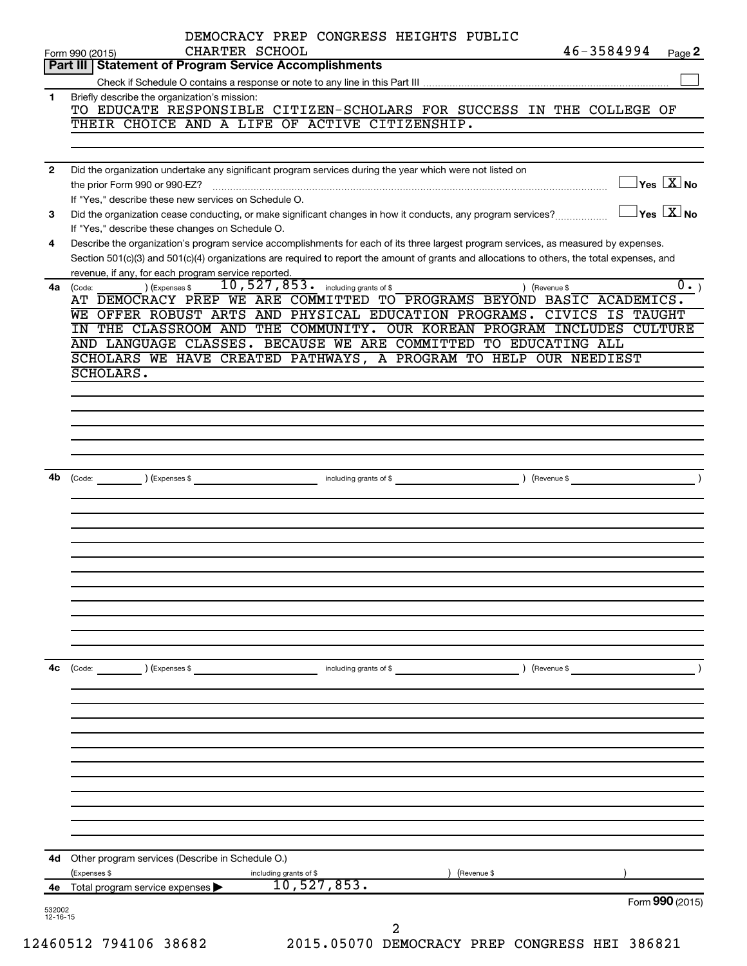|              | 46-3584994<br>CHARTER SCHOOL<br>Form 990 (2015)<br>Page 2<br>Part III   Statement of Program Service Accomplishments                                                                                                                                          |
|--------------|---------------------------------------------------------------------------------------------------------------------------------------------------------------------------------------------------------------------------------------------------------------|
|              |                                                                                                                                                                                                                                                               |
| $\mathbf{1}$ | Briefly describe the organization's mission:                                                                                                                                                                                                                  |
|              | TO EDUCATE RESPONSIBLE CITIZEN-SCHOLARS FOR SUCCESS IN THE COLLEGE OF                                                                                                                                                                                         |
|              | THEIR CHOICE AND A LIFE OF ACTIVE CITIZENSHIP.                                                                                                                                                                                                                |
|              |                                                                                                                                                                                                                                                               |
|              |                                                                                                                                                                                                                                                               |
| $\mathbf{2}$ | Did the organization undertake any significant program services during the year which were not listed on<br>$\overline{\ }$ Yes $\overline{\rm \ }X$ No                                                                                                       |
|              | the prior Form 990 or 990-EZ?                                                                                                                                                                                                                                 |
|              | If "Yes," describe these new services on Schedule O.<br>$\exists$ Yes $\boxed{\text{X}}$ No                                                                                                                                                                   |
| 3            | Did the organization cease conducting, or make significant changes in how it conducts, any program services?                                                                                                                                                  |
|              | If "Yes," describe these changes on Schedule O.                                                                                                                                                                                                               |
| 4            | Describe the organization's program service accomplishments for each of its three largest program services, as measured by expenses.                                                                                                                          |
|              | Section 501(c)(3) and 501(c)(4) organizations are required to report the amount of grants and allocations to others, the total expenses, and                                                                                                                  |
|              | revenue, if any, for each program service reported.                                                                                                                                                                                                           |
| 4a           | $\overline{10}$ , $\overline{527}$ , $\overline{853}$ . including grants of \$<br>) (Expenses \$<br>) (Revenue \$<br>(Code:<br>AT DEMOCRACY PREP WE ARE COMMITTED TO PROGRAMS BEYOND BASIC ACADEMICS.                                                         |
|              | WE OFFER ROBUST ARTS AND PHYSICAL EDUCATION PROGRAMS.<br><b>CIVICS IS TAUGHT</b>                                                                                                                                                                              |
|              | IN THE CLASSROOM AND THE COMMUNITY. OUR KOREAN PROGRAM INCLUDES CULTURE                                                                                                                                                                                       |
|              | AND LANGUAGE CLASSES. BECAUSE WE ARE COMMITTED TO EDUCATING ALL                                                                                                                                                                                               |
|              | SCHOLARS WE HAVE CREATED PATHWAYS, A PROGRAM TO HELP OUR NEEDIEST                                                                                                                                                                                             |
|              | SCHOLARS.                                                                                                                                                                                                                                                     |
|              |                                                                                                                                                                                                                                                               |
|              |                                                                                                                                                                                                                                                               |
|              |                                                                                                                                                                                                                                                               |
|              |                                                                                                                                                                                                                                                               |
|              |                                                                                                                                                                                                                                                               |
|              |                                                                                                                                                                                                                                                               |
|              |                                                                                                                                                                                                                                                               |
| 4b           | Devenue \$ 1.1 including grants of \$ 1.1 million contact the set of \$ 2.1 million contact the set of \$ 2.1 million contact the set of \$ 2.1 million contact the set of \$ 2.1 million contact the set of the set of the set of t<br>(Code: ) (Expenses \$ |
|              |                                                                                                                                                                                                                                                               |
|              |                                                                                                                                                                                                                                                               |
|              |                                                                                                                                                                                                                                                               |
|              |                                                                                                                                                                                                                                                               |
|              |                                                                                                                                                                                                                                                               |
|              |                                                                                                                                                                                                                                                               |
|              |                                                                                                                                                                                                                                                               |
|              |                                                                                                                                                                                                                                                               |
|              |                                                                                                                                                                                                                                                               |
|              |                                                                                                                                                                                                                                                               |
|              |                                                                                                                                                                                                                                                               |
|              |                                                                                                                                                                                                                                                               |
| 4с           | (Code:<br>) (Expenses \$<br>including grants of \$<br>) (Revenue \$                                                                                                                                                                                           |
|              |                                                                                                                                                                                                                                                               |
|              |                                                                                                                                                                                                                                                               |
|              |                                                                                                                                                                                                                                                               |
|              |                                                                                                                                                                                                                                                               |
|              |                                                                                                                                                                                                                                                               |
|              |                                                                                                                                                                                                                                                               |
|              |                                                                                                                                                                                                                                                               |
|              |                                                                                                                                                                                                                                                               |
|              |                                                                                                                                                                                                                                                               |
|              |                                                                                                                                                                                                                                                               |
|              |                                                                                                                                                                                                                                                               |
|              |                                                                                                                                                                                                                                                               |
|              | 4d Other program services (Describe in Schedule O.)                                                                                                                                                                                                           |
|              | (Expenses \$<br>(Revenue \$<br>including grants of \$                                                                                                                                                                                                         |
|              |                                                                                                                                                                                                                                                               |
|              | 10, 527, 853.<br>4e Total program service expenses                                                                                                                                                                                                            |
| 532002       | Form 990 (2015)                                                                                                                                                                                                                                               |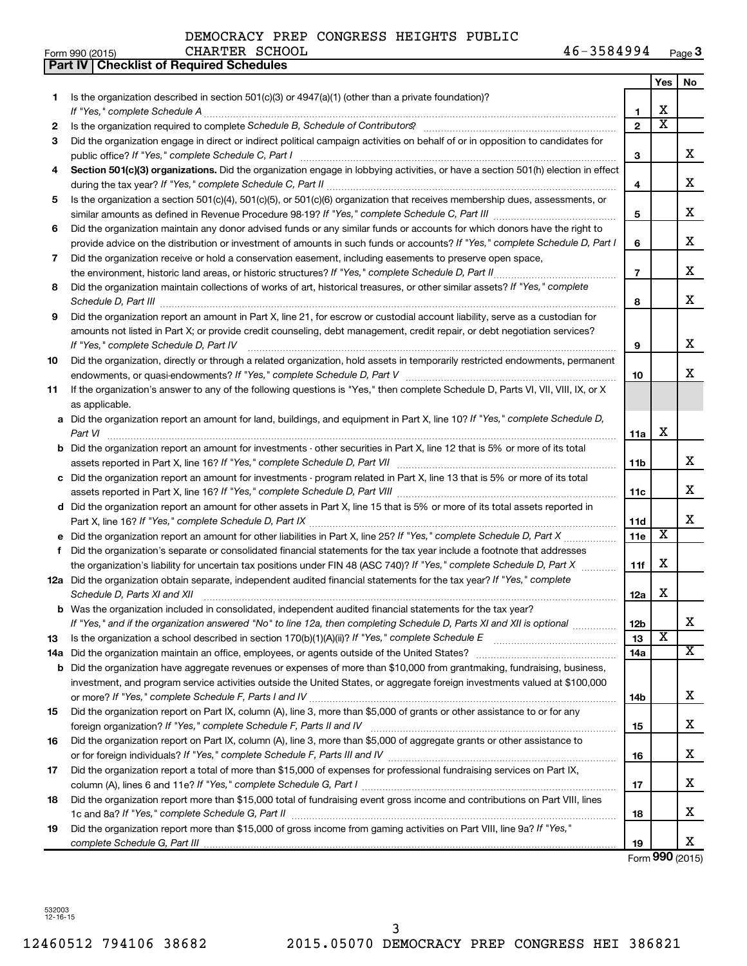|     | <b>Part IV   Checklist of Required Schedules</b>                                                                                                                                                                                    |                |                         |                       |
|-----|-------------------------------------------------------------------------------------------------------------------------------------------------------------------------------------------------------------------------------------|----------------|-------------------------|-----------------------|
|     |                                                                                                                                                                                                                                     |                | <b>Yes</b>              | No                    |
| 1   | Is the organization described in section 501(c)(3) or 4947(a)(1) (other than a private foundation)?                                                                                                                                 |                |                         |                       |
|     |                                                                                                                                                                                                                                     | 1              | X                       |                       |
| 2   | Is the organization required to complete Schedule B, Schedule of Contributors? [11] the organization required to complete Schedule B, Schedule of Contributors?                                                                     | $\overline{2}$ | $\overline{\mathbf{X}}$ |                       |
| З   | Did the organization engage in direct or indirect political campaign activities on behalf of or in opposition to candidates for                                                                                                     |                |                         |                       |
|     |                                                                                                                                                                                                                                     | 3              |                         | x                     |
| 4   | Section 501(c)(3) organizations. Did the organization engage in lobbying activities, or have a section 501(h) election in effect                                                                                                    |                |                         |                       |
|     |                                                                                                                                                                                                                                     |                |                         | x                     |
|     |                                                                                                                                                                                                                                     | 4              |                         |                       |
| 5   | Is the organization a section 501(c)(4), 501(c)(5), or 501(c)(6) organization that receives membership dues, assessments, or                                                                                                        |                |                         | x                     |
|     |                                                                                                                                                                                                                                     | 5              |                         |                       |
| 6   | Did the organization maintain any donor advised funds or any similar funds or accounts for which donors have the right to                                                                                                           |                |                         |                       |
|     | provide advice on the distribution or investment of amounts in such funds or accounts? If "Yes," complete Schedule D, Part I                                                                                                        | 6              |                         | x                     |
| 7   | Did the organization receive or hold a conservation easement, including easements to preserve open space,                                                                                                                           |                |                         |                       |
|     |                                                                                                                                                                                                                                     | $\overline{7}$ |                         | x                     |
| 8   | Did the organization maintain collections of works of art, historical treasures, or other similar assets? If "Yes," complete                                                                                                        |                |                         |                       |
|     | Schedule D, Part III <b>Marting Community</b> Construction of the Construction of the Construction of the Construction of the Construction of the Construction of the Construction of the Construction of the Construction of the C | 8              |                         | x                     |
| 9   | Did the organization report an amount in Part X, line 21, for escrow or custodial account liability, serve as a custodian for                                                                                                       |                |                         |                       |
|     | amounts not listed in Part X; or provide credit counseling, debt management, credit repair, or debt negotiation services?                                                                                                           |                |                         |                       |
|     | If "Yes," complete Schedule D, Part IV                                                                                                                                                                                              | 9              |                         | x                     |
| 10  | Did the organization, directly or through a related organization, hold assets in temporarily restricted endowments, permanent                                                                                                       |                |                         |                       |
|     |                                                                                                                                                                                                                                     | 10             |                         | x                     |
| 11  | If the organization's answer to any of the following questions is "Yes," then complete Schedule D, Parts VI, VII, VIII, IX, or X                                                                                                    |                |                         |                       |
|     | as applicable.                                                                                                                                                                                                                      |                |                         |                       |
|     | a Did the organization report an amount for land, buildings, and equipment in Part X, line 10? If "Yes," complete Schedule D,                                                                                                       |                |                         |                       |
|     |                                                                                                                                                                                                                                     | 11a            | X                       |                       |
|     | <b>b</b> Did the organization report an amount for investments - other securities in Part X, line 12 that is 5% or more of its total                                                                                                |                |                         |                       |
|     | assets reported in Part X, line 16? If "Yes," complete Schedule D, Part VII [11] [11] [12] [12] [12] [12] [12] [                                                                                                                    | 11b            |                         | x                     |
|     | c Did the organization report an amount for investments - program related in Part X, line 13 that is 5% or more of its total                                                                                                        |                |                         |                       |
|     |                                                                                                                                                                                                                                     | 11с            |                         | x                     |
|     | d Did the organization report an amount for other assets in Part X, line 15 that is 5% or more of its total assets reported in                                                                                                      |                |                         |                       |
|     |                                                                                                                                                                                                                                     | 11d            |                         | x                     |
|     | e Did the organization report an amount for other liabilities in Part X, line 25? If "Yes," complete Schedule D, Part X                                                                                                             | 11e            | X                       |                       |
|     | f Did the organization's separate or consolidated financial statements for the tax year include a footnote that addresses                                                                                                           |                |                         |                       |
|     | the organization's liability for uncertain tax positions under FIN 48 (ASC 740)? If "Yes," complete Schedule D, Part X                                                                                                              | 11f            | х                       |                       |
|     | 12a Did the organization obtain separate, independent audited financial statements for the tax year? If "Yes," complete                                                                                                             |                |                         |                       |
|     | Schedule D, Parts XI and XII                                                                                                                                                                                                        | 12a            | х                       |                       |
|     | <b>b</b> Was the organization included in consolidated, independent audited financial statements for the tax year?                                                                                                                  |                |                         |                       |
|     | If "Yes," and if the organization answered "No" to line 12a, then completing Schedule D, Parts XI and XII is optional <i>manumum</i>                                                                                                | 12b            |                         | х                     |
| 13  |                                                                                                                                                                                                                                     | 13             | X                       |                       |
| 14a |                                                                                                                                                                                                                                     | 14a            |                         | $\overline{\text{X}}$ |
|     | <b>b</b> Did the organization have aggregate revenues or expenses of more than \$10,000 from grantmaking, fundraising, business,                                                                                                    |                |                         |                       |
|     | investment, and program service activities outside the United States, or aggregate foreign investments valued at \$100,000                                                                                                          |                |                         |                       |
|     |                                                                                                                                                                                                                                     | 14b            |                         | х                     |
| 15  | Did the organization report on Part IX, column (A), line 3, more than \$5,000 of grants or other assistance to or for any                                                                                                           |                |                         |                       |
|     |                                                                                                                                                                                                                                     | 15             |                         | х                     |
| 16  | Did the organization report on Part IX, column (A), line 3, more than \$5,000 of aggregate grants or other assistance to                                                                                                            |                |                         |                       |
|     |                                                                                                                                                                                                                                     | 16             |                         | х                     |
| 17  | Did the organization report a total of more than \$15,000 of expenses for professional fundraising services on Part IX,                                                                                                             |                |                         |                       |
|     |                                                                                                                                                                                                                                     | 17             |                         | х                     |
| 18  | Did the organization report more than \$15,000 total of fundraising event gross income and contributions on Part VIII, lines                                                                                                        |                |                         |                       |
|     |                                                                                                                                                                                                                                     | 18             |                         | х                     |
| 19  | Did the organization report more than \$15,000 of gross income from gaming activities on Part VIII, line 9a? If "Yes,"                                                                                                              |                |                         |                       |
|     |                                                                                                                                                                                                                                     | 19             |                         | х                     |
|     |                                                                                                                                                                                                                                     |                |                         | 000(0015)             |

Form **990** (2015)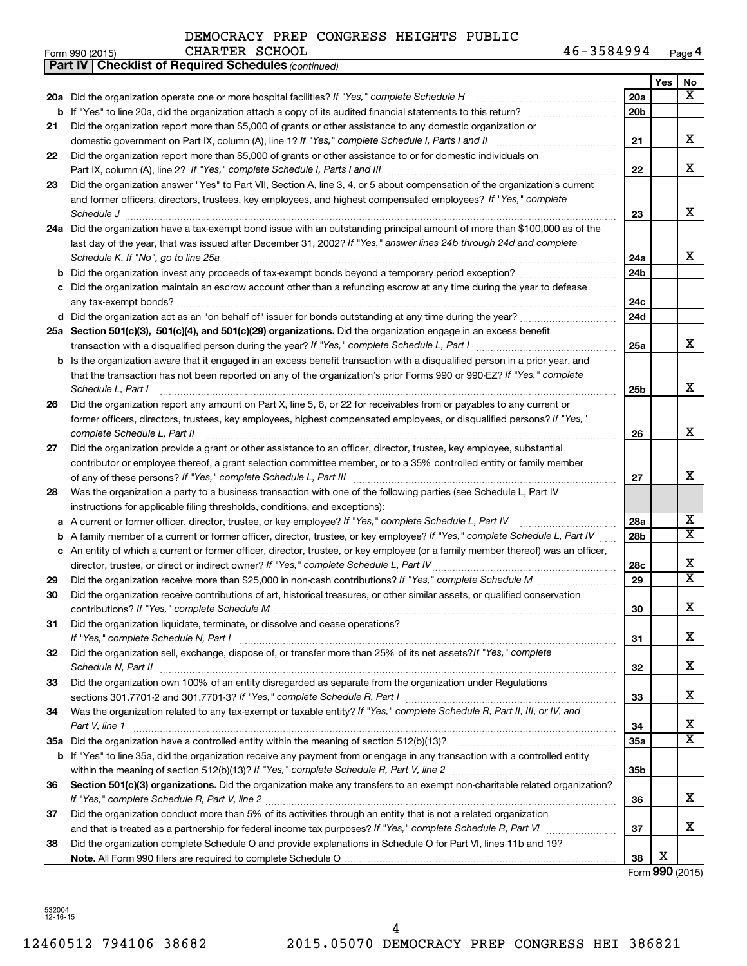|    | 46-3584994<br>CHARTER SCHOOL<br>Form 990 (2015)                                                                                   |                 |     | Page 4                  |
|----|-----------------------------------------------------------------------------------------------------------------------------------|-----------------|-----|-------------------------|
|    | <b>Part IV   Checklist of Required Schedules (continued)</b>                                                                      |                 |     |                         |
|    |                                                                                                                                   |                 | Yes | No                      |
|    | 20a Did the organization operate one or more hospital facilities? If "Yes," complete Schedule H                                   | 20a             |     | $\overline{\mathbf{x}}$ |
|    |                                                                                                                                   | 20 <sub>b</sub> |     |                         |
| 21 | Did the organization report more than \$5,000 of grants or other assistance to any domestic organization or                       |                 |     |                         |
|    |                                                                                                                                   | 21              |     | X                       |
| 22 | Did the organization report more than \$5,000 of grants or other assistance to or for domestic individuals on                     |                 |     |                         |
|    |                                                                                                                                   | 22              |     | X                       |
| 23 | Did the organization answer "Yes" to Part VII, Section A, line 3, 4, or 5 about compensation of the organization's current        |                 |     |                         |
|    | and former officers, directors, trustees, key employees, and highest compensated employees? If "Yes," complete                    |                 |     |                         |
|    | Schedule J <b>Martin Martin Communication</b> Charles Martin Martin Martin Martin Martin Martin Martin Martin Martin Ma           | 23              |     | X                       |
|    | 24a Did the organization have a tax-exempt bond issue with an outstanding principal amount of more than \$100,000 as of the       |                 |     |                         |
|    | last day of the year, that was issued after December 31, 2002? If "Yes," answer lines 24b through 24d and complete                |                 |     |                         |
|    | Schedule K. If "No", go to line 25a                                                                                               | 24a             |     | x                       |
| b  |                                                                                                                                   | 24 <sub>b</sub> |     |                         |
|    | c Did the organization maintain an escrow account other than a refunding escrow at any time during the year to defease            |                 |     |                         |
|    |                                                                                                                                   | 24c             |     |                         |
|    |                                                                                                                                   | 24d             |     |                         |
|    | 25a Section 501(c)(3), 501(c)(4), and 501(c)(29) organizations. Did the organization engage in an excess benefit                  |                 |     |                         |
|    |                                                                                                                                   | 25a             |     | X                       |
|    | b Is the organization aware that it engaged in an excess benefit transaction with a disqualified person in a prior year, and      |                 |     |                         |
|    | that the transaction has not been reported on any of the organization's prior Forms 990 or 990-EZ? If "Yes," complete             |                 |     |                         |
|    | Schedule L, Part I                                                                                                                | 25b             |     | X                       |
| 26 | Did the organization report any amount on Part X, line 5, 6, or 22 for receivables from or payables to any current or             |                 |     |                         |
|    | former officers, directors, trustees, key employees, highest compensated employees, or disqualified persons? If "Yes,"            |                 |     |                         |
|    | complete Schedule L, Part II                                                                                                      | 26              |     | X                       |
| 27 | Did the organization provide a grant or other assistance to an officer, director, trustee, key employee, substantial              |                 |     |                         |
|    | contributor or employee thereof, a grant selection committee member, or to a 35% controlled entity or family member               |                 |     |                         |
|    |                                                                                                                                   | 27              |     | х                       |
| 28 | Was the organization a party to a business transaction with one of the following parties (see Schedule L, Part IV                 |                 |     |                         |
|    | instructions for applicable filing thresholds, conditions, and exceptions):                                                       |                 |     |                         |
|    | a A current or former officer, director, trustee, or key employee? If "Yes," complete Schedule L, Part IV                         | 28a             |     | х                       |
|    | b A family member of a current or former officer, director, trustee, or key employee? If "Yes," complete Schedule L, Part IV      | 28 <sub>b</sub> |     | $\overline{\mathbf{X}}$ |
|    | c An entity of which a current or former officer, director, trustee, or key employee (or a family member thereof) was an officer, |                 |     |                         |
|    | director, trustee, or direct or indirect owner? If "Yes," complete Schedule L, Part IV                                            | 28c             |     | X                       |
| 29 |                                                                                                                                   | 29              |     | $\overline{\mathbf{X}}$ |
| 30 | Did the organization receive contributions of art, historical treasures, or other similar assets, or qualified conservation       |                 |     |                         |
|    |                                                                                                                                   | 30              |     | X                       |
| 31 | Did the organization liquidate, terminate, or dissolve and cease operations?                                                      |                 |     |                         |
|    |                                                                                                                                   | 31              |     | x                       |
| 32 | Did the organization sell, exchange, dispose of, or transfer more than 25% of its net assets? If "Yes," complete                  |                 |     |                         |
|    | Schedule N, Part II                                                                                                               | 32              |     | x                       |
| 33 | Did the organization own 100% of an entity disregarded as separate from the organization under Regulations                        |                 |     |                         |
|    |                                                                                                                                   | 33              |     | x                       |
| 34 | Was the organization related to any tax-exempt or taxable entity? If "Yes," complete Schedule R, Part II, III, or IV, and         |                 |     |                         |
|    | Part V, line 1                                                                                                                    | 34              |     | х                       |
|    |                                                                                                                                   | 35a             |     | $\overline{\mathbf{x}}$ |
|    | b If "Yes" to line 35a, did the organization receive any payment from or engage in any transaction with a controlled entity       |                 |     |                         |
|    |                                                                                                                                   | 35 <sub>b</sub> |     |                         |
| 36 | Section 501(c)(3) organizations. Did the organization make any transfers to an exempt non-charitable related organization?        |                 |     |                         |
|    | If "Yes," complete Schedule R, Part V, line 2                                                                                     | 36              |     | x                       |
| 37 | Did the organization conduct more than 5% of its activities through an entity that is not a related organization                  |                 |     |                         |
|    |                                                                                                                                   | 37              |     | x                       |
| 38 | Did the organization complete Schedule O and provide explanations in Schedule O for Part VI, lines 11b and 19?                    |                 |     |                         |
|    |                                                                                                                                   | 38              | х   |                         |
|    |                                                                                                                                   |                 |     | Form 990 (2015)         |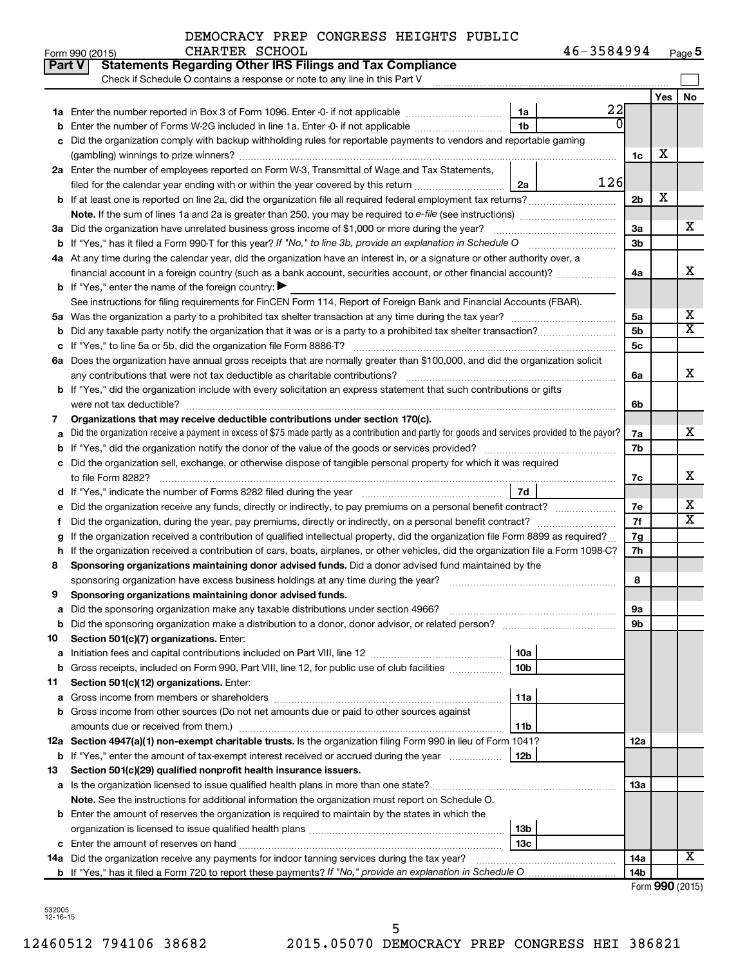| Form 990 (2015) | CHARTER SCHOOL | 46-3584994<br>Page 5 |
|-----------------|----------------|----------------------|
|-----------------|----------------|----------------------|

|        | Part V<br><b>Statements Regarding Other IRS Filings and Tax Compliance</b><br>Check if Schedule O contains a response or note to any line in this Part V |                 |     |    |  |  |  |  |  |  |
|--------|----------------------------------------------------------------------------------------------------------------------------------------------------------|-----------------|-----|----|--|--|--|--|--|--|
|        |                                                                                                                                                          |                 | Yes | No |  |  |  |  |  |  |
|        | 22<br>1a                                                                                                                                                 |                 |     |    |  |  |  |  |  |  |
| b      | Enter the number of Forms W-2G included in line 1a. Enter -0- if not applicable<br>1b                                                                    |                 |     |    |  |  |  |  |  |  |
| с      | Did the organization comply with backup withholding rules for reportable payments to vendors and reportable gaming                                       |                 |     |    |  |  |  |  |  |  |
|        |                                                                                                                                                          | 1c              | X   |    |  |  |  |  |  |  |
|        | 2a Enter the number of employees reported on Form W-3, Transmittal of Wage and Tax Statements,                                                           |                 |     |    |  |  |  |  |  |  |
|        | 126<br>filed for the calendar year ending with or within the year covered by this return <i>[[[[[[[[[[[[[[]]]]</i> ]]<br>2a                              |                 |     |    |  |  |  |  |  |  |
|        |                                                                                                                                                          | 2 <sub>b</sub>  | х   |    |  |  |  |  |  |  |
|        |                                                                                                                                                          |                 |     |    |  |  |  |  |  |  |
|        | 3a Did the organization have unrelated business gross income of \$1,000 or more during the year?                                                         | За              |     | х  |  |  |  |  |  |  |
|        | <b>b</b> If "Yes," has it filed a Form 990-T for this year? If "No," to line 3b, provide an explanation in Schedule O manumum                            | 3b              |     |    |  |  |  |  |  |  |
|        | 4a At any time during the calendar year, did the organization have an interest in, or a signature or other authority over, a                             |                 |     |    |  |  |  |  |  |  |
|        | financial account in a foreign country (such as a bank account, securities account, or other financial account)?                                         |                 |     |    |  |  |  |  |  |  |
|        | <b>b</b> If "Yes," enter the name of the foreign country: $\blacktriangleright$                                                                          |                 |     |    |  |  |  |  |  |  |
|        | See instructions for filing requirements for FinCEN Form 114, Report of Foreign Bank and Financial Accounts (FBAR).                                      |                 |     |    |  |  |  |  |  |  |
|        |                                                                                                                                                          | 5a              |     | х  |  |  |  |  |  |  |
| b      |                                                                                                                                                          | 5b              |     | X  |  |  |  |  |  |  |
| с      |                                                                                                                                                          | <b>5c</b>       |     |    |  |  |  |  |  |  |
|        | 6a Does the organization have annual gross receipts that are normally greater than \$100,000, and did the organization solicit                           |                 |     |    |  |  |  |  |  |  |
|        |                                                                                                                                                          | 6a              |     | х  |  |  |  |  |  |  |
|        | <b>b</b> If "Yes," did the organization include with every solicitation an express statement that such contributions or gifts                            |                 |     |    |  |  |  |  |  |  |
|        |                                                                                                                                                          |                 |     |    |  |  |  |  |  |  |
| 7      | Organizations that may receive deductible contributions under section 170(c).                                                                            |                 |     |    |  |  |  |  |  |  |
| а      | Did the organization receive a payment in excess of \$75 made partly as a contribution and partly for goods and services provided to the payor?          |                 |     |    |  |  |  |  |  |  |
| b      |                                                                                                                                                          |                 |     |    |  |  |  |  |  |  |
|        | c Did the organization sell, exchange, or otherwise dispose of tangible personal property for which it was required                                      |                 |     |    |  |  |  |  |  |  |
|        |                                                                                                                                                          |                 |     |    |  |  |  |  |  |  |
|        | 7d                                                                                                                                                       |                 |     | х  |  |  |  |  |  |  |
| е      | Did the organization receive any funds, directly or indirectly, to pay premiums on a personal benefit contract?                                          |                 |     |    |  |  |  |  |  |  |
| f.     |                                                                                                                                                          | 7f              |     | х  |  |  |  |  |  |  |
| g      | If the organization received a contribution of qualified intellectual property, did the organization file Form 8899 as required?                         | 7g              |     |    |  |  |  |  |  |  |
| h      | If the organization received a contribution of cars, boats, airplanes, or other vehicles, did the organization file a Form 1098-C?                       | 7h              |     |    |  |  |  |  |  |  |
| 8      | Sponsoring organizations maintaining donor advised funds. Did a donor advised fund maintained by the                                                     |                 |     |    |  |  |  |  |  |  |
|        |                                                                                                                                                          | 8               |     |    |  |  |  |  |  |  |
| 9      | Sponsoring organizations maintaining donor advised funds.                                                                                                |                 |     |    |  |  |  |  |  |  |
|        |                                                                                                                                                          | эа              |     |    |  |  |  |  |  |  |
| b      | Did the sponsoring organization make a distribution to a donor, donor advisor, or related person?                                                        | 9b              |     |    |  |  |  |  |  |  |
| 10     | Section 501(c)(7) organizations. Enter:<br>10a                                                                                                           |                 |     |    |  |  |  |  |  |  |
| а<br>b | 10 <sub>b</sub><br>Gross receipts, included on Form 990, Part VIII, line 12, for public use of club facilities                                           |                 |     |    |  |  |  |  |  |  |
| 11     | Section 501(c)(12) organizations. Enter:                                                                                                                 |                 |     |    |  |  |  |  |  |  |
| а      | 11a                                                                                                                                                      |                 |     |    |  |  |  |  |  |  |
| b      | Gross income from other sources (Do not net amounts due or paid to other sources against                                                                 |                 |     |    |  |  |  |  |  |  |
|        | amounts due or received from them.)<br>11b                                                                                                               |                 |     |    |  |  |  |  |  |  |
|        | 12a Section 4947(a)(1) non-exempt charitable trusts. Is the organization filing Form 990 in lieu of Form 1041?                                           | 12a             |     |    |  |  |  |  |  |  |
| b      | 12b<br>If "Yes," enter the amount of tax-exempt interest received or accrued during the year                                                             |                 |     |    |  |  |  |  |  |  |
| 13     | Section 501(c)(29) qualified nonprofit health insurance issuers.                                                                                         |                 |     |    |  |  |  |  |  |  |
|        | a Is the organization licensed to issue qualified health plans in more than one state?                                                                   | 13a             |     |    |  |  |  |  |  |  |
|        | Note. See the instructions for additional information the organization must report on Schedule O.                                                        |                 |     |    |  |  |  |  |  |  |
|        | <b>b</b> Enter the amount of reserves the organization is required to maintain by the states in which the                                                |                 |     |    |  |  |  |  |  |  |
|        | 13b                                                                                                                                                      |                 |     |    |  |  |  |  |  |  |
|        | 13c                                                                                                                                                      |                 |     |    |  |  |  |  |  |  |
|        | 14a Did the organization receive any payments for indoor tanning services during the tax year?                                                           | 14a             |     | х  |  |  |  |  |  |  |
|        |                                                                                                                                                          | 14 <sub>b</sub> |     |    |  |  |  |  |  |  |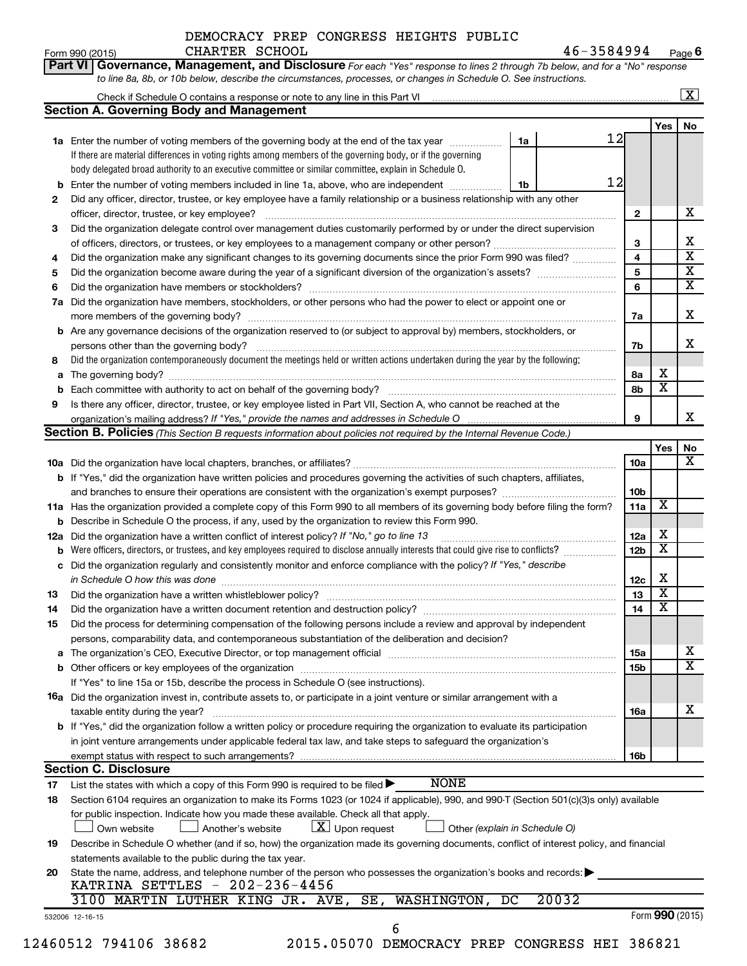#### Form 990 (2015) CHARTER SCHOOL 4 6-3 5 8 4 9 9 4 <sub>Page</sub> **6** DEMOCRACY PREP CONGRESS HEIGHTS PUBLIC CHARTER SCHOOL

|     |                                                                                                                                                   |    |       |     |                         | $\overline{\mathbf{x}}$ |
|-----|---------------------------------------------------------------------------------------------------------------------------------------------------|----|-------|-----|-------------------------|-------------------------|
|     | <b>Section A. Governing Body and Management</b>                                                                                                   |    |       |     |                         |                         |
|     |                                                                                                                                                   |    | 12    |     | Yes                     | No                      |
|     | 1a Enter the number of voting members of the governing body at the end of the tax year <i>manumum</i>                                             | 1a |       |     |                         |                         |
|     | If there are material differences in voting rights among members of the governing body, or if the governing                                       |    |       |     |                         |                         |
|     | body delegated broad authority to an executive committee or similar committee, explain in Schedule O.                                             |    |       |     |                         |                         |
|     | <b>b</b> Enter the number of voting members included in line 1a, above, who are independent                                                       | 1b | 12    |     |                         |                         |
| 2   | Did any officer, director, trustee, or key employee have a family relationship or a business relationship with any other                          |    |       |     |                         |                         |
|     | officer, director, trustee, or key employee?                                                                                                      |    |       | 2   |                         |                         |
| 3   | Did the organization delegate control over management duties customarily performed by or under the direct supervision                             |    |       |     |                         |                         |
|     |                                                                                                                                                   |    |       | 3   |                         |                         |
| 4   | Did the organization make any significant changes to its governing documents since the prior Form 990 was filed?                                  |    |       | 4   |                         |                         |
| 5   |                                                                                                                                                   |    |       | 5   |                         |                         |
| 6   |                                                                                                                                                   |    |       | 6   |                         |                         |
| 7a  | Did the organization have members, stockholders, or other persons who had the power to elect or appoint one or                                    |    |       |     |                         |                         |
|     |                                                                                                                                                   |    |       | 7a  |                         |                         |
|     | <b>b</b> Are any governance decisions of the organization reserved to (or subject to approval by) members, stockholders, or                       |    |       |     |                         |                         |
|     |                                                                                                                                                   |    |       | 7b  |                         |                         |
| 8   | Did the organization contemporaneously document the meetings held or written actions undertaken during the year by the following:                 |    |       |     |                         |                         |
| a   |                                                                                                                                                   |    |       | 8а  | х                       |                         |
|     |                                                                                                                                                   |    |       | 8b  | $\overline{\mathbf{x}}$ |                         |
| 9   | Is there any officer, director, trustee, or key employee listed in Part VII, Section A, who cannot be reached at the                              |    |       |     |                         |                         |
|     |                                                                                                                                                   |    |       | 9   |                         |                         |
|     | Section B. Policies (This Section B requests information about policies not required by the Internal Revenue Code.)                               |    |       |     |                         |                         |
|     |                                                                                                                                                   |    |       |     | Yes                     |                         |
|     |                                                                                                                                                   |    |       | 10a |                         |                         |
|     |                                                                                                                                                   |    |       |     |                         |                         |
|     | b If "Yes," did the organization have written policies and procedures governing the activities of such chapters, affiliates,                      |    |       |     |                         |                         |
|     |                                                                                                                                                   |    |       | 10b | х                       |                         |
|     | 11a Has the organization provided a complete copy of this Form 990 to all members of its governing body before filing the form?                   |    |       | 11a |                         |                         |
|     | <b>b</b> Describe in Schedule O the process, if any, used by the organization to review this Form 990.                                            |    |       |     |                         |                         |
| 12a | Did the organization have a written conflict of interest policy? If "No," go to line 13                                                           |    |       | 12a | х                       |                         |
|     | <b>b</b> Were officers, directors, or trustees, and key employees required to disclose annually interests that could give rise to conflicts?      |    |       | 12b | х                       |                         |
|     | c Did the organization regularly and consistently monitor and enforce compliance with the policy? If "Yes," describe                              |    |       |     |                         |                         |
|     | in Schedule O how this was done manufactured and continuum and contract the state of the state of the state of                                    |    |       | 12c | X                       |                         |
| 13  |                                                                                                                                                   |    |       | 13  | $\overline{\mathbf{x}}$ |                         |
| 14  | Did the organization have a written document retention and destruction policy? [111] manufaction policy?                                          |    |       | 14  | $\overline{\textbf{x}}$ |                         |
| 15  | Did the process for determining compensation of the following persons include a review and approval by independent                                |    |       |     |                         |                         |
|     | persons, comparability data, and contemporaneous substantiation of the deliberation and decision?                                                 |    |       |     |                         |                         |
| a   |                                                                                                                                                   |    |       | 15a |                         |                         |
|     |                                                                                                                                                   |    |       | 15b |                         |                         |
|     | If "Yes" to line 15a or 15b, describe the process in Schedule O (see instructions).                                                               |    |       |     |                         |                         |
|     | <b>16a</b> Did the organization invest in, contribute assets to, or participate in a joint venture or similar arrangement with a                  |    |       |     |                         |                         |
|     | taxable entity during the year?                                                                                                                   |    |       | 16a |                         |                         |
|     | b If "Yes," did the organization follow a written policy or procedure requiring the organization to evaluate its participation                    |    |       |     |                         |                         |
|     | in joint venture arrangements under applicable federal tax law, and take steps to safeguard the organization's                                    |    |       |     |                         |                         |
|     | exempt status with respect to such arrangements?                                                                                                  |    |       | 16b |                         |                         |
|     | <b>Section C. Disclosure</b>                                                                                                                      |    |       |     |                         |                         |
| 17  | <b>NONE</b><br>List the states with which a copy of this Form 990 is required to be filed $\blacktriangleright$                                   |    |       |     |                         |                         |
|     |                                                                                                                                                   |    |       |     |                         |                         |
| 18  | Section 6104 requires an organization to make its Forms 1023 (or 1024 if applicable), 990, and 990-T (Section 501(c)(3)s only) available          |    |       |     |                         |                         |
|     | for public inspection. Indicate how you made these available. Check all that apply.<br>$\lfloor x \rfloor$ Upon request                           |    |       |     |                         |                         |
|     | Own website<br>Another's website<br>Other (explain in Schedule O)                                                                                 |    |       |     |                         |                         |
| 19  | Describe in Schedule O whether (and if so, how) the organization made its governing documents, conflict of interest policy, and financial         |    |       |     |                         |                         |
|     | statements available to the public during the tax year.                                                                                           |    |       |     |                         |                         |
| 20  | State the name, address, and telephone number of the person who possesses the organization's books and records:<br>KATRINA SETTLES - 202-236-4456 |    |       |     |                         |                         |
|     |                                                                                                                                                   |    |       |     |                         |                         |
|     |                                                                                                                                                   |    |       |     |                         |                         |
|     | 3100 MARTIN LUTHER KING JR. AVE, SE,<br>WASHINGTON,                                                                                               | DC | 20032 |     | Form 990 (2015)         |                         |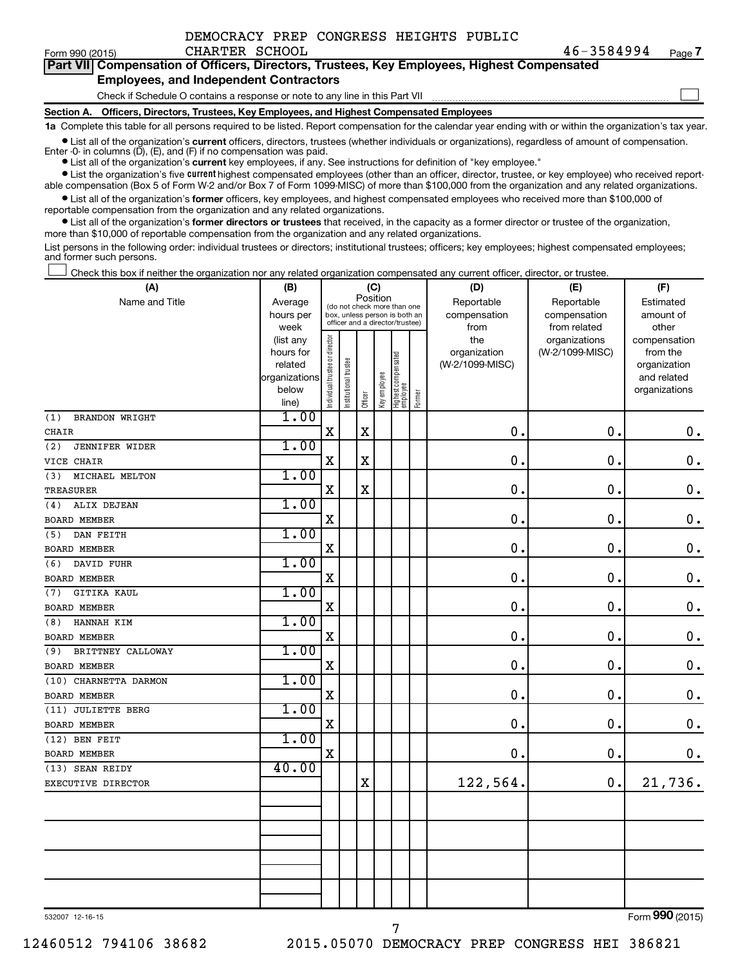$\Box$ 

|  | Part VII Compensation of Officers, Directors, Trustees, Key Employees, Highest Compensated |  |  |  |  |
|--|--------------------------------------------------------------------------------------------|--|--|--|--|
|  | <b>Employees, and Independent Contractors</b>                                              |  |  |  |  |

Check if Schedule O contains a response or note to any line in this Part VII

**Section A. Officers, Directors, Trustees, Key Employees, and Highest Compensated Employees**

**1a**  Complete this table for all persons required to be listed. Report compensation for the calendar year ending with or within the organization's tax year.

**•** List all of the organization's current officers, directors, trustees (whether individuals or organizations), regardless of amount of compensation.

**•** List all of the organization's **current** key employees, if any. See instructions for definition of "key employee." Enter -0- in columns  $(D)$ ,  $(E)$ , and  $(F)$  if no compensation was paid.

**•** List the organization's five current highest compensated employees (other than an officer, director, trustee, or key employee) who received report-

**•** List all of the organization's former officers, key employees, and highest compensated employees who received more than \$100,000 of able compensation (Box 5 of Form W-2 and/or Box 7 of Form 1099-MISC) of more than \$100,000 from the organization and any related organizations. reportable compensation from the organization and any related organizations.

**•** List all of the organization's former directors or trustees that received, in the capacity as a former director or trustee of the organization, more than \$10,000 of reportable compensation from the organization and any related organizations.

List persons in the following order: individual trustees or directors; institutional trustees; officers; key employees; highest compensated employees; and former such persons.

Check this box if neither the organization nor any related organization compensated any current officer, director, or trustee.  $\Box$ 

| (A)                          | (B)                    |                                         |                                                                  |             | (C)          |                                 |        | (D)                 | (E)                              | (F)                      |  |  |
|------------------------------|------------------------|-----------------------------------------|------------------------------------------------------------------|-------------|--------------|---------------------------------|--------|---------------------|----------------------------------|--------------------------|--|--|
| Name and Title               | Average                | Position<br>(do not check more than one |                                                                  |             |              |                                 |        | Reportable          | Reportable                       | Estimated                |  |  |
|                              | hours per              |                                         | box, unless person is both an<br>officer and a director/trustee) |             |              |                                 |        | compensation        | compensation                     | amount of                |  |  |
|                              | week                   |                                         |                                                                  |             |              |                                 |        | from                | from related                     | other                    |  |  |
|                              | (list any<br>hours for |                                         |                                                                  |             |              |                                 |        | the<br>organization | organizations<br>(W-2/1099-MISC) | compensation<br>from the |  |  |
|                              | related                |                                         |                                                                  |             |              |                                 |        | (W-2/1099-MISC)     |                                  | organization             |  |  |
|                              | organizations          |                                         |                                                                  |             |              |                                 |        |                     |                                  | and related              |  |  |
|                              | below                  | Individual trustee or director          | Institutional trustee                                            |             | Key employee | Highest compensated<br>employee |        |                     |                                  | organizations            |  |  |
|                              | line)                  |                                         |                                                                  | Officer     |              |                                 | Former |                     |                                  |                          |  |  |
| (1)<br><b>BRANDON WRIGHT</b> | 1.00                   |                                         |                                                                  |             |              |                                 |        |                     |                                  |                          |  |  |
| <b>CHAIR</b>                 |                        | $\mathbf X$                             |                                                                  | $\mathbf X$ |              |                                 |        | 0.                  | 0.                               | $\mathbf 0$ .            |  |  |
| (2)<br><b>JENNIFER WIDER</b> | 1.00                   |                                         |                                                                  |             |              |                                 |        |                     |                                  |                          |  |  |
| VICE CHAIR                   |                        | $\mathbf X$                             |                                                                  | $\mathbf X$ |              |                                 |        | 0.                  | $\mathbf 0$ .                    | $\mathbf 0$ .            |  |  |
| MICHAEL MELTON<br>(3)        | 1.00                   |                                         |                                                                  |             |              |                                 |        |                     |                                  |                          |  |  |
| <b>TREASURER</b>             |                        | X                                       |                                                                  | $\mathbf X$ |              |                                 |        | $\mathbf 0$ .       | $\mathbf 0$ .                    | $\boldsymbol{0}$ .       |  |  |
| ALIX DEJEAN<br>(4)           | 1.00                   |                                         |                                                                  |             |              |                                 |        |                     |                                  |                          |  |  |
| <b>BOARD MEMBER</b>          |                        | $\mathbf X$                             |                                                                  |             |              |                                 |        | $\mathbf 0$ .       | $\mathbf 0$ .                    | $\mathbf 0$ .            |  |  |
| DAN FEITH<br>(5)             | 1.00                   |                                         |                                                                  |             |              |                                 |        |                     |                                  |                          |  |  |
| <b>BOARD MEMBER</b>          |                        | X                                       |                                                                  |             |              |                                 |        | $\mathbf 0$ .       | $\mathbf 0$ .                    | $\mathbf 0$ .            |  |  |
| DAVID FUHR<br>(6)            | 1.00                   |                                         |                                                                  |             |              |                                 |        |                     |                                  |                          |  |  |
| BOARD MEMBER                 |                        | $\mathbf X$                             |                                                                  |             |              |                                 |        | 0                   | $\mathbf 0$ .                    | $0$ .                    |  |  |
| <b>GITIKA KAUL</b><br>(7)    | 1.00                   |                                         |                                                                  |             |              |                                 |        |                     |                                  |                          |  |  |
| <b>BOARD MEMBER</b>          |                        | $\mathbf X$                             |                                                                  |             |              |                                 |        | $\mathbf 0$         | $\mathbf 0$ .                    | $\mathbf 0$ .            |  |  |
| HANNAH KIM<br>(8)            | 1.00                   |                                         |                                                                  |             |              |                                 |        |                     |                                  |                          |  |  |
| <b>BOARD MEMBER</b>          |                        | $\mathbf X$                             |                                                                  |             |              |                                 |        | $\mathbf 0$ .       | $\mathbf 0$ .                    | $\mathbf 0$ .            |  |  |
| BRITTNEY CALLOWAY<br>(9)     | 1.00                   |                                         |                                                                  |             |              |                                 |        |                     |                                  |                          |  |  |
| <b>BOARD MEMBER</b>          |                        | $\mathbf X$                             |                                                                  |             |              |                                 |        | $\mathbf 0$         | $\mathbf 0$ .                    | $\mathbf 0$ .            |  |  |
| (10) CHARNETTA DARMON        | 1.00                   |                                         |                                                                  |             |              |                                 |        |                     |                                  |                          |  |  |
| <b>BOARD MEMBER</b>          |                        | $\rm X$                                 |                                                                  |             |              |                                 |        | $\mathbf 0$         | $\mathbf 0$ .                    | $\mathbf 0$ .            |  |  |
| (11) JULIETTE BERG           | 1.00                   |                                         |                                                                  |             |              |                                 |        |                     |                                  |                          |  |  |
| <b>BOARD MEMBER</b>          |                        | $\mathbf X$                             |                                                                  |             |              |                                 |        | $\mathbf 0$         | $\mathbf 0$ .                    | $\mathbf 0$ .            |  |  |
| (12) BEN FEIT                | 1.00                   |                                         |                                                                  |             |              |                                 |        |                     |                                  |                          |  |  |
| <b>BOARD MEMBER</b>          |                        | $\mathbf X$                             |                                                                  |             |              |                                 |        | 0.                  | $\mathbf 0$ .                    | 0.                       |  |  |
| (13) SEAN REIDY              | 40.00                  |                                         |                                                                  |             |              |                                 |        |                     |                                  |                          |  |  |
| EXECUTIVE DIRECTOR           |                        |                                         |                                                                  | $\mathbf X$ |              |                                 |        | 122,564.            | 0.                               | 21,736.                  |  |  |
|                              |                        |                                         |                                                                  |             |              |                                 |        |                     |                                  |                          |  |  |
|                              |                        |                                         |                                                                  |             |              |                                 |        |                     |                                  |                          |  |  |
|                              |                        |                                         |                                                                  |             |              |                                 |        |                     |                                  |                          |  |  |
|                              |                        |                                         |                                                                  |             |              |                                 |        |                     |                                  |                          |  |  |
|                              |                        |                                         |                                                                  |             |              |                                 |        |                     |                                  |                          |  |  |
|                              |                        |                                         |                                                                  |             |              |                                 |        |                     |                                  |                          |  |  |
|                              |                        |                                         |                                                                  |             |              |                                 |        |                     |                                  |                          |  |  |
|                              |                        |                                         |                                                                  |             |              |                                 |        |                     |                                  |                          |  |  |

532007 12-16-15

Form (2015) **990**

7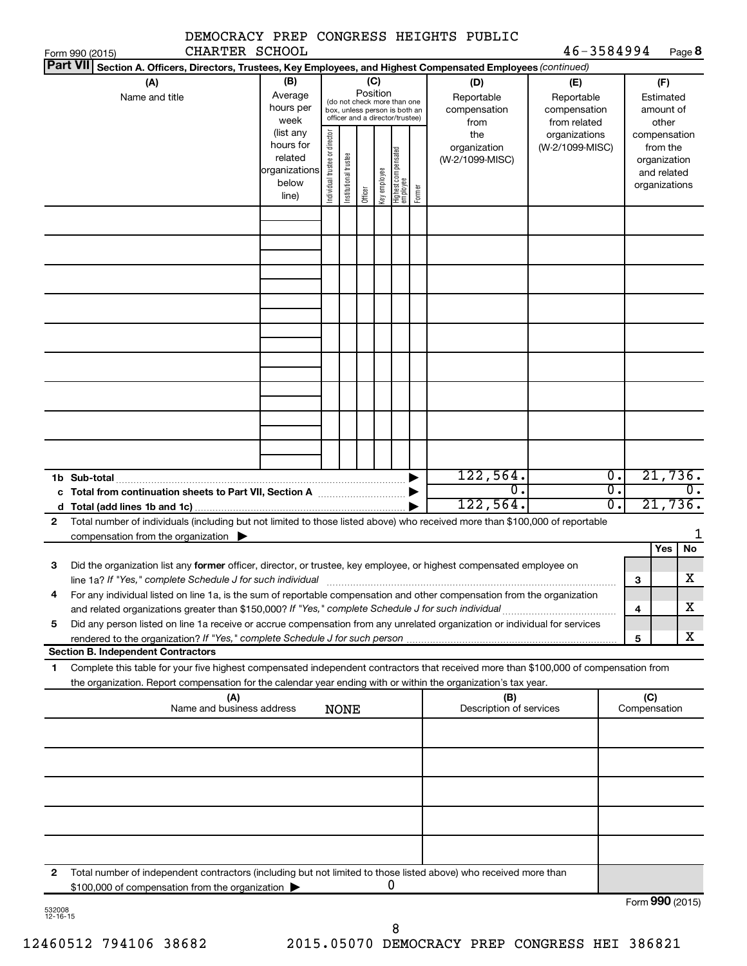| CHARTER SCHOOL                                                                                                                                                                                                                                              |                                                                                                                                                                                                                                                                                                                                                                                           |                                |                       |         |              |                                 |        | DEMOCRACY PREP CONGRESS HEIGHTS PUBLIC | 46-3584994                       |                                         |                                                          |                          |
|-------------------------------------------------------------------------------------------------------------------------------------------------------------------------------------------------------------------------------------------------------------|-------------------------------------------------------------------------------------------------------------------------------------------------------------------------------------------------------------------------------------------------------------------------------------------------------------------------------------------------------------------------------------------|--------------------------------|-----------------------|---------|--------------|---------------------------------|--------|----------------------------------------|----------------------------------|-----------------------------------------|----------------------------------------------------------|--------------------------|
| Form 990 (2015)<br><b>Part VII</b>                                                                                                                                                                                                                          |                                                                                                                                                                                                                                                                                                                                                                                           |                                |                       |         |              |                                 |        |                                        |                                  |                                         |                                                          | Page 8                   |
| (A)<br>Name and title                                                                                                                                                                                                                                       | Section A. Officers, Directors, Trustees, Key Employees, and Highest Compensated Employees (continued)<br>(B)<br>(C)<br>(D)<br>(E)<br>Position<br>Average<br>Reportable<br>Reportable<br>(do not check more than one<br>hours per<br>compensation<br>compensation<br>box, unless person is both an<br>officer and a director/trustee)<br>week<br>from related<br>from<br>(list any<br>the |                                |                       |         |              |                                 |        |                                        |                                  |                                         | (F)<br>Estimated<br>amount of<br>other                   |                          |
|                                                                                                                                                                                                                                                             | hours for<br>related<br>organizations<br>below<br>line)                                                                                                                                                                                                                                                                                                                                   | Individual trustee or director | Institutional trustee | Officer | key employee | Highest compensated<br>employee | Former | organization<br>(W-2/1099-MISC)        | organizations<br>(W-2/1099-MISC) |                                         | from the<br>organization<br>and related<br>organizations | compensation             |
|                                                                                                                                                                                                                                                             |                                                                                                                                                                                                                                                                                                                                                                                           |                                |                       |         |              |                                 |        |                                        |                                  |                                         |                                                          |                          |
|                                                                                                                                                                                                                                                             |                                                                                                                                                                                                                                                                                                                                                                                           |                                |                       |         |              |                                 |        |                                        |                                  |                                         |                                                          |                          |
|                                                                                                                                                                                                                                                             |                                                                                                                                                                                                                                                                                                                                                                                           |                                |                       |         |              |                                 |        |                                        |                                  |                                         |                                                          |                          |
|                                                                                                                                                                                                                                                             |                                                                                                                                                                                                                                                                                                                                                                                           |                                |                       |         |              |                                 |        |                                        |                                  |                                         |                                                          |                          |
|                                                                                                                                                                                                                                                             |                                                                                                                                                                                                                                                                                                                                                                                           |                                |                       |         |              |                                 |        | 122,564.<br>$\mathbf 0$ .<br>122,564.  |                                  | 0.<br>$\overline{\mathfrak{o}}$ .<br>σ. |                                                          | 21,736.<br>0.<br>21,736. |
| Total number of individuals (including but not limited to those listed above) who received more than \$100,000 of reportable<br>$\mathbf{2}$<br>compensation from the organization $\blacktriangleright$                                                    |                                                                                                                                                                                                                                                                                                                                                                                           |                                |                       |         |              |                                 |        |                                        |                                  |                                         |                                                          |                          |
| Did the organization list any former officer, director, or trustee, key employee, or highest compensated employee on<br>З                                                                                                                                   |                                                                                                                                                                                                                                                                                                                                                                                           |                                |                       |         |              |                                 |        |                                        |                                  |                                         | Yes                                                      | No                       |
| line 1a? If "Yes," complete Schedule J for such individual<br>For any individual listed on line 1a, is the sum of reportable compensation and other compensation from the organization<br>4                                                                 |                                                                                                                                                                                                                                                                                                                                                                                           |                                |                       |         |              |                                 |        |                                        |                                  |                                         | 3<br>$\overline{\bf 4}$                                  | X<br>х                   |
| Did any person listed on line 1a receive or accrue compensation from any unrelated organization or individual for services<br>5                                                                                                                             |                                                                                                                                                                                                                                                                                                                                                                                           |                                |                       |         |              |                                 |        |                                        |                                  |                                         | 5                                                        | х                        |
| <b>Section B. Independent Contractors</b>                                                                                                                                                                                                                   |                                                                                                                                                                                                                                                                                                                                                                                           |                                |                       |         |              |                                 |        |                                        |                                  |                                         |                                                          |                          |
| Complete this table for your five highest compensated independent contractors that received more than \$100,000 of compensation from<br>1<br>the organization. Report compensation for the calendar year ending with or within the organization's tax year. |                                                                                                                                                                                                                                                                                                                                                                                           |                                |                       |         |              |                                 |        |                                        |                                  |                                         |                                                          |                          |
| (A)<br>Name and business address                                                                                                                                                                                                                            |                                                                                                                                                                                                                                                                                                                                                                                           |                                | <b>NONE</b>           |         |              |                                 |        | (B)<br>Description of services         |                                  |                                         | (C)<br>Compensation                                      |                          |
|                                                                                                                                                                                                                                                             |                                                                                                                                                                                                                                                                                                                                                                                           |                                |                       |         |              |                                 |        |                                        |                                  |                                         |                                                          |                          |
|                                                                                                                                                                                                                                                             |                                                                                                                                                                                                                                                                                                                                                                                           |                                |                       |         |              |                                 |        |                                        |                                  |                                         |                                                          |                          |
|                                                                                                                                                                                                                                                             |                                                                                                                                                                                                                                                                                                                                                                                           |                                |                       |         |              |                                 |        |                                        |                                  |                                         |                                                          |                          |
|                                                                                                                                                                                                                                                             |                                                                                                                                                                                                                                                                                                                                                                                           |                                |                       |         |              |                                 |        |                                        |                                  |                                         |                                                          |                          |
| $\mathbf{2}$<br>Total number of independent contractors (including but not limited to those listed above) who received more than<br>\$100,000 of compensation from the organization >                                                                       |                                                                                                                                                                                                                                                                                                                                                                                           |                                |                       |         |              | 0                               |        |                                        |                                  |                                         |                                                          | Form 990 (2015)          |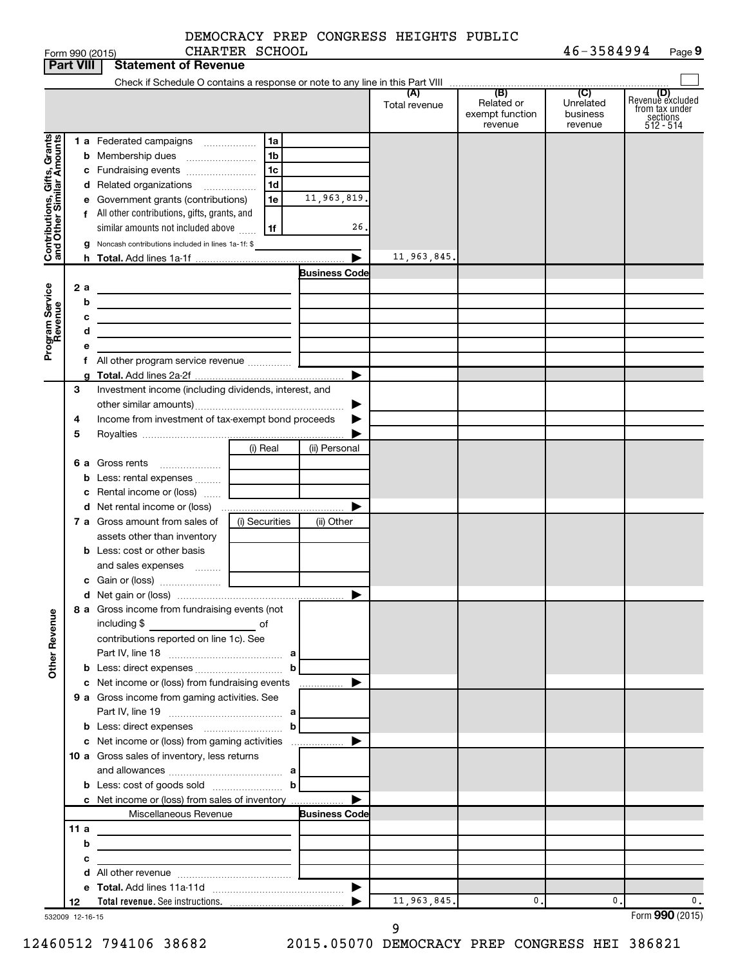|                              |      |   | Form 990 (2015)                                                                                                        | CHARTER SCHOOL                              |                      |                      |                                                 | 46-3584994                                         | Page 9                                                               |
|------------------------------|------|---|------------------------------------------------------------------------------------------------------------------------|---------------------------------------------|----------------------|----------------------|-------------------------------------------------|----------------------------------------------------|----------------------------------------------------------------------|
| <b>Part VIII</b>             |      |   | <b>Statement of Revenue</b>                                                                                            |                                             |                      |                      |                                                 |                                                    |                                                                      |
|                              |      |   |                                                                                                                        |                                             |                      |                      |                                                 |                                                    |                                                                      |
|                              |      |   |                                                                                                                        |                                             |                      | (A)<br>Total revenue | (B)<br>Related or<br>exempt function<br>revenue | $\overline{C}$<br>Unrelated<br>business<br>revenue | (D)<br>Revenue excluded<br>trom tax under<br>sections<br>$512 - 514$ |
|                              |      |   | 1 a Federated campaigns                                                                                                | 1a                                          |                      |                      |                                                 |                                                    |                                                                      |
| Contributions, Gifts, Grants |      |   |                                                                                                                        | 1 <sub>b</sub>                              |                      |                      |                                                 |                                                    |                                                                      |
|                              |      |   |                                                                                                                        | 1c                                          |                      |                      |                                                 |                                                    |                                                                      |
|                              |      |   | d Related organizations                                                                                                | 1 <sub>d</sub>                              |                      |                      |                                                 |                                                    |                                                                      |
|                              |      |   | e Government grants (contributions)                                                                                    | 1e                                          | 11,963,819.          |                      |                                                 |                                                    |                                                                      |
|                              |      |   | f All other contributions, gifts, grants, and                                                                          |                                             |                      |                      |                                                 |                                                    |                                                                      |
|                              |      |   | similar amounts not included above                                                                                     | 1f                                          | 26.                  |                      |                                                 |                                                    |                                                                      |
|                              |      |   | <b>g</b> Noncash contributions included in lines 1a-1f: \$                                                             |                                             |                      |                      |                                                 |                                                    |                                                                      |
|                              |      |   |                                                                                                                        |                                             | ▶                    | 11,963,845.          |                                                 |                                                    |                                                                      |
|                              |      |   |                                                                                                                        |                                             | <b>Business Code</b> |                      |                                                 |                                                    |                                                                      |
|                              | 2a   |   | <u> 1989 - Johann Barn, mars ann an t-Amhain Aonaich an t-Aonaich an t-Aonaich ann an t-Aonaich ann an t-Aonaich</u>   |                                             |                      |                      |                                                 |                                                    |                                                                      |
|                              |      | b | the control of the control of the control of the control of the control of                                             |                                             |                      |                      |                                                 |                                                    |                                                                      |
|                              |      | с | the contract of the contract of the contract of the contract of the contract of                                        |                                             |                      |                      |                                                 |                                                    |                                                                      |
| Program Service<br>Revenue   |      | d | the control of the control of the control of the control of the control of                                             |                                             |                      |                      |                                                 |                                                    |                                                                      |
|                              |      | е |                                                                                                                        |                                             |                      |                      |                                                 |                                                    |                                                                      |
|                              |      |   | f All other program service revenue                                                                                    |                                             |                      |                      |                                                 |                                                    |                                                                      |
|                              |      | a |                                                                                                                        |                                             | ▶                    |                      |                                                 |                                                    |                                                                      |
|                              | 3    |   | Investment income (including dividends, interest, and                                                                  |                                             |                      |                      |                                                 |                                                    |                                                                      |
|                              |      |   |                                                                                                                        |                                             | ▶                    |                      |                                                 |                                                    |                                                                      |
|                              | 4    |   | Income from investment of tax-exempt bond proceeds                                                                     |                                             |                      |                      |                                                 |                                                    |                                                                      |
|                              | 5    |   |                                                                                                                        |                                             |                      |                      |                                                 |                                                    |                                                                      |
|                              |      |   |                                                                                                                        | (i) Real                                    | (ii) Personal        |                      |                                                 |                                                    |                                                                      |
|                              |      |   | 6 a Gross rents                                                                                                        |                                             |                      |                      |                                                 |                                                    |                                                                      |
|                              |      |   | <b>b</b> Less: rental expenses                                                                                         | <u> 1990 - Jan Barat, politik politik (</u> |                      |                      |                                                 |                                                    |                                                                      |
|                              |      |   | c Rental income or (loss)                                                                                              |                                             |                      |                      |                                                 |                                                    |                                                                      |
|                              |      |   |                                                                                                                        |                                             | ▶                    |                      |                                                 |                                                    |                                                                      |
|                              |      |   | 7 a Gross amount from sales of                                                                                         | (i) Securities                              | (ii) Other           |                      |                                                 |                                                    |                                                                      |
|                              |      |   | assets other than inventory                                                                                            |                                             |                      |                      |                                                 |                                                    |                                                                      |
|                              |      |   | <b>b</b> Less: cost or other basis                                                                                     |                                             |                      |                      |                                                 |                                                    |                                                                      |
|                              |      |   | and sales expenses                                                                                                     |                                             |                      |                      |                                                 |                                                    |                                                                      |
|                              |      |   |                                                                                                                        |                                             |                      |                      |                                                 |                                                    |                                                                      |
|                              |      |   |                                                                                                                        |                                             |                      |                      |                                                 |                                                    |                                                                      |
| Revenue                      |      |   | 8 a Gross income from fundraising events (not<br>including \$                                                          |                                             |                      |                      |                                                 |                                                    |                                                                      |
|                              |      |   | contributions reported on line 1c). See                                                                                |                                             |                      |                      |                                                 |                                                    |                                                                      |
|                              |      |   |                                                                                                                        |                                             |                      |                      |                                                 |                                                    |                                                                      |
| Other                        |      |   |                                                                                                                        | $\mathbf{b}$                                |                      |                      |                                                 |                                                    |                                                                      |
|                              |      |   |                                                                                                                        |                                             |                      |                      |                                                 |                                                    |                                                                      |
|                              |      |   | 9 a Gross income from gaming activities. See                                                                           |                                             |                      |                      |                                                 |                                                    |                                                                      |
|                              |      |   |                                                                                                                        |                                             |                      |                      |                                                 |                                                    |                                                                      |
|                              |      |   | <b>b</b> Less: direct expenses $\ldots$                                                                                |                                             |                      |                      |                                                 |                                                    |                                                                      |
|                              |      |   |                                                                                                                        |                                             |                      |                      |                                                 |                                                    |                                                                      |
|                              |      |   | 10 a Gross sales of inventory, less returns                                                                            |                                             |                      |                      |                                                 |                                                    |                                                                      |
|                              |      |   |                                                                                                                        |                                             |                      |                      |                                                 |                                                    |                                                                      |
|                              |      |   | <b>b</b> Less: cost of goods sold $\ldots$ <b>b</b>                                                                    |                                             |                      |                      |                                                 |                                                    |                                                                      |
|                              |      |   | c Net income or (loss) from sales of inventory                                                                         |                                             | ▶                    |                      |                                                 |                                                    |                                                                      |
|                              |      |   | Miscellaneous Revenue                                                                                                  |                                             | <b>Business Code</b> |                      |                                                 |                                                    |                                                                      |
|                              | 11 a |   | <u> 1989 - Johann Barbara, martxa amerikan personal (h. 1989).</u>                                                     |                                             |                      |                      |                                                 |                                                    |                                                                      |
|                              |      | b | <u> 1989 - Johann Stein, mars an deutscher Stein († 1958)</u>                                                          |                                             |                      |                      |                                                 |                                                    |                                                                      |
|                              |      | с | <u> 1989 - Johann Barbara, martin amerikan basar dan bagi dan basar dalam basar dalam basar dalam basar dalam basa</u> |                                             |                      |                      |                                                 |                                                    |                                                                      |
|                              |      |   |                                                                                                                        |                                             |                      |                      |                                                 |                                                    |                                                                      |
|                              |      |   |                                                                                                                        |                                             |                      |                      |                                                 |                                                    |                                                                      |
|                              | 12   |   |                                                                                                                        |                                             |                      | 11,963,845.          | 0.                                              | 0.                                                 | 0.                                                                   |
| 532009 12-16-15              |      |   |                                                                                                                        |                                             |                      |                      |                                                 |                                                    | Form 990 (2015)                                                      |

532009 12-16-15

12460512 794106 38682 2015.05070 DEMOCRACY PREP CONGRESS HEI 386821

9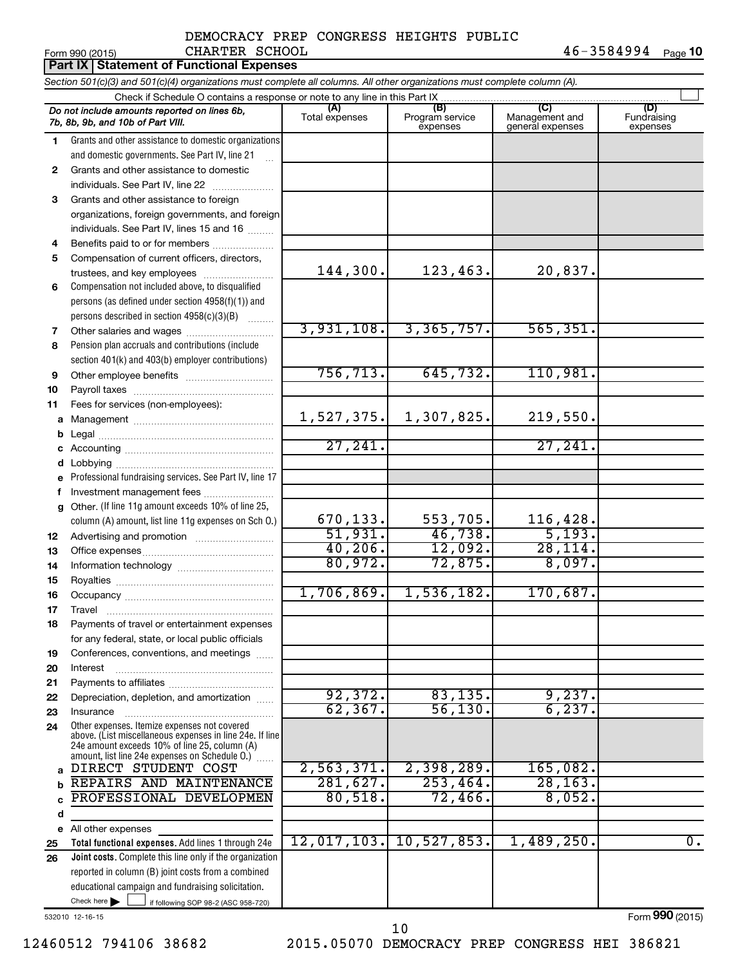#### Form 990 (2015) CHARTER SCHOOL 4 6-3 5 8 4 9 9 4 <sub>Page</sub> 1**0** DEMOCRACY PREP CONGRESS HEIGHTS PUBLIC CHARTER SCHOOL

|              | Part IX   Statement of Functional Expenses                                                                                                                |                       |                                    |                                           |                                |  |  |  |
|--------------|-----------------------------------------------------------------------------------------------------------------------------------------------------------|-----------------------|------------------------------------|-------------------------------------------|--------------------------------|--|--|--|
|              | Section 501(c)(3) and 501(c)(4) organizations must complete all columns. All other organizations must complete column (A).                                |                       |                                    |                                           |                                |  |  |  |
|              | Check if Schedule O contains a response or note to any line in this Part IX                                                                               |                       |                                    |                                           |                                |  |  |  |
|              | Do not include amounts reported on lines 6b,<br>7b, 8b, 9b, and 10b of Part VIII.                                                                         | (A)<br>Total expenses | (B)<br>Program service<br>expenses | (C)<br>Management and<br>general expenses | (D)<br>Fundraising<br>expenses |  |  |  |
| 1.           | Grants and other assistance to domestic organizations                                                                                                     |                       |                                    |                                           |                                |  |  |  |
|              | and domestic governments. See Part IV, line 21                                                                                                            |                       |                                    |                                           |                                |  |  |  |
| 2            | Grants and other assistance to domestic                                                                                                                   |                       |                                    |                                           |                                |  |  |  |
|              | individuals. See Part IV, line 22                                                                                                                         |                       |                                    |                                           |                                |  |  |  |
| 3            | Grants and other assistance to foreign                                                                                                                    |                       |                                    |                                           |                                |  |  |  |
|              | organizations, foreign governments, and foreign                                                                                                           |                       |                                    |                                           |                                |  |  |  |
|              | individuals. See Part IV, lines 15 and 16                                                                                                                 |                       |                                    |                                           |                                |  |  |  |
| 4            | Benefits paid to or for members                                                                                                                           |                       |                                    |                                           |                                |  |  |  |
| 5            | Compensation of current officers, directors,                                                                                                              | 144,300.              | 123, 463.                          | 20,837.                                   |                                |  |  |  |
|              | trustees, and key employees                                                                                                                               |                       |                                    |                                           |                                |  |  |  |
| 6            | Compensation not included above, to disqualified<br>persons (as defined under section 4958(f)(1)) and                                                     |                       |                                    |                                           |                                |  |  |  |
|              | persons described in section 4958(c)(3)(B)                                                                                                                |                       |                                    |                                           |                                |  |  |  |
| 7            | Other salaries and wages                                                                                                                                  | 3,931,108.            | 3,365,757.                         | 565, 351.                                 |                                |  |  |  |
| 8            | Pension plan accruals and contributions (include                                                                                                          |                       |                                    |                                           |                                |  |  |  |
|              | section 401(k) and 403(b) employer contributions)                                                                                                         |                       |                                    |                                           |                                |  |  |  |
| 9            | Other employee benefits                                                                                                                                   | 756, 713.             | 645,732.                           | 110,981.                                  |                                |  |  |  |
| 10           |                                                                                                                                                           |                       |                                    |                                           |                                |  |  |  |
| 11           | Fees for services (non-employees):                                                                                                                        |                       |                                    |                                           |                                |  |  |  |
|              |                                                                                                                                                           | 1,527,375.            | 1,307,825.                         | 219,550.                                  |                                |  |  |  |
| b            |                                                                                                                                                           |                       |                                    |                                           |                                |  |  |  |
|              |                                                                                                                                                           | 27,241.               |                                    | 27,241                                    |                                |  |  |  |
| d            |                                                                                                                                                           |                       |                                    |                                           |                                |  |  |  |
| e            | Professional fundraising services. See Part IV, line 17                                                                                                   |                       |                                    |                                           |                                |  |  |  |
| f            | Investment management fees                                                                                                                                |                       |                                    |                                           |                                |  |  |  |
| $\mathbf{q}$ | Other. (If line 11g amount exceeds 10% of line 25,                                                                                                        |                       |                                    |                                           |                                |  |  |  |
|              | column (A) amount, list line 11g expenses on Sch O.)                                                                                                      | 670,133.              | 553,705.                           | 116,428.                                  |                                |  |  |  |
| 12           |                                                                                                                                                           | 51,931.<br>40, 206.   | 46,738.<br>12,092.                 | 5,193.<br>28,114.                         |                                |  |  |  |
| 13           |                                                                                                                                                           | 80,972.               | 72,875.                            | 8,097.                                    |                                |  |  |  |
| 14           |                                                                                                                                                           |                       |                                    |                                           |                                |  |  |  |
| 15           |                                                                                                                                                           | 1,706,869.            | 1,536,182.                         | 170,687.                                  |                                |  |  |  |
| 16           |                                                                                                                                                           |                       |                                    |                                           |                                |  |  |  |
| 17<br>18     | Travel<br>Payments of travel or entertainment expenses                                                                                                    |                       |                                    |                                           |                                |  |  |  |
|              | for any federal, state, or local public officials                                                                                                         |                       |                                    |                                           |                                |  |  |  |
| 19           | Conferences, conventions, and meetings                                                                                                                    |                       |                                    |                                           |                                |  |  |  |
| 20           | Interest                                                                                                                                                  |                       |                                    |                                           |                                |  |  |  |
| 21           |                                                                                                                                                           |                       |                                    |                                           |                                |  |  |  |
| 22           | Depreciation, depletion, and amortization                                                                                                                 | 92, 372.              | 83,135.                            | 9,237.                                    |                                |  |  |  |
| 23           | Insurance                                                                                                                                                 | 62, 367.              | 56, 130.                           | 6, 237.                                   |                                |  |  |  |
| 24           | Other expenses. Itemize expenses not covered<br>above. (List miscellaneous expenses in line 24e. If line<br>24e amount exceeds 10% of line 25, column (A) |                       |                                    |                                           |                                |  |  |  |
|              | amount, list line 24e expenses on Schedule O.)                                                                                                            |                       |                                    |                                           |                                |  |  |  |
| $\mathbf{a}$ | DIRECT STUDENT COST                                                                                                                                       | 2,563,371.            | 2,398,289.                         | 165,082.                                  |                                |  |  |  |
| b            | REPAIRS AND MAINTENANCE                                                                                                                                   | 281,627.              | 253,464.                           | 28, 163.                                  |                                |  |  |  |
|              | PROFESSIONAL DEVELOPMEN                                                                                                                                   | 80,518.               | 72,466.                            | 8,052.                                    |                                |  |  |  |
| d            |                                                                                                                                                           |                       |                                    |                                           |                                |  |  |  |
|              | e All other expenses                                                                                                                                      | 12,017,103.           | 10, 527, 853.                      | 1,489,250.                                | $\overline{0}$ .               |  |  |  |
| 25           | Total functional expenses. Add lines 1 through 24e                                                                                                        |                       |                                    |                                           |                                |  |  |  |
| 26           | Joint costs. Complete this line only if the organization<br>reported in column (B) joint costs from a combined                                            |                       |                                    |                                           |                                |  |  |  |
|              | educational campaign and fundraising solicitation.                                                                                                        |                       |                                    |                                           |                                |  |  |  |
|              | Check here $\blacktriangleright$<br>if following SOP 98-2 (ASC 958-720)                                                                                   |                       |                                    |                                           |                                |  |  |  |

532010 12-16-15

12460512 794106 38682 2015.05070 DEMOCRACY PREP CONGRESS HEI 386821 10

Form (2015) **990**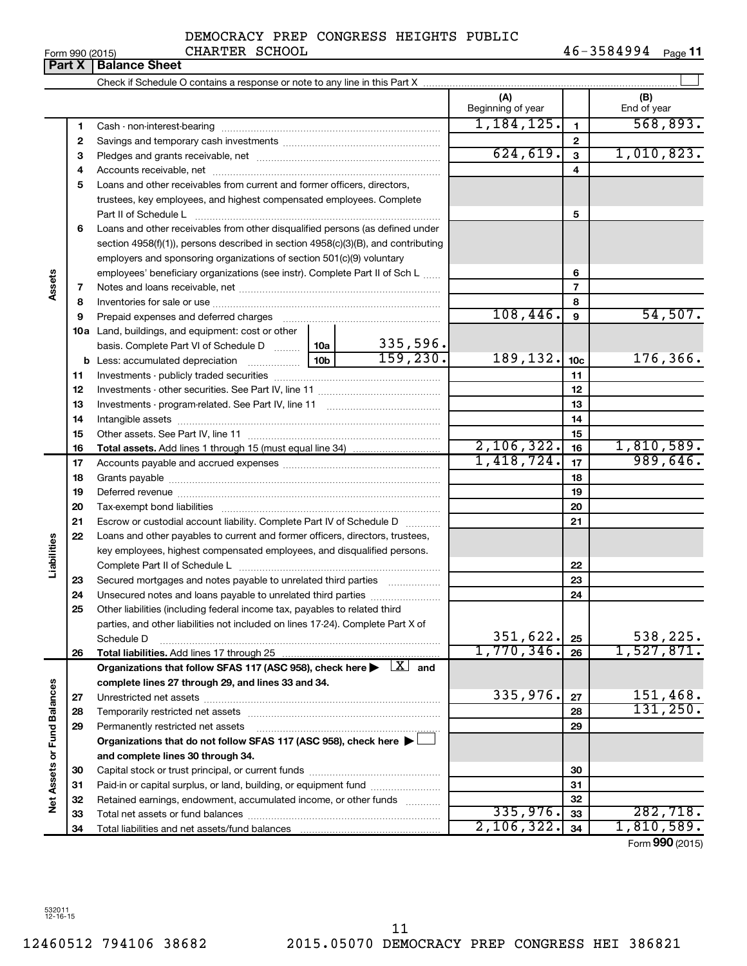#### Form 990 (2015) CHARTER SCHOOL 4 6-3 5 8 4 9 9 4 <sub>Page</sub> **11** DEMOCRACY PREP CONGRESS HEIGHTS PUBLIC CHARTER SCHOOL

| Part X               |    | <b>Balance Sheet</b>                                                                                                                                          |          |                          |                 |                    |
|----------------------|----|---------------------------------------------------------------------------------------------------------------------------------------------------------------|----------|--------------------------|-----------------|--------------------|
|                      |    |                                                                                                                                                               |          |                          |                 |                    |
|                      |    |                                                                                                                                                               |          | (A)<br>Beginning of year |                 | (B)<br>End of year |
|                      | 1  |                                                                                                                                                               |          | 1,184,125.               | 1               | 568,893.           |
|                      | 2  |                                                                                                                                                               |          |                          | 2               |                    |
|                      | 3  |                                                                                                                                                               |          | 624, 619.                | 3               | 1,010,823.         |
|                      | 4  |                                                                                                                                                               |          |                          | 4               |                    |
|                      | 5  | Loans and other receivables from current and former officers, directors,                                                                                      |          |                          |                 |                    |
|                      |    | trustees, key employees, and highest compensated employees. Complete                                                                                          |          |                          |                 |                    |
|                      |    | Part II of Schedule L                                                                                                                                         |          |                          | 5               |                    |
|                      | 6  | Loans and other receivables from other disqualified persons (as defined under                                                                                 |          |                          |                 |                    |
|                      |    | section $4958(f)(1)$ , persons described in section $4958(c)(3)(B)$ , and contributing                                                                        |          |                          |                 |                    |
|                      |    | employers and sponsoring organizations of section 501(c)(9) voluntary                                                                                         |          |                          |                 |                    |
|                      |    | employees' beneficiary organizations (see instr). Complete Part II of Sch L                                                                                   |          |                          | 6               |                    |
| Assets               | 7  |                                                                                                                                                               |          |                          | 7               |                    |
|                      | 8  |                                                                                                                                                               |          |                          | 8               |                    |
|                      | 9  |                                                                                                                                                               |          | 108,446.                 | 9               | 54,507.            |
|                      |    | <b>10a</b> Land, buildings, and equipment: cost or other                                                                                                      |          |                          |                 |                    |
|                      |    | basis. Complete Part VI of Schedule D  10a                                                                                                                    | 335,596. |                          |                 |                    |
|                      |    |                                                                                                                                                               | 159,230. | 189,132.                 | 10 <sub>c</sub> | 176,366.           |
|                      | 11 |                                                                                                                                                               |          |                          | 11              |                    |
|                      | 12 |                                                                                                                                                               |          |                          | 12              |                    |
|                      | 13 |                                                                                                                                                               |          |                          | 13              |                    |
|                      | 14 |                                                                                                                                                               |          |                          | 14              |                    |
|                      | 15 |                                                                                                                                                               |          |                          | 15              |                    |
|                      | 16 |                                                                                                                                                               |          | 2,106,322.               | 16              | 1,810,589.         |
|                      | 17 |                                                                                                                                                               |          | 1,418,724.               | 17              | 989,646.           |
|                      | 18 |                                                                                                                                                               |          |                          | 18              |                    |
|                      | 19 |                                                                                                                                                               |          |                          | 19              |                    |
|                      | 20 |                                                                                                                                                               |          |                          | 20              |                    |
|                      | 21 | Escrow or custodial account liability. Complete Part IV of Schedule D                                                                                         |          |                          | 21              |                    |
| Liabilities          | 22 | Loans and other payables to current and former officers, directors, trustees,                                                                                 |          |                          |                 |                    |
|                      |    | key employees, highest compensated employees, and disqualified persons.                                                                                       |          |                          |                 |                    |
|                      |    |                                                                                                                                                               |          |                          | 22              |                    |
|                      | 23 | Secured mortgages and notes payable to unrelated third parties                                                                                                |          |                          | 23              |                    |
|                      | 24 | Unsecured notes and loans payable to unrelated third parties                                                                                                  |          |                          | 24              |                    |
|                      | 25 | Other liabilities (including federal income tax, payables to related third<br>parties, and other liabilities not included on lines 17-24). Complete Part X of |          |                          |                 |                    |
|                      |    | Schedule D                                                                                                                                                    |          | 351,622.                 | 25              | 538,225.           |
|                      | 26 | Total liabilities. Add lines 17 through 25                                                                                                                    |          | 1,770,346.               | 26              | 1,527,871.         |
|                      |    | Organizations that follow SFAS 117 (ASC 958), check here $\blacktriangleright \begin{array}{c} \boxed{X} \\ \end{array}$ and                                  |          |                          |                 |                    |
|                      |    | complete lines 27 through 29, and lines 33 and 34.                                                                                                            |          |                          |                 |                    |
|                      | 27 |                                                                                                                                                               |          | 335,976.                 | 27              | 151,468.           |
| <b>Fund Balances</b> | 28 |                                                                                                                                                               |          |                          | 28              | 131, 250.          |
|                      | 29 | Permanently restricted net assets                                                                                                                             |          |                          | 29              |                    |
|                      |    | Organizations that do not follow SFAS 117 (ASC 958), check here >                                                                                             |          |                          |                 |                    |
|                      |    | and complete lines 30 through 34.                                                                                                                             |          |                          |                 |                    |
| Net Assets or        | 30 |                                                                                                                                                               |          |                          | 30              |                    |
|                      | 31 | Paid-in or capital surplus, or land, building, or equipment fund                                                                                              |          |                          | 31              |                    |
|                      | 32 | Retained earnings, endowment, accumulated income, or other funds                                                                                              |          |                          | 32              |                    |
|                      | 33 |                                                                                                                                                               |          | 335,976.                 | 33              | 282,718.           |
|                      | 34 |                                                                                                                                                               |          | 2,106,322.               | 34              | 1,810,589.         |
|                      |    |                                                                                                                                                               |          |                          |                 | Form 990 (2015)    |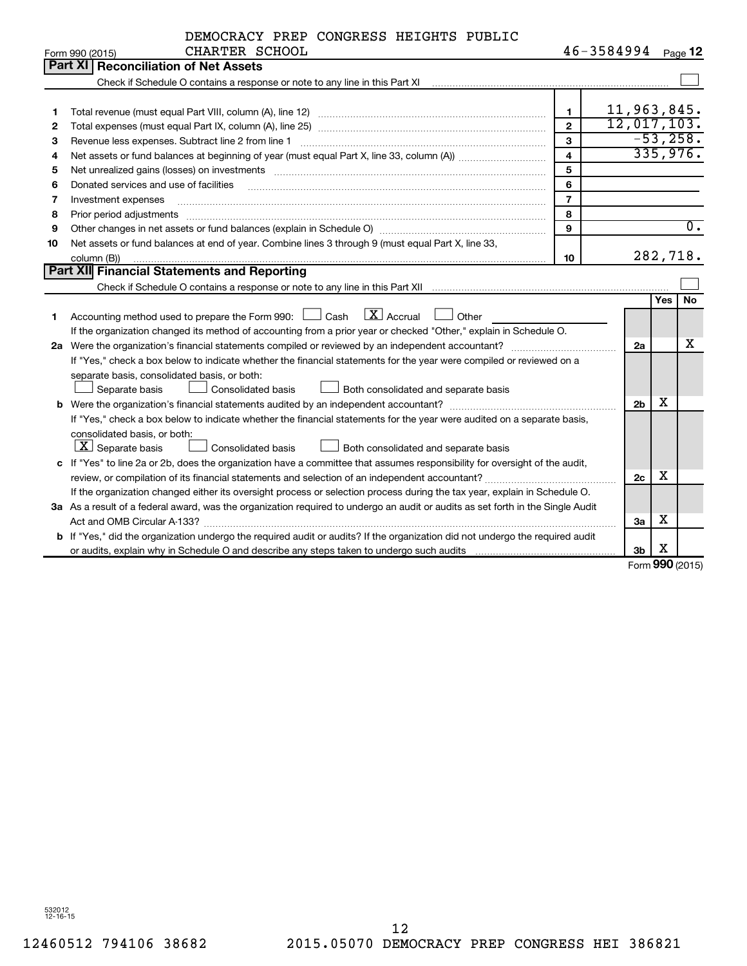|    | DEMOCRACY PREP CONGRESS HEIGHTS PUBLIC                                                                                          |                |                        |                |            |                  |
|----|---------------------------------------------------------------------------------------------------------------------------------|----------------|------------------------|----------------|------------|------------------|
|    | CHARTER SCHOOL<br>Form 990 (2015)                                                                                               |                | $46 - 3584994$ Page 12 |                |            |                  |
|    | Part XI   Reconciliation of Net Assets                                                                                          |                |                        |                |            |                  |
|    |                                                                                                                                 |                |                        |                |            |                  |
|    |                                                                                                                                 |                |                        |                |            |                  |
| 1  |                                                                                                                                 | $\mathbf{1}$   |                        |                |            | 11,963,845.      |
| 2  |                                                                                                                                 | $\overline{2}$ |                        |                |            | 12,017,103.      |
| 3  |                                                                                                                                 | 3              |                        |                |            | $-53,258.$       |
| 4  |                                                                                                                                 | 4              |                        |                |            | 335,976.         |
| 5  | Net unrealized gains (losses) on investments [111] www.martime.community.community.community.community.communi                  | 5              |                        |                |            |                  |
| 6  | Donated services and use of facilities                                                                                          | 6              |                        |                |            |                  |
| 7  | Investment expenses                                                                                                             | $\overline{7}$ |                        |                |            |                  |
| 8  | Prior period adjustments                                                                                                        | 8              |                        |                |            |                  |
| 9  |                                                                                                                                 | $\mathbf{Q}$   |                        |                |            | $\overline{0}$ . |
| 10 | Net assets or fund balances at end of year. Combine lines 3 through 9 (must equal Part X, line 33,                              |                |                        |                |            |                  |
|    | column (B))                                                                                                                     | 10             |                        |                |            | 282,718.         |
|    | Part XII Financial Statements and Reporting                                                                                     |                |                        |                |            |                  |
|    |                                                                                                                                 |                |                        |                |            |                  |
|    |                                                                                                                                 |                |                        |                | <b>Yes</b> | <b>No</b>        |
| 1  | $\boxed{\text{X}}$ Accrual<br>Accounting method used to prepare the Form 990: $\Box$ Cash<br>Other                              |                |                        |                |            |                  |
|    | If the organization changed its method of accounting from a prior year or checked "Other," explain in Schedule O.               |                |                        |                |            |                  |
|    |                                                                                                                                 |                |                        | 2a             |            | х                |
|    | If "Yes," check a box below to indicate whether the financial statements for the year were compiled or reviewed on a            |                |                        |                |            |                  |
|    | separate basis, consolidated basis, or both:                                                                                    |                |                        |                |            |                  |
|    | Separate basis<br><b>Consolidated basis</b><br>Both consolidated and separate basis                                             |                |                        |                |            |                  |
|    | <b>b</b> Were the organization's financial statements audited by an independent accountant?                                     |                |                        | 2 <sub>b</sub> | х          |                  |
|    | If "Yes," check a box below to indicate whether the financial statements for the year were audited on a separate basis,         |                |                        |                |            |                  |
|    | consolidated basis, or both:                                                                                                    |                |                        |                |            |                  |
|    | $\lfloor x \rfloor$ Separate basis<br>Both consolidated and separate basis<br>Consolidated basis                                |                |                        |                |            |                  |
|    | c If "Yes" to line 2a or 2b, does the organization have a committee that assumes responsibility for oversight of the audit,     |                |                        |                |            |                  |
|    |                                                                                                                                 |                |                        | 2c             | x          |                  |
|    | If the organization changed either its oversight process or selection process during the tax year, explain in Schedule O.       |                |                        |                |            |                  |
|    | 3a As a result of a federal award, was the organization required to undergo an audit or audits as set forth in the Single Audit |                |                        |                |            |                  |
|    |                                                                                                                                 |                |                        | За             | х          |                  |
|    | b If "Yes," did the organization undergo the required audit or audits? If the organization did not undergo the required audit   |                |                        |                |            |                  |
|    |                                                                                                                                 |                |                        | 3 <sub>b</sub> | X          |                  |

Form (2015) **990**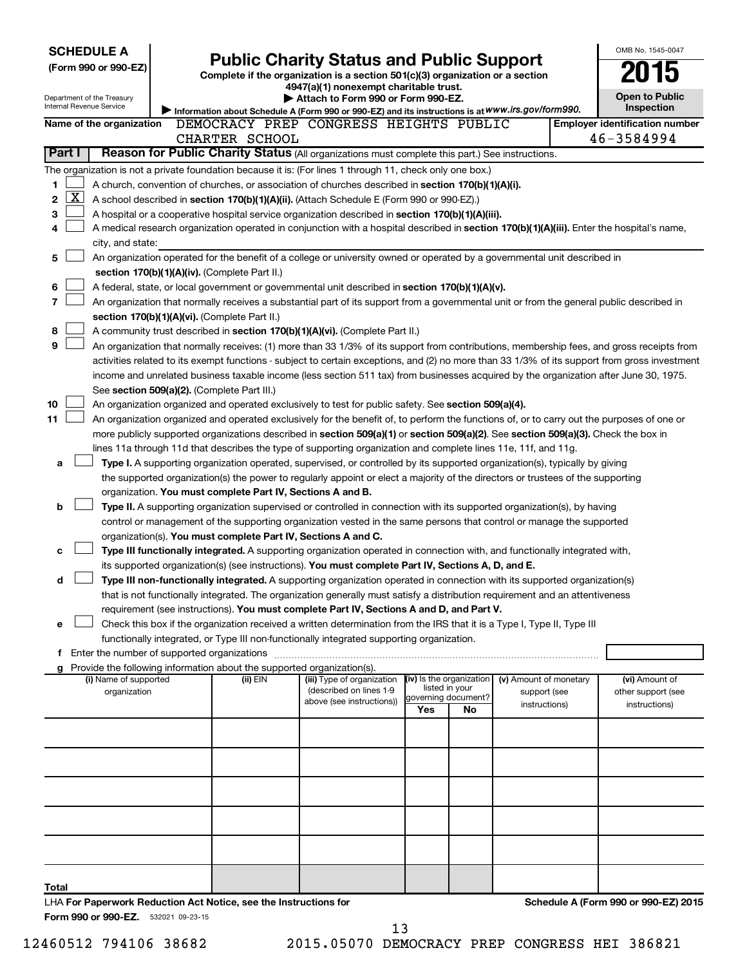| (Form 990 or 990-EZ)<br>Department of the Treasury<br>Internal Revenue Service<br>Name of the organization<br>Part I<br>1<br>$\overline{\text{X}}$<br>2<br>3<br>city, and state:<br>5<br>6<br>7 |                                                                                                                                                                                                                                                                                                                                                                                                                                                                                                                                                                                                                                                                                                                                                                                                                                                                                                                                                                                                                                                                                                                                                                                                                                                                                                                                                                                                                                                                                                                                                                                                                                                                                                                                                                                                                                                                                                                                                                                                                                                                                                                                                                                                                                                                                                                                                                                                                                                                                                                                                                                                                                                                                                                                                                                                                                                                                                                                                                                                                                                                                                                                                                                                                                                                                                                                                                                                                                                                                                                                                                                                                                                                                                                                                                                                                                                                                                                                                                                                                                                                                                                                                                                                                                                                                                                                                                                                           |  |  |  |                        | <b>Open to Public</b><br>Inspection<br><b>Employer identification number</b><br>46-3584994 |
|-------------------------------------------------------------------------------------------------------------------------------------------------------------------------------------------------|-----------------------------------------------------------------------------------------------------------------------------------------------------------------------------------------------------------------------------------------------------------------------------------------------------------------------------------------------------------------------------------------------------------------------------------------------------------------------------------------------------------------------------------------------------------------------------------------------------------------------------------------------------------------------------------------------------------------------------------------------------------------------------------------------------------------------------------------------------------------------------------------------------------------------------------------------------------------------------------------------------------------------------------------------------------------------------------------------------------------------------------------------------------------------------------------------------------------------------------------------------------------------------------------------------------------------------------------------------------------------------------------------------------------------------------------------------------------------------------------------------------------------------------------------------------------------------------------------------------------------------------------------------------------------------------------------------------------------------------------------------------------------------------------------------------------------------------------------------------------------------------------------------------------------------------------------------------------------------------------------------------------------------------------------------------------------------------------------------------------------------------------------------------------------------------------------------------------------------------------------------------------------------------------------------------------------------------------------------------------------------------------------------------------------------------------------------------------------------------------------------------------------------------------------------------------------------------------------------------------------------------------------------------------------------------------------------------------------------------------------------------------------------------------------------------------------------------------------------------------------------------------------------------------------------------------------------------------------------------------------------------------------------------------------------------------------------------------------------------------------------------------------------------------------------------------------------------------------------------------------------------------------------------------------------------------------------------------------------------------------------------------------------------------------------------------------------------------------------------------------------------------------------------------------------------------------------------------------------------------------------------------------------------------------------------------------------------------------------------------------------------------------------------------------------------------------------------------------------------------------------------------------------------------------------------------------------------------------------------------------------------------------------------------------------------------------------------------------------------------------------------------------------------------------------------------------------------------------------------------------------------------------------------------------------------------------------------------------------------------------------------------------------------|--|--|--|------------------------|--------------------------------------------------------------------------------------------|
|                                                                                                                                                                                                 |                                                                                                                                                                                                                                                                                                                                                                                                                                                                                                                                                                                                                                                                                                                                                                                                                                                                                                                                                                                                                                                                                                                                                                                                                                                                                                                                                                                                                                                                                                                                                                                                                                                                                                                                                                                                                                                                                                                                                                                                                                                                                                                                                                                                                                                                                                                                                                                                                                                                                                                                                                                                                                                                                                                                                                                                                                                                                                                                                                                                                                                                                                                                                                                                                                                                                                                                                                                                                                                                                                                                                                                                                                                                                                                                                                                                                                                                                                                                                                                                                                                                                                                                                                                                                                                                                                                                                                                                           |  |  |  |                        |                                                                                            |
|                                                                                                                                                                                                 |                                                                                                                                                                                                                                                                                                                                                                                                                                                                                                                                                                                                                                                                                                                                                                                                                                                                                                                                                                                                                                                                                                                                                                                                                                                                                                                                                                                                                                                                                                                                                                                                                                                                                                                                                                                                                                                                                                                                                                                                                                                                                                                                                                                                                                                                                                                                                                                                                                                                                                                                                                                                                                                                                                                                                                                                                                                                                                                                                                                                                                                                                                                                                                                                                                                                                                                                                                                                                                                                                                                                                                                                                                                                                                                                                                                                                                                                                                                                                                                                                                                                                                                                                                                                                                                                                                                                                                                                           |  |  |  |                        |                                                                                            |
|                                                                                                                                                                                                 |                                                                                                                                                                                                                                                                                                                                                                                                                                                                                                                                                                                                                                                                                                                                                                                                                                                                                                                                                                                                                                                                                                                                                                                                                                                                                                                                                                                                                                                                                                                                                                                                                                                                                                                                                                                                                                                                                                                                                                                                                                                                                                                                                                                                                                                                                                                                                                                                                                                                                                                                                                                                                                                                                                                                                                                                                                                                                                                                                                                                                                                                                                                                                                                                                                                                                                                                                                                                                                                                                                                                                                                                                                                                                                                                                                                                                                                                                                                                                                                                                                                                                                                                                                                                                                                                                                                                                                                                           |  |  |  |                        |                                                                                            |
|                                                                                                                                                                                                 |                                                                                                                                                                                                                                                                                                                                                                                                                                                                                                                                                                                                                                                                                                                                                                                                                                                                                                                                                                                                                                                                                                                                                                                                                                                                                                                                                                                                                                                                                                                                                                                                                                                                                                                                                                                                                                                                                                                                                                                                                                                                                                                                                                                                                                                                                                                                                                                                                                                                                                                                                                                                                                                                                                                                                                                                                                                                                                                                                                                                                                                                                                                                                                                                                                                                                                                                                                                                                                                                                                                                                                                                                                                                                                                                                                                                                                                                                                                                                                                                                                                                                                                                                                                                                                                                                                                                                                                                           |  |  |  |                        |                                                                                            |
|                                                                                                                                                                                                 | <b>SCHEDULE A</b><br><b>Public Charity Status and Public Support</b><br>Complete if the organization is a section 501(c)(3) organization or a section<br>4947(a)(1) nonexempt charitable trust.<br>Attach to Form 990 or Form 990-EZ.<br>Information about Schedule A (Form 990 or 990-EZ) and its instructions is at WWW.irs.gov/form990.<br>DEMOCRACY PREP CONGRESS HEIGHTS PUBLIC<br>CHARTER SCHOOL<br>Reason for Public Charity Status (All organizations must complete this part.) See instructions.<br>The organization is not a private foundation because it is: (For lines 1 through 11, check only one box.)<br>A church, convention of churches, or association of churches described in section 170(b)(1)(A)(i).<br>A school described in section 170(b)(1)(A)(ii). (Attach Schedule E (Form 990 or 990-EZ).)<br>A hospital or a cooperative hospital service organization described in section 170(b)(1)(A)(iii).<br>A medical research organization operated in conjunction with a hospital described in section 170(b)(1)(A)(iii). Enter the hospital's name,<br>An organization operated for the benefit of a college or university owned or operated by a governmental unit described in<br>section 170(b)(1)(A)(iv). (Complete Part II.)<br>A federal, state, or local government or governmental unit described in section 170(b)(1)(A)(v).<br>An organization that normally receives a substantial part of its support from a governmental unit or from the general public described in<br>section 170(b)(1)(A)(vi). (Complete Part II.)<br>A community trust described in section 170(b)(1)(A)(vi). (Complete Part II.)<br>An organization that normally receives: (1) more than 33 1/3% of its support from contributions, membership fees, and gross receipts from<br>activities related to its exempt functions - subject to certain exceptions, and (2) no more than 33 1/3% of its support from gross investment<br>income and unrelated business taxable income (less section 511 tax) from businesses acquired by the organization after June 30, 1975.<br>See section 509(a)(2). (Complete Part III.)<br>An organization organized and operated exclusively to test for public safety. See section 509(a)(4).<br>An organization organized and operated exclusively for the benefit of, to perform the functions of, or to carry out the purposes of one or<br>more publicly supported organizations described in section 509(a)(1) or section 509(a)(2). See section 509(a)(3). Check the box in<br>lines 11a through 11d that describes the type of supporting organization and complete lines 11e, 11f, and 11g.<br>Type I. A supporting organization operated, supervised, or controlled by its supported organization(s), typically by giving<br>the supported organization(s) the power to regularly appoint or elect a majority of the directors or trustees of the supporting<br>organization. You must complete Part IV, Sections A and B.<br>Type II. A supporting organization supervised or controlled in connection with its supported organization(s), by having<br>control or management of the supporting organization vested in the same persons that control or manage the supported<br>organization(s). You must complete Part IV, Sections A and C.<br>Type III functionally integrated. A supporting organization operated in connection with, and functionally integrated with,<br>its supported organization(s) (see instructions). You must complete Part IV, Sections A, D, and E.<br>Type III non-functionally integrated. A supporting organization operated in connection with its supported organization(s)<br>that is not functionally integrated. The organization generally must satisfy a distribution requirement and an attentiveness<br>requirement (see instructions). You must complete Part IV, Sections A and D, and Part V.<br>Check this box if the organization received a written determination from the IRS that it is a Type I, Type II, Type III<br>functionally integrated, or Type III non-functionally integrated supporting organization.<br>g Provide the following information about the supported organization(s).<br>(iv) Is the organization<br>(ii) EIN<br>(iii) Type of organization<br>listed in your<br>(described on lines 1-9<br>organization<br>governing document?<br>above (see instructions))<br>Yes<br>No |  |  |  |                        |                                                                                            |
|                                                                                                                                                                                                 |                                                                                                                                                                                                                                                                                                                                                                                                                                                                                                                                                                                                                                                                                                                                                                                                                                                                                                                                                                                                                                                                                                                                                                                                                                                                                                                                                                                                                                                                                                                                                                                                                                                                                                                                                                                                                                                                                                                                                                                                                                                                                                                                                                                                                                                                                                                                                                                                                                                                                                                                                                                                                                                                                                                                                                                                                                                                                                                                                                                                                                                                                                                                                                                                                                                                                                                                                                                                                                                                                                                                                                                                                                                                                                                                                                                                                                                                                                                                                                                                                                                                                                                                                                                                                                                                                                                                                                                                           |  |  |  |                        |                                                                                            |
|                                                                                                                                                                                                 |                                                                                                                                                                                                                                                                                                                                                                                                                                                                                                                                                                                                                                                                                                                                                                                                                                                                                                                                                                                                                                                                                                                                                                                                                                                                                                                                                                                                                                                                                                                                                                                                                                                                                                                                                                                                                                                                                                                                                                                                                                                                                                                                                                                                                                                                                                                                                                                                                                                                                                                                                                                                                                                                                                                                                                                                                                                                                                                                                                                                                                                                                                                                                                                                                                                                                                                                                                                                                                                                                                                                                                                                                                                                                                                                                                                                                                                                                                                                                                                                                                                                                                                                                                                                                                                                                                                                                                                                           |  |  |  |                        |                                                                                            |
|                                                                                                                                                                                                 |                                                                                                                                                                                                                                                                                                                                                                                                                                                                                                                                                                                                                                                                                                                                                                                                                                                                                                                                                                                                                                                                                                                                                                                                                                                                                                                                                                                                                                                                                                                                                                                                                                                                                                                                                                                                                                                                                                                                                                                                                                                                                                                                                                                                                                                                                                                                                                                                                                                                                                                                                                                                                                                                                                                                                                                                                                                                                                                                                                                                                                                                                                                                                                                                                                                                                                                                                                                                                                                                                                                                                                                                                                                                                                                                                                                                                                                                                                                                                                                                                                                                                                                                                                                                                                                                                                                                                                                                           |  |  |  |                        |                                                                                            |
|                                                                                                                                                                                                 |                                                                                                                                                                                                                                                                                                                                                                                                                                                                                                                                                                                                                                                                                                                                                                                                                                                                                                                                                                                                                                                                                                                                                                                                                                                                                                                                                                                                                                                                                                                                                                                                                                                                                                                                                                                                                                                                                                                                                                                                                                                                                                                                                                                                                                                                                                                                                                                                                                                                                                                                                                                                                                                                                                                                                                                                                                                                                                                                                                                                                                                                                                                                                                                                                                                                                                                                                                                                                                                                                                                                                                                                                                                                                                                                                                                                                                                                                                                                                                                                                                                                                                                                                                                                                                                                                                                                                                                                           |  |  |  |                        |                                                                                            |
|                                                                                                                                                                                                 |                                                                                                                                                                                                                                                                                                                                                                                                                                                                                                                                                                                                                                                                                                                                                                                                                                                                                                                                                                                                                                                                                                                                                                                                                                                                                                                                                                                                                                                                                                                                                                                                                                                                                                                                                                                                                                                                                                                                                                                                                                                                                                                                                                                                                                                                                                                                                                                                                                                                                                                                                                                                                                                                                                                                                                                                                                                                                                                                                                                                                                                                                                                                                                                                                                                                                                                                                                                                                                                                                                                                                                                                                                                                                                                                                                                                                                                                                                                                                                                                                                                                                                                                                                                                                                                                                                                                                                                                           |  |  |  |                        |                                                                                            |
|                                                                                                                                                                                                 |                                                                                                                                                                                                                                                                                                                                                                                                                                                                                                                                                                                                                                                                                                                                                                                                                                                                                                                                                                                                                                                                                                                                                                                                                                                                                                                                                                                                                                                                                                                                                                                                                                                                                                                                                                                                                                                                                                                                                                                                                                                                                                                                                                                                                                                                                                                                                                                                                                                                                                                                                                                                                                                                                                                                                                                                                                                                                                                                                                                                                                                                                                                                                                                                                                                                                                                                                                                                                                                                                                                                                                                                                                                                                                                                                                                                                                                                                                                                                                                                                                                                                                                                                                                                                                                                                                                                                                                                           |  |  |  |                        |                                                                                            |
|                                                                                                                                                                                                 |                                                                                                                                                                                                                                                                                                                                                                                                                                                                                                                                                                                                                                                                                                                                                                                                                                                                                                                                                                                                                                                                                                                                                                                                                                                                                                                                                                                                                                                                                                                                                                                                                                                                                                                                                                                                                                                                                                                                                                                                                                                                                                                                                                                                                                                                                                                                                                                                                                                                                                                                                                                                                                                                                                                                                                                                                                                                                                                                                                                                                                                                                                                                                                                                                                                                                                                                                                                                                                                                                                                                                                                                                                                                                                                                                                                                                                                                                                                                                                                                                                                                                                                                                                                                                                                                                                                                                                                                           |  |  |  |                        |                                                                                            |
|                                                                                                                                                                                                 |                                                                                                                                                                                                                                                                                                                                                                                                                                                                                                                                                                                                                                                                                                                                                                                                                                                                                                                                                                                                                                                                                                                                                                                                                                                                                                                                                                                                                                                                                                                                                                                                                                                                                                                                                                                                                                                                                                                                                                                                                                                                                                                                                                                                                                                                                                                                                                                                                                                                                                                                                                                                                                                                                                                                                                                                                                                                                                                                                                                                                                                                                                                                                                                                                                                                                                                                                                                                                                                                                                                                                                                                                                                                                                                                                                                                                                                                                                                                                                                                                                                                                                                                                                                                                                                                                                                                                                                                           |  |  |  |                        |                                                                                            |
|                                                                                                                                                                                                 |                                                                                                                                                                                                                                                                                                                                                                                                                                                                                                                                                                                                                                                                                                                                                                                                                                                                                                                                                                                                                                                                                                                                                                                                                                                                                                                                                                                                                                                                                                                                                                                                                                                                                                                                                                                                                                                                                                                                                                                                                                                                                                                                                                                                                                                                                                                                                                                                                                                                                                                                                                                                                                                                                                                                                                                                                                                                                                                                                                                                                                                                                                                                                                                                                                                                                                                                                                                                                                                                                                                                                                                                                                                                                                                                                                                                                                                                                                                                                                                                                                                                                                                                                                                                                                                                                                                                                                                                           |  |  |  |                        |                                                                                            |
|                                                                                                                                                                                                 |                                                                                                                                                                                                                                                                                                                                                                                                                                                                                                                                                                                                                                                                                                                                                                                                                                                                                                                                                                                                                                                                                                                                                                                                                                                                                                                                                                                                                                                                                                                                                                                                                                                                                                                                                                                                                                                                                                                                                                                                                                                                                                                                                                                                                                                                                                                                                                                                                                                                                                                                                                                                                                                                                                                                                                                                                                                                                                                                                                                                                                                                                                                                                                                                                                                                                                                                                                                                                                                                                                                                                                                                                                                                                                                                                                                                                                                                                                                                                                                                                                                                                                                                                                                                                                                                                                                                                                                                           |  |  |  |                        |                                                                                            |
|                                                                                                                                                                                                 |                                                                                                                                                                                                                                                                                                                                                                                                                                                                                                                                                                                                                                                                                                                                                                                                                                                                                                                                                                                                                                                                                                                                                                                                                                                                                                                                                                                                                                                                                                                                                                                                                                                                                                                                                                                                                                                                                                                                                                                                                                                                                                                                                                                                                                                                                                                                                                                                                                                                                                                                                                                                                                                                                                                                                                                                                                                                                                                                                                                                                                                                                                                                                                                                                                                                                                                                                                                                                                                                                                                                                                                                                                                                                                                                                                                                                                                                                                                                                                                                                                                                                                                                                                                                                                                                                                                                                                                                           |  |  |  |                        |                                                                                            |
|                                                                                                                                                                                                 |                                                                                                                                                                                                                                                                                                                                                                                                                                                                                                                                                                                                                                                                                                                                                                                                                                                                                                                                                                                                                                                                                                                                                                                                                                                                                                                                                                                                                                                                                                                                                                                                                                                                                                                                                                                                                                                                                                                                                                                                                                                                                                                                                                                                                                                                                                                                                                                                                                                                                                                                                                                                                                                                                                                                                                                                                                                                                                                                                                                                                                                                                                                                                                                                                                                                                                                                                                                                                                                                                                                                                                                                                                                                                                                                                                                                                                                                                                                                                                                                                                                                                                                                                                                                                                                                                                                                                                                                           |  |  |  |                        |                                                                                            |
|                                                                                                                                                                                                 |                                                                                                                                                                                                                                                                                                                                                                                                                                                                                                                                                                                                                                                                                                                                                                                                                                                                                                                                                                                                                                                                                                                                                                                                                                                                                                                                                                                                                                                                                                                                                                                                                                                                                                                                                                                                                                                                                                                                                                                                                                                                                                                                                                                                                                                                                                                                                                                                                                                                                                                                                                                                                                                                                                                                                                                                                                                                                                                                                                                                                                                                                                                                                                                                                                                                                                                                                                                                                                                                                                                                                                                                                                                                                                                                                                                                                                                                                                                                                                                                                                                                                                                                                                                                                                                                                                                                                                                                           |  |  |  |                        |                                                                                            |
| 8                                                                                                                                                                                               |                                                                                                                                                                                                                                                                                                                                                                                                                                                                                                                                                                                                                                                                                                                                                                                                                                                                                                                                                                                                                                                                                                                                                                                                                                                                                                                                                                                                                                                                                                                                                                                                                                                                                                                                                                                                                                                                                                                                                                                                                                                                                                                                                                                                                                                                                                                                                                                                                                                                                                                                                                                                                                                                                                                                                                                                                                                                                                                                                                                                                                                                                                                                                                                                                                                                                                                                                                                                                                                                                                                                                                                                                                                                                                                                                                                                                                                                                                                                                                                                                                                                                                                                                                                                                                                                                                                                                                                                           |  |  |  |                        |                                                                                            |
| 9                                                                                                                                                                                               |                                                                                                                                                                                                                                                                                                                                                                                                                                                                                                                                                                                                                                                                                                                                                                                                                                                                                                                                                                                                                                                                                                                                                                                                                                                                                                                                                                                                                                                                                                                                                                                                                                                                                                                                                                                                                                                                                                                                                                                                                                                                                                                                                                                                                                                                                                                                                                                                                                                                                                                                                                                                                                                                                                                                                                                                                                                                                                                                                                                                                                                                                                                                                                                                                                                                                                                                                                                                                                                                                                                                                                                                                                                                                                                                                                                                                                                                                                                                                                                                                                                                                                                                                                                                                                                                                                                                                                                                           |  |  |  |                        |                                                                                            |
|                                                                                                                                                                                                 |                                                                                                                                                                                                                                                                                                                                                                                                                                                                                                                                                                                                                                                                                                                                                                                                                                                                                                                                                                                                                                                                                                                                                                                                                                                                                                                                                                                                                                                                                                                                                                                                                                                                                                                                                                                                                                                                                                                                                                                                                                                                                                                                                                                                                                                                                                                                                                                                                                                                                                                                                                                                                                                                                                                                                                                                                                                                                                                                                                                                                                                                                                                                                                                                                                                                                                                                                                                                                                                                                                                                                                                                                                                                                                                                                                                                                                                                                                                                                                                                                                                                                                                                                                                                                                                                                                                                                                                                           |  |  |  |                        |                                                                                            |
|                                                                                                                                                                                                 |                                                                                                                                                                                                                                                                                                                                                                                                                                                                                                                                                                                                                                                                                                                                                                                                                                                                                                                                                                                                                                                                                                                                                                                                                                                                                                                                                                                                                                                                                                                                                                                                                                                                                                                                                                                                                                                                                                                                                                                                                                                                                                                                                                                                                                                                                                                                                                                                                                                                                                                                                                                                                                                                                                                                                                                                                                                                                                                                                                                                                                                                                                                                                                                                                                                                                                                                                                                                                                                                                                                                                                                                                                                                                                                                                                                                                                                                                                                                                                                                                                                                                                                                                                                                                                                                                                                                                                                                           |  |  |  |                        |                                                                                            |
|                                                                                                                                                                                                 |                                                                                                                                                                                                                                                                                                                                                                                                                                                                                                                                                                                                                                                                                                                                                                                                                                                                                                                                                                                                                                                                                                                                                                                                                                                                                                                                                                                                                                                                                                                                                                                                                                                                                                                                                                                                                                                                                                                                                                                                                                                                                                                                                                                                                                                                                                                                                                                                                                                                                                                                                                                                                                                                                                                                                                                                                                                                                                                                                                                                                                                                                                                                                                                                                                                                                                                                                                                                                                                                                                                                                                                                                                                                                                                                                                                                                                                                                                                                                                                                                                                                                                                                                                                                                                                                                                                                                                                                           |  |  |  |                        |                                                                                            |
| 10                                                                                                                                                                                              |                                                                                                                                                                                                                                                                                                                                                                                                                                                                                                                                                                                                                                                                                                                                                                                                                                                                                                                                                                                                                                                                                                                                                                                                                                                                                                                                                                                                                                                                                                                                                                                                                                                                                                                                                                                                                                                                                                                                                                                                                                                                                                                                                                                                                                                                                                                                                                                                                                                                                                                                                                                                                                                                                                                                                                                                                                                                                                                                                                                                                                                                                                                                                                                                                                                                                                                                                                                                                                                                                                                                                                                                                                                                                                                                                                                                                                                                                                                                                                                                                                                                                                                                                                                                                                                                                                                                                                                                           |  |  |  |                        |                                                                                            |
| 11                                                                                                                                                                                              |                                                                                                                                                                                                                                                                                                                                                                                                                                                                                                                                                                                                                                                                                                                                                                                                                                                                                                                                                                                                                                                                                                                                                                                                                                                                                                                                                                                                                                                                                                                                                                                                                                                                                                                                                                                                                                                                                                                                                                                                                                                                                                                                                                                                                                                                                                                                                                                                                                                                                                                                                                                                                                                                                                                                                                                                                                                                                                                                                                                                                                                                                                                                                                                                                                                                                                                                                                                                                                                                                                                                                                                                                                                                                                                                                                                                                                                                                                                                                                                                                                                                                                                                                                                                                                                                                                                                                                                                           |  |  |  |                        |                                                                                            |
|                                                                                                                                                                                                 |                                                                                                                                                                                                                                                                                                                                                                                                                                                                                                                                                                                                                                                                                                                                                                                                                                                                                                                                                                                                                                                                                                                                                                                                                                                                                                                                                                                                                                                                                                                                                                                                                                                                                                                                                                                                                                                                                                                                                                                                                                                                                                                                                                                                                                                                                                                                                                                                                                                                                                                                                                                                                                                                                                                                                                                                                                                                                                                                                                                                                                                                                                                                                                                                                                                                                                                                                                                                                                                                                                                                                                                                                                                                                                                                                                                                                                                                                                                                                                                                                                                                                                                                                                                                                                                                                                                                                                                                           |  |  |  |                        |                                                                                            |
|                                                                                                                                                                                                 |                                                                                                                                                                                                                                                                                                                                                                                                                                                                                                                                                                                                                                                                                                                                                                                                                                                                                                                                                                                                                                                                                                                                                                                                                                                                                                                                                                                                                                                                                                                                                                                                                                                                                                                                                                                                                                                                                                                                                                                                                                                                                                                                                                                                                                                                                                                                                                                                                                                                                                                                                                                                                                                                                                                                                                                                                                                                                                                                                                                                                                                                                                                                                                                                                                                                                                                                                                                                                                                                                                                                                                                                                                                                                                                                                                                                                                                                                                                                                                                                                                                                                                                                                                                                                                                                                                                                                                                                           |  |  |  |                        |                                                                                            |
| a                                                                                                                                                                                               |                                                                                                                                                                                                                                                                                                                                                                                                                                                                                                                                                                                                                                                                                                                                                                                                                                                                                                                                                                                                                                                                                                                                                                                                                                                                                                                                                                                                                                                                                                                                                                                                                                                                                                                                                                                                                                                                                                                                                                                                                                                                                                                                                                                                                                                                                                                                                                                                                                                                                                                                                                                                                                                                                                                                                                                                                                                                                                                                                                                                                                                                                                                                                                                                                                                                                                                                                                                                                                                                                                                                                                                                                                                                                                                                                                                                                                                                                                                                                                                                                                                                                                                                                                                                                                                                                                                                                                                                           |  |  |  |                        |                                                                                            |
|                                                                                                                                                                                                 |                                                                                                                                                                                                                                                                                                                                                                                                                                                                                                                                                                                                                                                                                                                                                                                                                                                                                                                                                                                                                                                                                                                                                                                                                                                                                                                                                                                                                                                                                                                                                                                                                                                                                                                                                                                                                                                                                                                                                                                                                                                                                                                                                                                                                                                                                                                                                                                                                                                                                                                                                                                                                                                                                                                                                                                                                                                                                                                                                                                                                                                                                                                                                                                                                                                                                                                                                                                                                                                                                                                                                                                                                                                                                                                                                                                                                                                                                                                                                                                                                                                                                                                                                                                                                                                                                                                                                                                                           |  |  |  |                        |                                                                                            |
|                                                                                                                                                                                                 |                                                                                                                                                                                                                                                                                                                                                                                                                                                                                                                                                                                                                                                                                                                                                                                                                                                                                                                                                                                                                                                                                                                                                                                                                                                                                                                                                                                                                                                                                                                                                                                                                                                                                                                                                                                                                                                                                                                                                                                                                                                                                                                                                                                                                                                                                                                                                                                                                                                                                                                                                                                                                                                                                                                                                                                                                                                                                                                                                                                                                                                                                                                                                                                                                                                                                                                                                                                                                                                                                                                                                                                                                                                                                                                                                                                                                                                                                                                                                                                                                                                                                                                                                                                                                                                                                                                                                                                                           |  |  |  |                        |                                                                                            |
| b                                                                                                                                                                                               |                                                                                                                                                                                                                                                                                                                                                                                                                                                                                                                                                                                                                                                                                                                                                                                                                                                                                                                                                                                                                                                                                                                                                                                                                                                                                                                                                                                                                                                                                                                                                                                                                                                                                                                                                                                                                                                                                                                                                                                                                                                                                                                                                                                                                                                                                                                                                                                                                                                                                                                                                                                                                                                                                                                                                                                                                                                                                                                                                                                                                                                                                                                                                                                                                                                                                                                                                                                                                                                                                                                                                                                                                                                                                                                                                                                                                                                                                                                                                                                                                                                                                                                                                                                                                                                                                                                                                                                                           |  |  |  |                        |                                                                                            |
|                                                                                                                                                                                                 |                                                                                                                                                                                                                                                                                                                                                                                                                                                                                                                                                                                                                                                                                                                                                                                                                                                                                                                                                                                                                                                                                                                                                                                                                                                                                                                                                                                                                                                                                                                                                                                                                                                                                                                                                                                                                                                                                                                                                                                                                                                                                                                                                                                                                                                                                                                                                                                                                                                                                                                                                                                                                                                                                                                                                                                                                                                                                                                                                                                                                                                                                                                                                                                                                                                                                                                                                                                                                                                                                                                                                                                                                                                                                                                                                                                                                                                                                                                                                                                                                                                                                                                                                                                                                                                                                                                                                                                                           |  |  |  |                        |                                                                                            |
|                                                                                                                                                                                                 |                                                                                                                                                                                                                                                                                                                                                                                                                                                                                                                                                                                                                                                                                                                                                                                                                                                                                                                                                                                                                                                                                                                                                                                                                                                                                                                                                                                                                                                                                                                                                                                                                                                                                                                                                                                                                                                                                                                                                                                                                                                                                                                                                                                                                                                                                                                                                                                                                                                                                                                                                                                                                                                                                                                                                                                                                                                                                                                                                                                                                                                                                                                                                                                                                                                                                                                                                                                                                                                                                                                                                                                                                                                                                                                                                                                                                                                                                                                                                                                                                                                                                                                                                                                                                                                                                                                                                                                                           |  |  |  |                        |                                                                                            |
|                                                                                                                                                                                                 |                                                                                                                                                                                                                                                                                                                                                                                                                                                                                                                                                                                                                                                                                                                                                                                                                                                                                                                                                                                                                                                                                                                                                                                                                                                                                                                                                                                                                                                                                                                                                                                                                                                                                                                                                                                                                                                                                                                                                                                                                                                                                                                                                                                                                                                                                                                                                                                                                                                                                                                                                                                                                                                                                                                                                                                                                                                                                                                                                                                                                                                                                                                                                                                                                                                                                                                                                                                                                                                                                                                                                                                                                                                                                                                                                                                                                                                                                                                                                                                                                                                                                                                                                                                                                                                                                                                                                                                                           |  |  |  |                        |                                                                                            |
| d                                                                                                                                                                                               |                                                                                                                                                                                                                                                                                                                                                                                                                                                                                                                                                                                                                                                                                                                                                                                                                                                                                                                                                                                                                                                                                                                                                                                                                                                                                                                                                                                                                                                                                                                                                                                                                                                                                                                                                                                                                                                                                                                                                                                                                                                                                                                                                                                                                                                                                                                                                                                                                                                                                                                                                                                                                                                                                                                                                                                                                                                                                                                                                                                                                                                                                                                                                                                                                                                                                                                                                                                                                                                                                                                                                                                                                                                                                                                                                                                                                                                                                                                                                                                                                                                                                                                                                                                                                                                                                                                                                                                                           |  |  |  |                        |                                                                                            |
|                                                                                                                                                                                                 |                                                                                                                                                                                                                                                                                                                                                                                                                                                                                                                                                                                                                                                                                                                                                                                                                                                                                                                                                                                                                                                                                                                                                                                                                                                                                                                                                                                                                                                                                                                                                                                                                                                                                                                                                                                                                                                                                                                                                                                                                                                                                                                                                                                                                                                                                                                                                                                                                                                                                                                                                                                                                                                                                                                                                                                                                                                                                                                                                                                                                                                                                                                                                                                                                                                                                                                                                                                                                                                                                                                                                                                                                                                                                                                                                                                                                                                                                                                                                                                                                                                                                                                                                                                                                                                                                                                                                                                                           |  |  |  |                        |                                                                                            |
|                                                                                                                                                                                                 |                                                                                                                                                                                                                                                                                                                                                                                                                                                                                                                                                                                                                                                                                                                                                                                                                                                                                                                                                                                                                                                                                                                                                                                                                                                                                                                                                                                                                                                                                                                                                                                                                                                                                                                                                                                                                                                                                                                                                                                                                                                                                                                                                                                                                                                                                                                                                                                                                                                                                                                                                                                                                                                                                                                                                                                                                                                                                                                                                                                                                                                                                                                                                                                                                                                                                                                                                                                                                                                                                                                                                                                                                                                                                                                                                                                                                                                                                                                                                                                                                                                                                                                                                                                                                                                                                                                                                                                                           |  |  |  |                        |                                                                                            |
| е                                                                                                                                                                                               |                                                                                                                                                                                                                                                                                                                                                                                                                                                                                                                                                                                                                                                                                                                                                                                                                                                                                                                                                                                                                                                                                                                                                                                                                                                                                                                                                                                                                                                                                                                                                                                                                                                                                                                                                                                                                                                                                                                                                                                                                                                                                                                                                                                                                                                                                                                                                                                                                                                                                                                                                                                                                                                                                                                                                                                                                                                                                                                                                                                                                                                                                                                                                                                                                                                                                                                                                                                                                                                                                                                                                                                                                                                                                                                                                                                                                                                                                                                                                                                                                                                                                                                                                                                                                                                                                                                                                                                                           |  |  |  |                        |                                                                                            |
|                                                                                                                                                                                                 |                                                                                                                                                                                                                                                                                                                                                                                                                                                                                                                                                                                                                                                                                                                                                                                                                                                                                                                                                                                                                                                                                                                                                                                                                                                                                                                                                                                                                                                                                                                                                                                                                                                                                                                                                                                                                                                                                                                                                                                                                                                                                                                                                                                                                                                                                                                                                                                                                                                                                                                                                                                                                                                                                                                                                                                                                                                                                                                                                                                                                                                                                                                                                                                                                                                                                                                                                                                                                                                                                                                                                                                                                                                                                                                                                                                                                                                                                                                                                                                                                                                                                                                                                                                                                                                                                                                                                                                                           |  |  |  |                        |                                                                                            |
|                                                                                                                                                                                                 |                                                                                                                                                                                                                                                                                                                                                                                                                                                                                                                                                                                                                                                                                                                                                                                                                                                                                                                                                                                                                                                                                                                                                                                                                                                                                                                                                                                                                                                                                                                                                                                                                                                                                                                                                                                                                                                                                                                                                                                                                                                                                                                                                                                                                                                                                                                                                                                                                                                                                                                                                                                                                                                                                                                                                                                                                                                                                                                                                                                                                                                                                                                                                                                                                                                                                                                                                                                                                                                                                                                                                                                                                                                                                                                                                                                                                                                                                                                                                                                                                                                                                                                                                                                                                                                                                                                                                                                                           |  |  |  |                        |                                                                                            |
|                                                                                                                                                                                                 |                                                                                                                                                                                                                                                                                                                                                                                                                                                                                                                                                                                                                                                                                                                                                                                                                                                                                                                                                                                                                                                                                                                                                                                                                                                                                                                                                                                                                                                                                                                                                                                                                                                                                                                                                                                                                                                                                                                                                                                                                                                                                                                                                                                                                                                                                                                                                                                                                                                                                                                                                                                                                                                                                                                                                                                                                                                                                                                                                                                                                                                                                                                                                                                                                                                                                                                                                                                                                                                                                                                                                                                                                                                                                                                                                                                                                                                                                                                                                                                                                                                                                                                                                                                                                                                                                                                                                                                                           |  |  |  |                        |                                                                                            |
| (i) Name of supported                                                                                                                                                                           |                                                                                                                                                                                                                                                                                                                                                                                                                                                                                                                                                                                                                                                                                                                                                                                                                                                                                                                                                                                                                                                                                                                                                                                                                                                                                                                                                                                                                                                                                                                                                                                                                                                                                                                                                                                                                                                                                                                                                                                                                                                                                                                                                                                                                                                                                                                                                                                                                                                                                                                                                                                                                                                                                                                                                                                                                                                                                                                                                                                                                                                                                                                                                                                                                                                                                                                                                                                                                                                                                                                                                                                                                                                                                                                                                                                                                                                                                                                                                                                                                                                                                                                                                                                                                                                                                                                                                                                                           |  |  |  | (v) Amount of monetary | (vi) Amount of                                                                             |
|                                                                                                                                                                                                 |                                                                                                                                                                                                                                                                                                                                                                                                                                                                                                                                                                                                                                                                                                                                                                                                                                                                                                                                                                                                                                                                                                                                                                                                                                                                                                                                                                                                                                                                                                                                                                                                                                                                                                                                                                                                                                                                                                                                                                                                                                                                                                                                                                                                                                                                                                                                                                                                                                                                                                                                                                                                                                                                                                                                                                                                                                                                                                                                                                                                                                                                                                                                                                                                                                                                                                                                                                                                                                                                                                                                                                                                                                                                                                                                                                                                                                                                                                                                                                                                                                                                                                                                                                                                                                                                                                                                                                                                           |  |  |  | support (see           | other support (see                                                                         |
|                                                                                                                                                                                                 |                                                                                                                                                                                                                                                                                                                                                                                                                                                                                                                                                                                                                                                                                                                                                                                                                                                                                                                                                                                                                                                                                                                                                                                                                                                                                                                                                                                                                                                                                                                                                                                                                                                                                                                                                                                                                                                                                                                                                                                                                                                                                                                                                                                                                                                                                                                                                                                                                                                                                                                                                                                                                                                                                                                                                                                                                                                                                                                                                                                                                                                                                                                                                                                                                                                                                                                                                                                                                                                                                                                                                                                                                                                                                                                                                                                                                                                                                                                                                                                                                                                                                                                                                                                                                                                                                                                                                                                                           |  |  |  | instructions)          | instructions)                                                                              |
|                                                                                                                                                                                                 |                                                                                                                                                                                                                                                                                                                                                                                                                                                                                                                                                                                                                                                                                                                                                                                                                                                                                                                                                                                                                                                                                                                                                                                                                                                                                                                                                                                                                                                                                                                                                                                                                                                                                                                                                                                                                                                                                                                                                                                                                                                                                                                                                                                                                                                                                                                                                                                                                                                                                                                                                                                                                                                                                                                                                                                                                                                                                                                                                                                                                                                                                                                                                                                                                                                                                                                                                                                                                                                                                                                                                                                                                                                                                                                                                                                                                                                                                                                                                                                                                                                                                                                                                                                                                                                                                                                                                                                                           |  |  |  |                        |                                                                                            |
|                                                                                                                                                                                                 |                                                                                                                                                                                                                                                                                                                                                                                                                                                                                                                                                                                                                                                                                                                                                                                                                                                                                                                                                                                                                                                                                                                                                                                                                                                                                                                                                                                                                                                                                                                                                                                                                                                                                                                                                                                                                                                                                                                                                                                                                                                                                                                                                                                                                                                                                                                                                                                                                                                                                                                                                                                                                                                                                                                                                                                                                                                                                                                                                                                                                                                                                                                                                                                                                                                                                                                                                                                                                                                                                                                                                                                                                                                                                                                                                                                                                                                                                                                                                                                                                                                                                                                                                                                                                                                                                                                                                                                                           |  |  |  |                        |                                                                                            |
|                                                                                                                                                                                                 |                                                                                                                                                                                                                                                                                                                                                                                                                                                                                                                                                                                                                                                                                                                                                                                                                                                                                                                                                                                                                                                                                                                                                                                                                                                                                                                                                                                                                                                                                                                                                                                                                                                                                                                                                                                                                                                                                                                                                                                                                                                                                                                                                                                                                                                                                                                                                                                                                                                                                                                                                                                                                                                                                                                                                                                                                                                                                                                                                                                                                                                                                                                                                                                                                                                                                                                                                                                                                                                                                                                                                                                                                                                                                                                                                                                                                                                                                                                                                                                                                                                                                                                                                                                                                                                                                                                                                                                                           |  |  |  |                        |                                                                                            |
|                                                                                                                                                                                                 |                                                                                                                                                                                                                                                                                                                                                                                                                                                                                                                                                                                                                                                                                                                                                                                                                                                                                                                                                                                                                                                                                                                                                                                                                                                                                                                                                                                                                                                                                                                                                                                                                                                                                                                                                                                                                                                                                                                                                                                                                                                                                                                                                                                                                                                                                                                                                                                                                                                                                                                                                                                                                                                                                                                                                                                                                                                                                                                                                                                                                                                                                                                                                                                                                                                                                                                                                                                                                                                                                                                                                                                                                                                                                                                                                                                                                                                                                                                                                                                                                                                                                                                                                                                                                                                                                                                                                                                                           |  |  |  |                        |                                                                                            |
|                                                                                                                                                                                                 |                                                                                                                                                                                                                                                                                                                                                                                                                                                                                                                                                                                                                                                                                                                                                                                                                                                                                                                                                                                                                                                                                                                                                                                                                                                                                                                                                                                                                                                                                                                                                                                                                                                                                                                                                                                                                                                                                                                                                                                                                                                                                                                                                                                                                                                                                                                                                                                                                                                                                                                                                                                                                                                                                                                                                                                                                                                                                                                                                                                                                                                                                                                                                                                                                                                                                                                                                                                                                                                                                                                                                                                                                                                                                                                                                                                                                                                                                                                                                                                                                                                                                                                                                                                                                                                                                                                                                                                                           |  |  |  |                        |                                                                                            |
|                                                                                                                                                                                                 |                                                                                                                                                                                                                                                                                                                                                                                                                                                                                                                                                                                                                                                                                                                                                                                                                                                                                                                                                                                                                                                                                                                                                                                                                                                                                                                                                                                                                                                                                                                                                                                                                                                                                                                                                                                                                                                                                                                                                                                                                                                                                                                                                                                                                                                                                                                                                                                                                                                                                                                                                                                                                                                                                                                                                                                                                                                                                                                                                                                                                                                                                                                                                                                                                                                                                                                                                                                                                                                                                                                                                                                                                                                                                                                                                                                                                                                                                                                                                                                                                                                                                                                                                                                                                                                                                                                                                                                                           |  |  |  |                        |                                                                                            |
|                                                                                                                                                                                                 |                                                                                                                                                                                                                                                                                                                                                                                                                                                                                                                                                                                                                                                                                                                                                                                                                                                                                                                                                                                                                                                                                                                                                                                                                                                                                                                                                                                                                                                                                                                                                                                                                                                                                                                                                                                                                                                                                                                                                                                                                                                                                                                                                                                                                                                                                                                                                                                                                                                                                                                                                                                                                                                                                                                                                                                                                                                                                                                                                                                                                                                                                                                                                                                                                                                                                                                                                                                                                                                                                                                                                                                                                                                                                                                                                                                                                                                                                                                                                                                                                                                                                                                                                                                                                                                                                                                                                                                                           |  |  |  |                        |                                                                                            |
|                                                                                                                                                                                                 |                                                                                                                                                                                                                                                                                                                                                                                                                                                                                                                                                                                                                                                                                                                                                                                                                                                                                                                                                                                                                                                                                                                                                                                                                                                                                                                                                                                                                                                                                                                                                                                                                                                                                                                                                                                                                                                                                                                                                                                                                                                                                                                                                                                                                                                                                                                                                                                                                                                                                                                                                                                                                                                                                                                                                                                                                                                                                                                                                                                                                                                                                                                                                                                                                                                                                                                                                                                                                                                                                                                                                                                                                                                                                                                                                                                                                                                                                                                                                                                                                                                                                                                                                                                                                                                                                                                                                                                                           |  |  |  |                        |                                                                                            |
|                                                                                                                                                                                                 |                                                                                                                                                                                                                                                                                                                                                                                                                                                                                                                                                                                                                                                                                                                                                                                                                                                                                                                                                                                                                                                                                                                                                                                                                                                                                                                                                                                                                                                                                                                                                                                                                                                                                                                                                                                                                                                                                                                                                                                                                                                                                                                                                                                                                                                                                                                                                                                                                                                                                                                                                                                                                                                                                                                                                                                                                                                                                                                                                                                                                                                                                                                                                                                                                                                                                                                                                                                                                                                                                                                                                                                                                                                                                                                                                                                                                                                                                                                                                                                                                                                                                                                                                                                                                                                                                                                                                                                                           |  |  |  |                        |                                                                                            |
|                                                                                                                                                                                                 |                                                                                                                                                                                                                                                                                                                                                                                                                                                                                                                                                                                                                                                                                                                                                                                                                                                                                                                                                                                                                                                                                                                                                                                                                                                                                                                                                                                                                                                                                                                                                                                                                                                                                                                                                                                                                                                                                                                                                                                                                                                                                                                                                                                                                                                                                                                                                                                                                                                                                                                                                                                                                                                                                                                                                                                                                                                                                                                                                                                                                                                                                                                                                                                                                                                                                                                                                                                                                                                                                                                                                                                                                                                                                                                                                                                                                                                                                                                                                                                                                                                                                                                                                                                                                                                                                                                                                                                                           |  |  |  |                        |                                                                                            |
|                                                                                                                                                                                                 |                                                                                                                                                                                                                                                                                                                                                                                                                                                                                                                                                                                                                                                                                                                                                                                                                                                                                                                                                                                                                                                                                                                                                                                                                                                                                                                                                                                                                                                                                                                                                                                                                                                                                                                                                                                                                                                                                                                                                                                                                                                                                                                                                                                                                                                                                                                                                                                                                                                                                                                                                                                                                                                                                                                                                                                                                                                                                                                                                                                                                                                                                                                                                                                                                                                                                                                                                                                                                                                                                                                                                                                                                                                                                                                                                                                                                                                                                                                                                                                                                                                                                                                                                                                                                                                                                                                                                                                                           |  |  |  |                        |                                                                                            |
| Total                                                                                                                                                                                           |                                                                                                                                                                                                                                                                                                                                                                                                                                                                                                                                                                                                                                                                                                                                                                                                                                                                                                                                                                                                                                                                                                                                                                                                                                                                                                                                                                                                                                                                                                                                                                                                                                                                                                                                                                                                                                                                                                                                                                                                                                                                                                                                                                                                                                                                                                                                                                                                                                                                                                                                                                                                                                                                                                                                                                                                                                                                                                                                                                                                                                                                                                                                                                                                                                                                                                                                                                                                                                                                                                                                                                                                                                                                                                                                                                                                                                                                                                                                                                                                                                                                                                                                                                                                                                                                                                                                                                                                           |  |  |  |                        |                                                                                            |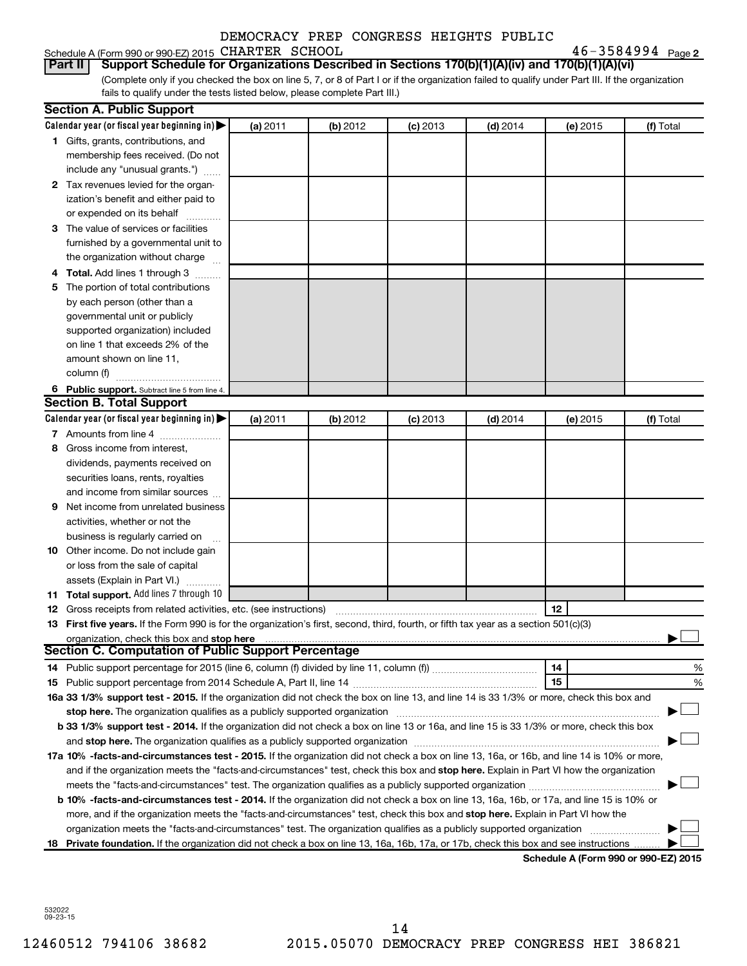| Schedule A (Form 990 or 990-EZ) 2015 CHARTER SCHOOL |  | $46 - 3584994$ Page 2 |  |
|-----------------------------------------------------|--|-----------------------|--|
|-----------------------------------------------------|--|-----------------------|--|

(Complete only if you checked the box on line 5, 7, or 8 of Part I or if the organization failed to qualify under Part III. If the organization **Part II Support Schedule for Organizations Described in Sections 170(b)(1)(A)(iv) and 170(b)(1)(A)(vi)**

fails to qualify under the tests listed below, please complete Part III.)

|     | <b>Section A. Public Support</b>                                                                                                                                                                                                                                                                                                                                          |          |          |            |            |          |                                      |
|-----|---------------------------------------------------------------------------------------------------------------------------------------------------------------------------------------------------------------------------------------------------------------------------------------------------------------------------------------------------------------------------|----------|----------|------------|------------|----------|--------------------------------------|
|     | Calendar year (or fiscal year beginning in)                                                                                                                                                                                                                                                                                                                               | (a) 2011 | (b) 2012 | $(c)$ 2013 | $(d)$ 2014 | (e) 2015 | (f) Total                            |
|     | 1 Gifts, grants, contributions, and                                                                                                                                                                                                                                                                                                                                       |          |          |            |            |          |                                      |
|     | membership fees received. (Do not                                                                                                                                                                                                                                                                                                                                         |          |          |            |            |          |                                      |
|     | include any "unusual grants.")                                                                                                                                                                                                                                                                                                                                            |          |          |            |            |          |                                      |
|     | 2 Tax revenues levied for the organ-                                                                                                                                                                                                                                                                                                                                      |          |          |            |            |          |                                      |
|     | ization's benefit and either paid to                                                                                                                                                                                                                                                                                                                                      |          |          |            |            |          |                                      |
|     | or expended on its behalf                                                                                                                                                                                                                                                                                                                                                 |          |          |            |            |          |                                      |
|     | 3 The value of services or facilities                                                                                                                                                                                                                                                                                                                                     |          |          |            |            |          |                                      |
|     | furnished by a governmental unit to                                                                                                                                                                                                                                                                                                                                       |          |          |            |            |          |                                      |
|     | the organization without charge                                                                                                                                                                                                                                                                                                                                           |          |          |            |            |          |                                      |
| 4   | Total. Add lines 1 through 3                                                                                                                                                                                                                                                                                                                                              |          |          |            |            |          |                                      |
| 5   | The portion of total contributions                                                                                                                                                                                                                                                                                                                                        |          |          |            |            |          |                                      |
|     | by each person (other than a                                                                                                                                                                                                                                                                                                                                              |          |          |            |            |          |                                      |
|     | governmental unit or publicly                                                                                                                                                                                                                                                                                                                                             |          |          |            |            |          |                                      |
|     | supported organization) included                                                                                                                                                                                                                                                                                                                                          |          |          |            |            |          |                                      |
|     | on line 1 that exceeds 2% of the                                                                                                                                                                                                                                                                                                                                          |          |          |            |            |          |                                      |
|     | amount shown on line 11,                                                                                                                                                                                                                                                                                                                                                  |          |          |            |            |          |                                      |
|     | column (f)                                                                                                                                                                                                                                                                                                                                                                |          |          |            |            |          |                                      |
|     | 6 Public support. Subtract line 5 from line 4.                                                                                                                                                                                                                                                                                                                            |          |          |            |            |          |                                      |
|     | <b>Section B. Total Support</b>                                                                                                                                                                                                                                                                                                                                           |          |          |            |            |          |                                      |
|     | Calendar year (or fiscal year beginning in)                                                                                                                                                                                                                                                                                                                               | (a) 2011 | (b) 2012 | $(c)$ 2013 | (d) 2014   | (e) 2015 | (f) Total                            |
|     | 7 Amounts from line 4                                                                                                                                                                                                                                                                                                                                                     |          |          |            |            |          |                                      |
| 8   | Gross income from interest,                                                                                                                                                                                                                                                                                                                                               |          |          |            |            |          |                                      |
|     | dividends, payments received on                                                                                                                                                                                                                                                                                                                                           |          |          |            |            |          |                                      |
|     | securities loans, rents, royalties                                                                                                                                                                                                                                                                                                                                        |          |          |            |            |          |                                      |
|     | and income from similar sources                                                                                                                                                                                                                                                                                                                                           |          |          |            |            |          |                                      |
| 9   | Net income from unrelated business                                                                                                                                                                                                                                                                                                                                        |          |          |            |            |          |                                      |
|     | activities, whether or not the                                                                                                                                                                                                                                                                                                                                            |          |          |            |            |          |                                      |
|     | business is regularly carried on                                                                                                                                                                                                                                                                                                                                          |          |          |            |            |          |                                      |
| 10  | Other income. Do not include gain                                                                                                                                                                                                                                                                                                                                         |          |          |            |            |          |                                      |
|     | or loss from the sale of capital                                                                                                                                                                                                                                                                                                                                          |          |          |            |            |          |                                      |
|     | assets (Explain in Part VI.)                                                                                                                                                                                                                                                                                                                                              |          |          |            |            |          |                                      |
|     | <b>11 Total support.</b> Add lines 7 through 10                                                                                                                                                                                                                                                                                                                           |          |          |            |            |          |                                      |
|     | <b>12</b> Gross receipts from related activities, etc. (see instructions)                                                                                                                                                                                                                                                                                                 |          |          |            |            | 12       |                                      |
|     | 13 First five years. If the Form 990 is for the organization's first, second, third, fourth, or fifth tax year as a section 501(c)(3)                                                                                                                                                                                                                                     |          |          |            |            |          |                                      |
|     | <b>Section C. Computation of Public Support Percentage</b>                                                                                                                                                                                                                                                                                                                |          |          |            |            |          |                                      |
|     |                                                                                                                                                                                                                                                                                                                                                                           |          |          |            |            |          |                                      |
|     |                                                                                                                                                                                                                                                                                                                                                                           |          |          |            |            | 14<br>15 | %<br>%                               |
|     | 16a 33 1/3% support test - 2015. If the organization did not check the box on line 13, and line 14 is 33 1/3% or more, check this box and                                                                                                                                                                                                                                 |          |          |            |            |          |                                      |
|     |                                                                                                                                                                                                                                                                                                                                                                           |          |          |            |            |          |                                      |
|     | stop here. The organization qualifies as a publicly supported organization manufaction manufacture or manufacture manufacture manufacture manufacture manufacture manufacture manufacture manufacture manufacture manufacture<br>b 33 1/3% support test - 2014. If the organization did not check a box on line 13 or 16a, and line 15 is 33 1/3% or more, check this box |          |          |            |            |          |                                      |
|     |                                                                                                                                                                                                                                                                                                                                                                           |          |          |            |            |          |                                      |
|     | 17a 10% -facts-and-circumstances test - 2015. If the organization did not check a box on line 13, 16a, or 16b, and line 14 is 10% or more,                                                                                                                                                                                                                                |          |          |            |            |          |                                      |
|     | and if the organization meets the "facts-and-circumstances" test, check this box and stop here. Explain in Part VI how the organization                                                                                                                                                                                                                                   |          |          |            |            |          |                                      |
|     |                                                                                                                                                                                                                                                                                                                                                                           |          |          |            |            |          |                                      |
|     | b 10% -facts-and-circumstances test - 2014. If the organization did not check a box on line 13, 16a, 16b, or 17a, and line 15 is 10% or                                                                                                                                                                                                                                   |          |          |            |            |          |                                      |
|     | more, and if the organization meets the "facts-and-circumstances" test, check this box and stop here. Explain in Part VI how the                                                                                                                                                                                                                                          |          |          |            |            |          |                                      |
|     | organization meets the "facts-and-circumstances" test. The organization qualifies as a publicly supported organization                                                                                                                                                                                                                                                    |          |          |            |            |          |                                      |
| 18. | Private foundation. If the organization did not check a box on line 13, 16a, 16b, 17a, or 17b, check this box and see instructions                                                                                                                                                                                                                                        |          |          |            |            |          |                                      |
|     |                                                                                                                                                                                                                                                                                                                                                                           |          |          |            |            |          | Schedule A (Form 990 or 990-EZ) 2015 |

532022 09-23-15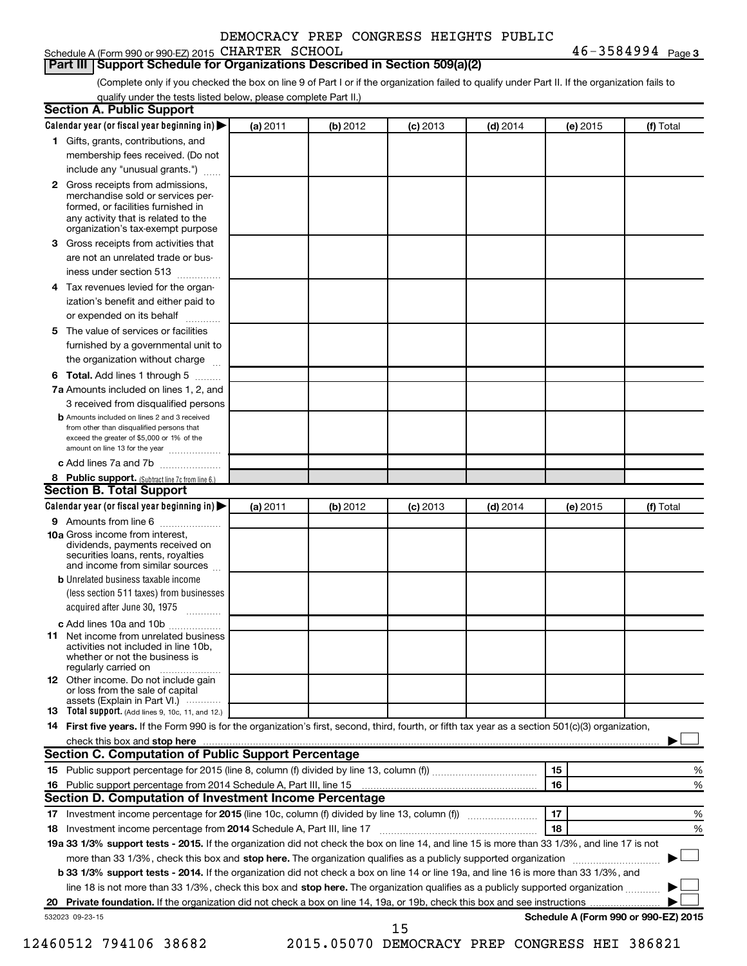#### Schedule A (Form 990 or 990-EZ) 2015 CHARTER SCHOOL  $46-3584994$  Page

 $46 - 3584994$  Page 3

#### **Part III Support Schedule for Organizations Described in Section 509(a)(2)**

(Complete only if you checked the box on line 9 of Part I or if the organization failed to qualify under Part II. If the organization fails to qualify under the tests listed below, please complete Part II.)

| <b>Section A. Public Support</b>                                                                                                                                                                                                        |          |          |            |            |          |                                      |
|-----------------------------------------------------------------------------------------------------------------------------------------------------------------------------------------------------------------------------------------|----------|----------|------------|------------|----------|--------------------------------------|
| Calendar year (or fiscal year beginning in)                                                                                                                                                                                             | (a) 2011 | (b) 2012 | $(c)$ 2013 | $(d)$ 2014 | (e) 2015 | (f) Total                            |
| 1 Gifts, grants, contributions, and                                                                                                                                                                                                     |          |          |            |            |          |                                      |
| membership fees received. (Do not                                                                                                                                                                                                       |          |          |            |            |          |                                      |
| include any "unusual grants.")                                                                                                                                                                                                          |          |          |            |            |          |                                      |
| 2 Gross receipts from admissions,<br>merchandise sold or services per-<br>formed, or facilities furnished in<br>any activity that is related to the<br>organization's tax-exempt purpose                                                |          |          |            |            |          |                                      |
| 3 Gross receipts from activities that                                                                                                                                                                                                   |          |          |            |            |          |                                      |
| are not an unrelated trade or bus-                                                                                                                                                                                                      |          |          |            |            |          |                                      |
| iness under section 513                                                                                                                                                                                                                 |          |          |            |            |          |                                      |
| 4 Tax revenues levied for the organ-                                                                                                                                                                                                    |          |          |            |            |          |                                      |
| ization's benefit and either paid to                                                                                                                                                                                                    |          |          |            |            |          |                                      |
| or expended on its behalf                                                                                                                                                                                                               |          |          |            |            |          |                                      |
| 5 The value of services or facilities                                                                                                                                                                                                   |          |          |            |            |          |                                      |
| furnished by a governmental unit to                                                                                                                                                                                                     |          |          |            |            |          |                                      |
| the organization without charge                                                                                                                                                                                                         |          |          |            |            |          |                                      |
| 6 Total. Add lines 1 through 5                                                                                                                                                                                                          |          |          |            |            |          |                                      |
|                                                                                                                                                                                                                                         |          |          |            |            |          |                                      |
| 7a Amounts included on lines 1, 2, and<br>3 received from disqualified persons                                                                                                                                                          |          |          |            |            |          |                                      |
| <b>b</b> Amounts included on lines 2 and 3 received<br>from other than disqualified persons that<br>exceed the greater of \$5,000 or 1% of the<br>amount on line 13 for the year                                                        |          |          |            |            |          |                                      |
| c Add lines 7a and 7b                                                                                                                                                                                                                   |          |          |            |            |          |                                      |
| 8 Public support. (Subtract line 7c from line 6.)                                                                                                                                                                                       |          |          |            |            |          |                                      |
| <b>Section B. Total Support</b>                                                                                                                                                                                                         |          |          |            |            |          |                                      |
| Calendar year (or fiscal year beginning in)                                                                                                                                                                                             | (a) 2011 | (b) 2012 | $(c)$ 2013 | $(d)$ 2014 | (e) 2015 | (f) Total                            |
| 9 Amounts from line 6                                                                                                                                                                                                                   |          |          |            |            |          |                                      |
| <b>10a</b> Gross income from interest,<br>dividends, payments received on<br>securities loans, rents, royalties<br>and income from similar sources                                                                                      |          |          |            |            |          |                                      |
| <b>b</b> Unrelated business taxable income                                                                                                                                                                                              |          |          |            |            |          |                                      |
| (less section 511 taxes) from businesses                                                                                                                                                                                                |          |          |            |            |          |                                      |
| acquired after June 30, 1975                                                                                                                                                                                                            |          |          |            |            |          |                                      |
| c Add lines 10a and 10b                                                                                                                                                                                                                 |          |          |            |            |          |                                      |
| <b>11</b> Net income from unrelated business<br>activities not included in line 10b.<br>whether or not the business is<br>regularly carried on                                                                                          |          |          |            |            |          |                                      |
| 12 Other income. Do not include gain<br>or loss from the sale of capital<br>assets (Explain in Part VI.)                                                                                                                                |          |          |            |            |          |                                      |
| <b>13</b> Total support. (Add lines 9, 10c, 11, and 12.)                                                                                                                                                                                |          |          |            |            |          |                                      |
| 14 First five years. If the Form 990 is for the organization's first, second, third, fourth, or fifth tax year as a section 501(c)(3) organization,                                                                                     |          |          |            |            |          |                                      |
| check this box and stop here <b>contained and the contained and stop here</b> check this box and stop here <b>contained and the contained and stop here</b> contained and stop here contained and and stop here contained and stop here |          |          |            |            |          |                                      |
| Section C. Computation of Public Support Percentage                                                                                                                                                                                     |          |          |            |            |          |                                      |
|                                                                                                                                                                                                                                         |          |          |            |            | 15       | ℅                                    |
|                                                                                                                                                                                                                                         |          |          |            |            | 16       | %                                    |
| Section D. Computation of Investment Income Percentage                                                                                                                                                                                  |          |          |            |            |          |                                      |
|                                                                                                                                                                                                                                         |          |          |            |            | 17       | %                                    |
| 18 Investment income percentage from 2014 Schedule A, Part III, line 17                                                                                                                                                                 |          |          |            |            | 18       | %                                    |
| 19a 33 1/3% support tests - 2015. If the organization did not check the box on line 14, and line 15 is more than 33 1/3%, and line 17 is not                                                                                            |          |          |            |            |          |                                      |
| more than 33 1/3%, check this box and stop here. The organization qualifies as a publicly supported organization                                                                                                                        |          |          |            |            |          |                                      |
| b 33 1/3% support tests - 2014. If the organization did not check a box on line 14 or line 19a, and line 16 is more than 33 1/3%, and                                                                                                   |          |          |            |            |          |                                      |
| line 18 is not more than 33 1/3%, check this box and stop here. The organization qualifies as a publicly supported organization                                                                                                         |          |          |            |            |          |                                      |
|                                                                                                                                                                                                                                         |          |          |            |            |          |                                      |
| 532023 09-23-15                                                                                                                                                                                                                         |          |          |            |            |          | Schedule A (Form 990 or 990-EZ) 2015 |
|                                                                                                                                                                                                                                         |          |          | 15         |            |          |                                      |

12460512 794106 38682 2015.05070 DEMOCRACY PREP CONGRESS HEI 386821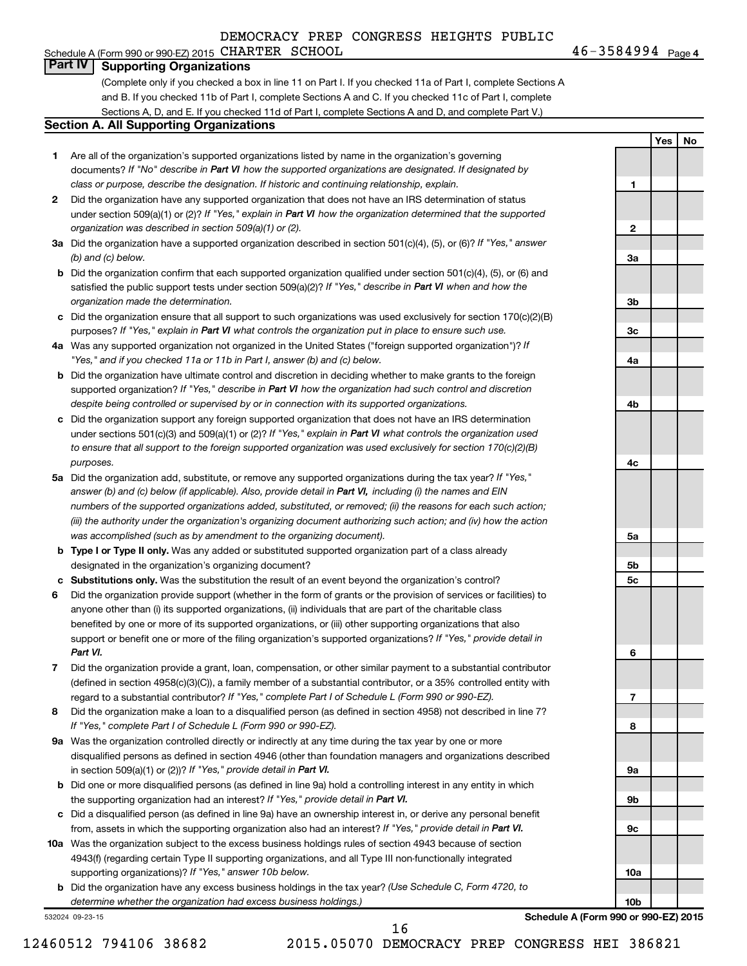#### Schedule A (Form 990 or 990-EZ) 2015 CHARTER SCHOOL  $46-3584994$  Page **Part IV Supporting Organizations**

(Complete only if you checked a box in line 11 on Part I. If you checked 11a of Part I, complete Sections A and B. If you checked 11b of Part I, complete Sections A and C. If you checked 11c of Part I, complete Sections A, D, and E. If you checked 11d of Part I, complete Sections A and D, and complete Part V.)

#### **Section A. All Supporting Organizations**

- **1** Are all of the organization's supported organizations listed by name in the organization's governing documents? If "No" describe in Part VI how the supported organizations are designated. If designated by *class or purpose, describe the designation. If historic and continuing relationship, explain.*
- **2** Did the organization have any supported organization that does not have an IRS determination of status under section 509(a)(1) or (2)? If "Yes," explain in Part VI how the organization determined that the supported *organization was described in section 509(a)(1) or (2).*
- **3a** Did the organization have a supported organization described in section 501(c)(4), (5), or (6)? If "Yes," answer *(b) and (c) below.*
- **b** Did the organization confirm that each supported organization qualified under section 501(c)(4), (5), or (6) and satisfied the public support tests under section 509(a)(2)? If "Yes," describe in Part VI when and how the *organization made the determination.*
- **c** Did the organization ensure that all support to such organizations was used exclusively for section 170(c)(2)(B) purposes? If "Yes," explain in Part VI what controls the organization put in place to ensure such use.
- **4 a** *If* Was any supported organization not organized in the United States ("foreign supported organization")? *"Yes," and if you checked 11a or 11b in Part I, answer (b) and (c) below.*
- **b** Did the organization have ultimate control and discretion in deciding whether to make grants to the foreign supported organization? If "Yes," describe in Part VI how the organization had such control and discretion *despite being controlled or supervised by or in connection with its supported organizations.*
- **c** Did the organization support any foreign supported organization that does not have an IRS determination under sections 501(c)(3) and 509(a)(1) or (2)? If "Yes," explain in Part VI what controls the organization used *to ensure that all support to the foreign supported organization was used exclusively for section 170(c)(2)(B) purposes.*
- **5a** Did the organization add, substitute, or remove any supported organizations during the tax year? If "Yes," answer (b) and (c) below (if applicable). Also, provide detail in Part VI, including (i) the names and EIN *numbers of the supported organizations added, substituted, or removed; (ii) the reasons for each such action; (iii) the authority under the organization's organizing document authorizing such action; and (iv) how the action was accomplished (such as by amendment to the organizing document).*
- **b** Type I or Type II only. Was any added or substituted supported organization part of a class already designated in the organization's organizing document?
- **c Substitutions only.**  Was the substitution the result of an event beyond the organization's control?
- **6** Did the organization provide support (whether in the form of grants or the provision of services or facilities) to support or benefit one or more of the filing organization's supported organizations? If "Yes," provide detail in anyone other than (i) its supported organizations, (ii) individuals that are part of the charitable class benefited by one or more of its supported organizations, or (iii) other supporting organizations that also *Part VI.*
- **7** Did the organization provide a grant, loan, compensation, or other similar payment to a substantial contributor regard to a substantial contributor? If "Yes," complete Part I of Schedule L (Form 990 or 990-EZ). (defined in section 4958(c)(3)(C)), a family member of a substantial contributor, or a 35% controlled entity with
- **8** Did the organization make a loan to a disqualified person (as defined in section 4958) not described in line 7? *If "Yes," complete Part I of Schedule L (Form 990 or 990-EZ).*
- **9 a** Was the organization controlled directly or indirectly at any time during the tax year by one or more in section 509(a)(1) or (2))? If "Yes," provide detail in Part VI. disqualified persons as defined in section 4946 (other than foundation managers and organizations described
- **b** Did one or more disqualified persons (as defined in line 9a) hold a controlling interest in any entity in which the supporting organization had an interest? If "Yes," provide detail in Part VI.
- **c** Did a disqualified person (as defined in line 9a) have an ownership interest in, or derive any personal benefit from, assets in which the supporting organization also had an interest? If "Yes," provide detail in Part VI.
- **10 a** Was the organization subject to the excess business holdings rules of section 4943 because of section supporting organizations)? If "Yes," answer 10b below. 4943(f) (regarding certain Type II supporting organizations, and all Type III non-functionally integrated
	- **b** Did the organization have any excess business holdings in the tax year? (Use Schedule C, Form 4720, to *determine whether the organization had excess business holdings.)*

532024 09-23-15

**Yes No 1 2 3a 3b 3c 4a 4b 4c 5a 5b 5c 6 7 8 9a 9b**

46-3584994 Page 4

**Schedule A (Form 990 or 990-EZ) 2015**

**9c**

**10a**

**10b**

16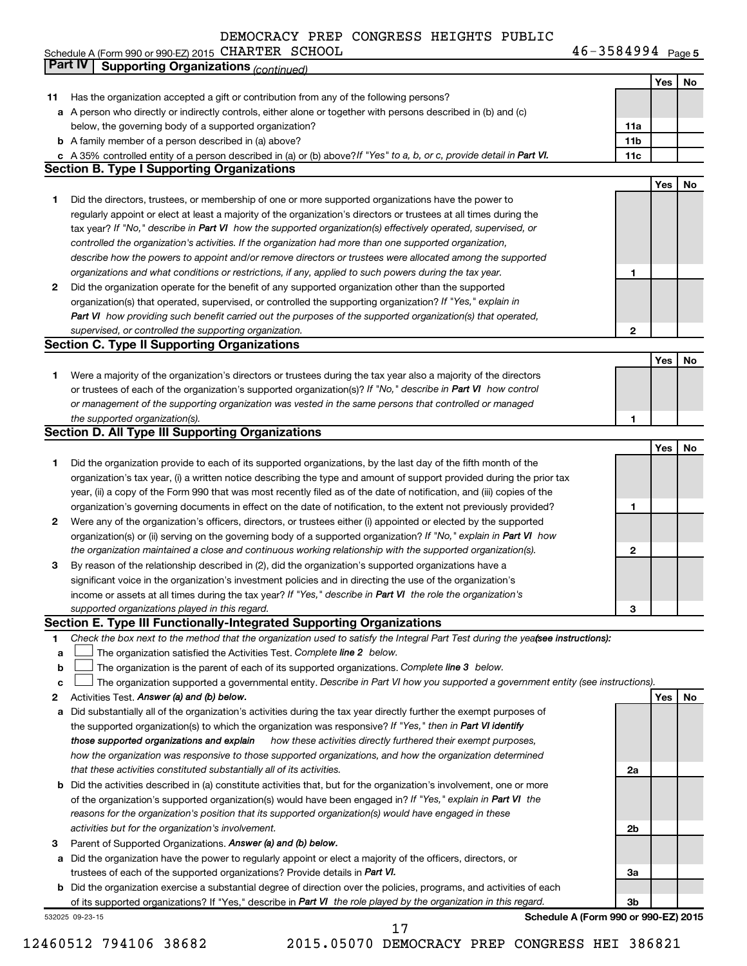Schedule A (Form 990 or 990-EZ) 2015 CHARTER SCHOOL  $46-3584994$  Page

46-3584994 Page 5

|    | Part IV<br><b>Supporting Organizations (continued)</b>                                                                          |                 |     |    |
|----|---------------------------------------------------------------------------------------------------------------------------------|-----------------|-----|----|
|    |                                                                                                                                 |                 | Yes | No |
| 11 | Has the organization accepted a gift or contribution from any of the following persons?                                         |                 |     |    |
|    | a A person who directly or indirectly controls, either alone or together with persons described in (b) and (c)                  |                 |     |    |
|    | below, the governing body of a supported organization?                                                                          | 11a             |     |    |
|    | <b>b</b> A family member of a person described in (a) above?                                                                    | 11 <sub>b</sub> |     |    |
|    | c A 35% controlled entity of a person described in (a) or (b) above? If "Yes" to a, b, or c, provide detail in Part VI.         | 11c             |     |    |
|    | <b>Section B. Type I Supporting Organizations</b>                                                                               |                 |     |    |
|    |                                                                                                                                 |                 | Yes | No |
|    |                                                                                                                                 |                 |     |    |
| 1  | Did the directors, trustees, or membership of one or more supported organizations have the power to                             |                 |     |    |
|    | regularly appoint or elect at least a majority of the organization's directors or trustees at all times during the              |                 |     |    |
|    | tax year? If "No," describe in Part VI how the supported organization(s) effectively operated, supervised, or                   |                 |     |    |
|    | controlled the organization's activities. If the organization had more than one supported organization,                         |                 |     |    |
|    | describe how the powers to appoint and/or remove directors or trustees were allocated among the supported                       |                 |     |    |
|    | organizations and what conditions or restrictions, if any, applied to such powers during the tax year.                          | 1               |     |    |
| 2  | Did the organization operate for the benefit of any supported organization other than the supported                             |                 |     |    |
|    | organization(s) that operated, supervised, or controlled the supporting organization? If "Yes," explain in                      |                 |     |    |
|    | Part VI how providing such benefit carried out the purposes of the supported organization(s) that operated,                     |                 |     |    |
|    | supervised, or controlled the supporting organization.                                                                          | 2               |     |    |
|    | <b>Section C. Type II Supporting Organizations</b>                                                                              |                 |     |    |
|    |                                                                                                                                 |                 | Yes | No |
| 1  | Were a majority of the organization's directors or trustees during the tax year also a majority of the directors                |                 |     |    |
|    | or trustees of each of the organization's supported organization(s)? If "No," describe in Part VI how control                   |                 |     |    |
|    | or management of the supporting organization was vested in the same persons that controlled or managed                          |                 |     |    |
|    | the supported organization(s).                                                                                                  | 1               |     |    |
|    | <b>Section D. All Type III Supporting Organizations</b>                                                                         |                 |     |    |
|    |                                                                                                                                 |                 | Yes | No |
|    |                                                                                                                                 |                 |     |    |
| 1  | Did the organization provide to each of its supported organizations, by the last day of the fifth month of the                  |                 |     |    |
|    | organization's tax year, (i) a written notice describing the type and amount of support provided during the prior tax           |                 |     |    |
|    | year, (ii) a copy of the Form 990 that was most recently filed as of the date of notification, and (iii) copies of the          |                 |     |    |
|    | organization's governing documents in effect on the date of notification, to the extent not previously provided?                | 1               |     |    |
| 2  | Were any of the organization's officers, directors, or trustees either (i) appointed or elected by the supported                |                 |     |    |
|    | organization(s) or (ii) serving on the governing body of a supported organization? If "No," explain in Part VI how              |                 |     |    |
|    | the organization maintained a close and continuous working relationship with the supported organization(s).                     | $\mathbf{2}$    |     |    |
| 3  | By reason of the relationship described in (2), did the organization's supported organizations have a                           |                 |     |    |
|    | significant voice in the organization's investment policies and in directing the use of the organization's                      |                 |     |    |
|    | income or assets at all times during the tax year? If "Yes," describe in Part VI the role the organization's                    |                 |     |    |
|    | supported organizations played in this regard.                                                                                  | з               |     |    |
|    | Section E. Type III Functionally-Integrated Supporting Organizations                                                            |                 |     |    |
| 1  | Check the box next to the method that the organization used to satisfy the Integral Part Test during the yealsee instructions): |                 |     |    |
| a  | The organization satisfied the Activities Test. Complete line 2 below.                                                          |                 |     |    |
| b  | The organization is the parent of each of its supported organizations. Complete line 3 below.                                   |                 |     |    |
| c  | The organization supported a governmental entity. Describe in Part VI how you supported a government entity (see instructions). |                 |     |    |
| 2  | Activities Test. Answer (a) and (b) below.                                                                                      |                 | Yes | No |
| а  | Did substantially all of the organization's activities during the tax year directly further the exempt purposes of              |                 |     |    |
|    | the supported organization(s) to which the organization was responsive? If "Yes," then in Part VI identify                      |                 |     |    |
|    | those supported organizations and explain<br>how these activities directly furthered their exempt purposes,                     |                 |     |    |
|    | how the organization was responsive to those supported organizations, and how the organization determined                       |                 |     |    |
|    | that these activities constituted substantially all of its activities.                                                          | 2a              |     |    |
|    |                                                                                                                                 |                 |     |    |
| b  | Did the activities described in (a) constitute activities that, but for the organization's involvement, one or more             |                 |     |    |
|    | of the organization's supported organization(s) would have been engaged in? If "Yes," explain in Part VI the                    |                 |     |    |
|    | reasons for the organization's position that its supported organization(s) would have engaged in these                          |                 |     |    |
|    | activities but for the organization's involvement.                                                                              | 2b              |     |    |
| З  | Parent of Supported Organizations. Answer (a) and (b) below.                                                                    |                 |     |    |
| а  | Did the organization have the power to regularly appoint or elect a majority of the officers, directors, or                     |                 |     |    |
|    | trustees of each of the supported organizations? Provide details in Part VI.                                                    | За              |     |    |
|    | <b>b</b> Did the organization exercise a substantial degree of direction over the policies, programs, and activities of each    |                 |     |    |
|    | of its supported organizations? If "Yes," describe in Part VI the role played by the organization in this regard.               | 3b              |     |    |
|    | Schedule A (Form 990 or 990-EZ) 2015<br>532025 09-23-15                                                                         |                 |     |    |

12460512 794106 38682 2015.05070 DEMOCRACY PREP CONGRESS HEI 386821 17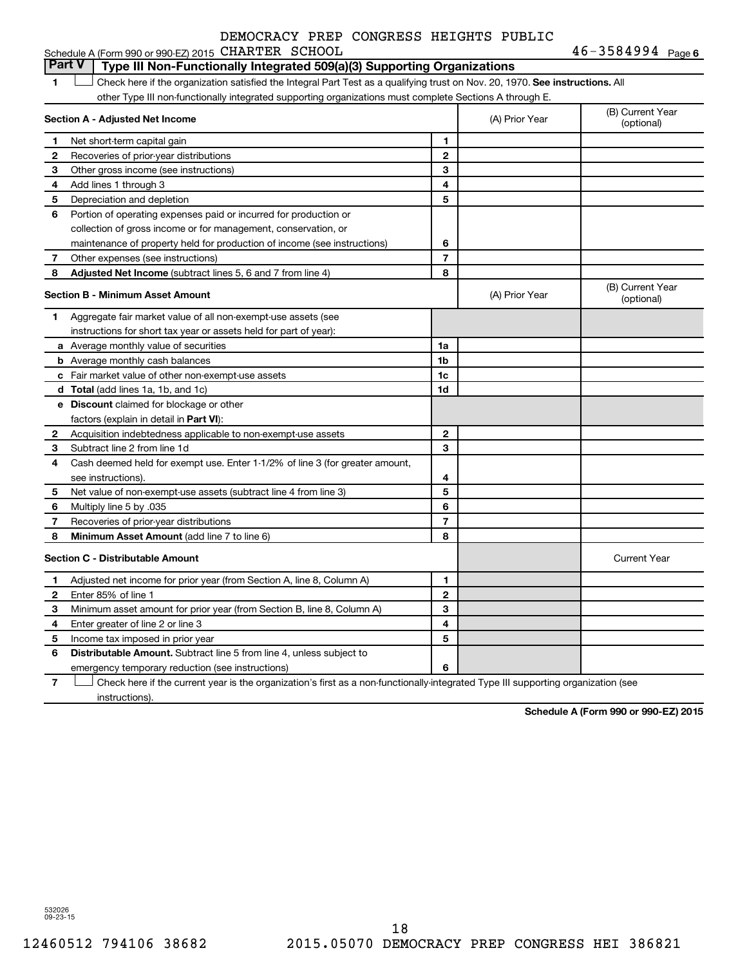| Schedule A (Form 990 or 990-EZ) 2015 CHARTER SCHOOL |  | $46 - 3584994$ Page 6 |  |
|-----------------------------------------------------|--|-----------------------|--|
|-----------------------------------------------------|--|-----------------------|--|

|              | Part V<br>Type III Non-Functionally Integrated 509(a)(3) Supporting Organizations                                             |              |                |                                |
|--------------|-------------------------------------------------------------------------------------------------------------------------------|--------------|----------------|--------------------------------|
| 1            | Check here if the organization satisfied the Integral Part Test as a qualifying trust on Nov. 20, 1970. See instructions. All |              |                |                                |
|              | other Type III non-functionally integrated supporting organizations must complete Sections A through E.                       |              |                |                                |
|              | Section A - Adjusted Net Income                                                                                               |              | (A) Prior Year | (B) Current Year<br>(optional) |
| 1            | Net short-term capital gain                                                                                                   | 1            |                |                                |
| $\mathbf{2}$ | Recoveries of prior-year distributions                                                                                        | $\mathbf{2}$ |                |                                |
| З            | Other gross income (see instructions)                                                                                         | 3            |                |                                |
| 4            | Add lines 1 through 3                                                                                                         | 4            |                |                                |
| 5            | Depreciation and depletion                                                                                                    | 5            |                |                                |
| 6            | Portion of operating expenses paid or incurred for production or                                                              |              |                |                                |
|              | collection of gross income or for management, conservation, or                                                                |              |                |                                |
|              | maintenance of property held for production of income (see instructions)                                                      | 6            |                |                                |
| 7            | Other expenses (see instructions)                                                                                             | 7            |                |                                |
| 8            | <b>Adjusted Net Income</b> (subtract lines 5, 6 and 7 from line 4)                                                            | 8            |                |                                |
|              | <b>Section B - Minimum Asset Amount</b>                                                                                       |              | (A) Prior Year | (B) Current Year<br>(optional) |
| 1            | Aggregate fair market value of all non-exempt-use assets (see                                                                 |              |                |                                |
|              | instructions for short tax year or assets held for part of year):                                                             |              |                |                                |
|              | <b>a</b> Average monthly value of securities                                                                                  | 1a           |                |                                |
|              | <b>b</b> Average monthly cash balances                                                                                        | 1b           |                |                                |
|              | c Fair market value of other non-exempt-use assets                                                                            | 1c           |                |                                |
|              | <b>d</b> Total (add lines 1a, 1b, and 1c)                                                                                     | 1d           |                |                                |
|              | e Discount claimed for blockage or other                                                                                      |              |                |                                |
|              | factors (explain in detail in Part VI):                                                                                       |              |                |                                |
| 2            | Acquisition indebtedness applicable to non-exempt-use assets                                                                  | $\mathbf{2}$ |                |                                |
| З            | Subtract line 2 from line 1d                                                                                                  | 3            |                |                                |
| 4            | Cash deemed held for exempt use. Enter 1-1/2% of line 3 (for greater amount,                                                  |              |                |                                |
|              | see instructions).                                                                                                            | 4            |                |                                |
| 5            | Net value of non-exempt-use assets (subtract line 4 from line 3)                                                              | 5            |                |                                |
| 6            | Multiply line 5 by .035                                                                                                       | 6            |                |                                |
| 7            | Recoveries of prior-year distributions                                                                                        | 7            |                |                                |
| 8            | <b>Minimum Asset Amount</b> (add line 7 to line 6)                                                                            | 8            |                |                                |
|              | <b>Section C - Distributable Amount</b>                                                                                       |              |                | <b>Current Year</b>            |
| 1            | Adjusted net income for prior year (from Section A, line 8, Column A)                                                         | 1            |                |                                |
| 2            | Enter 85% of line 1                                                                                                           | $\mathbf{2}$ |                |                                |
| З            | Minimum asset amount for prior year (from Section B, line 8, Column A)                                                        | 3            |                |                                |
| 4            | Enter greater of line 2 or line 3                                                                                             | 4            |                |                                |
| 5            | Income tax imposed in prior year                                                                                              | 5            |                |                                |
| 6            | <b>Distributable Amount.</b> Subtract line 5 from line 4, unless subject to                                                   |              |                |                                |
|              | emergency temporary reduction (see instructions)                                                                              | 6            |                |                                |

**7** Let Check here if the current year is the organization's first as a non-functionally-integrated Type III supporting organization (see instructions).

**Schedule A (Form 990 or 990-EZ) 2015**

532026 09-23-15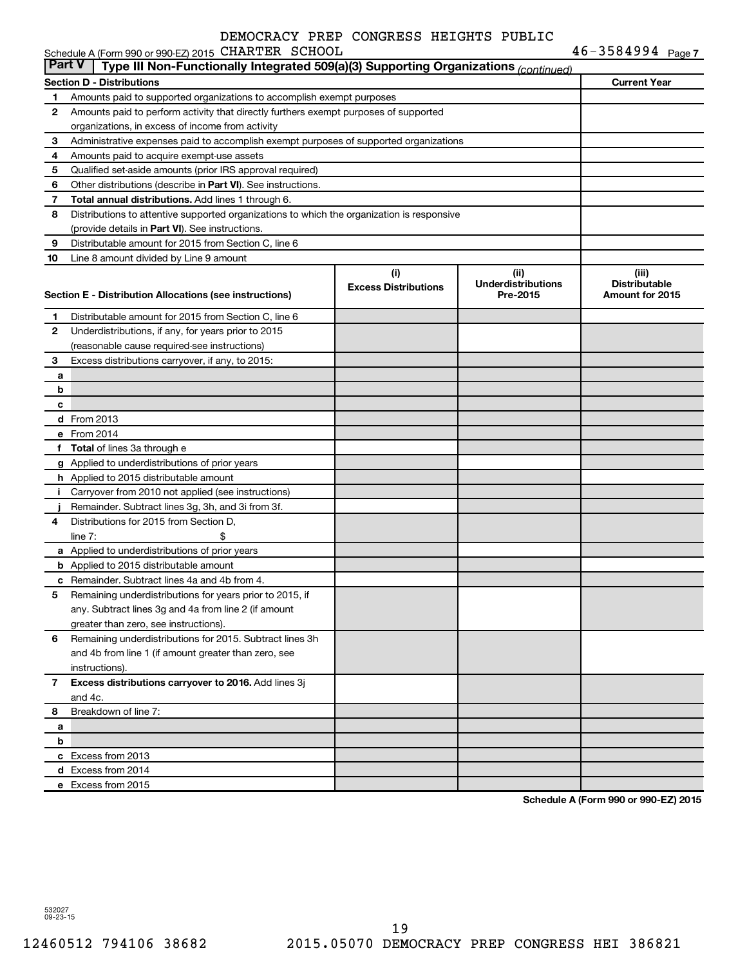|          | Schedule A (Form 990 or 990-EZ) 2015 CHARTER SCHOOL                                        |                             |                           | $46 - 3584994$ Page 7 |  |  |  |  |
|----------|--------------------------------------------------------------------------------------------|-----------------------------|---------------------------|-----------------------|--|--|--|--|
| ∣ Part V | Type III Non-Functionally Integrated 509(a)(3) Supporting Organizations (continued)        |                             |                           |                       |  |  |  |  |
|          | <b>Section D - Distributions</b>                                                           |                             |                           | <b>Current Year</b>   |  |  |  |  |
| 1        | Amounts paid to supported organizations to accomplish exempt purposes                      |                             |                           |                       |  |  |  |  |
| 2        | Amounts paid to perform activity that directly furthers exempt purposes of supported       |                             |                           |                       |  |  |  |  |
|          | organizations, in excess of income from activity                                           |                             |                           |                       |  |  |  |  |
| з        | Administrative expenses paid to accomplish exempt purposes of supported organizations      |                             |                           |                       |  |  |  |  |
| 4        | Amounts paid to acquire exempt-use assets                                                  |                             |                           |                       |  |  |  |  |
| 5        | Qualified set-aside amounts (prior IRS approval required)                                  |                             |                           |                       |  |  |  |  |
| 6        | Other distributions (describe in Part VI). See instructions.                               |                             |                           |                       |  |  |  |  |
| 7        | Total annual distributions. Add lines 1 through 6.                                         |                             |                           |                       |  |  |  |  |
| 8        | Distributions to attentive supported organizations to which the organization is responsive |                             |                           |                       |  |  |  |  |
|          | (provide details in Part VI). See instructions.                                            |                             |                           |                       |  |  |  |  |
| 9        | Distributable amount for 2015 from Section C, line 6                                       |                             |                           |                       |  |  |  |  |
| 10       | Line 8 amount divided by Line 9 amount                                                     |                             |                           |                       |  |  |  |  |
|          |                                                                                            | (i)                         | (ii)                      | (iii)                 |  |  |  |  |
|          |                                                                                            | <b>Excess Distributions</b> | <b>Underdistributions</b> | <b>Distributable</b>  |  |  |  |  |
|          | Section E - Distribution Allocations (see instructions)                                    |                             | Pre-2015                  | Amount for 2015       |  |  |  |  |
| 1        | Distributable amount for 2015 from Section C, line 6                                       |                             |                           |                       |  |  |  |  |
| 2        | Underdistributions, if any, for years prior to 2015                                        |                             |                           |                       |  |  |  |  |
|          | (reasonable cause required-see instructions)                                               |                             |                           |                       |  |  |  |  |
| 3        | Excess distributions carryover, if any, to 2015:                                           |                             |                           |                       |  |  |  |  |
| a        |                                                                                            |                             |                           |                       |  |  |  |  |
| b        |                                                                                            |                             |                           |                       |  |  |  |  |
| c        |                                                                                            |                             |                           |                       |  |  |  |  |
|          | <b>d</b> From 2013                                                                         |                             |                           |                       |  |  |  |  |
|          | e From 2014                                                                                |                             |                           |                       |  |  |  |  |
| f        | <b>Total</b> of lines 3a through e                                                         |                             |                           |                       |  |  |  |  |
|          | g Applied to underdistributions of prior years                                             |                             |                           |                       |  |  |  |  |
|          | h Applied to 2015 distributable amount                                                     |                             |                           |                       |  |  |  |  |
| Ť.       | Carryover from 2010 not applied (see instructions)                                         |                             |                           |                       |  |  |  |  |
|          | Remainder. Subtract lines 3g, 3h, and 3i from 3f.                                          |                             |                           |                       |  |  |  |  |
| 4        | Distributions for 2015 from Section D,                                                     |                             |                           |                       |  |  |  |  |
|          | line $7:$                                                                                  |                             |                           |                       |  |  |  |  |
|          | a Applied to underdistributions of prior years                                             |                             |                           |                       |  |  |  |  |
|          | <b>b</b> Applied to 2015 distributable amount                                              |                             |                           |                       |  |  |  |  |
|          | <b>c</b> Remainder. Subtract lines 4a and 4b from 4.                                       |                             |                           |                       |  |  |  |  |
|          | Remaining underdistributions for years prior to 2015, if                                   |                             |                           |                       |  |  |  |  |
|          | any. Subtract lines 3q and 4a from line 2 (if amount                                       |                             |                           |                       |  |  |  |  |
|          | greater than zero, see instructions).                                                      |                             |                           |                       |  |  |  |  |
| 6        | Remaining underdistributions for 2015. Subtract lines 3h                                   |                             |                           |                       |  |  |  |  |
|          | and 4b from line 1 (if amount greater than zero, see                                       |                             |                           |                       |  |  |  |  |
|          | instructions).                                                                             |                             |                           |                       |  |  |  |  |
| 7        | Excess distributions carryover to 2016. Add lines 3j                                       |                             |                           |                       |  |  |  |  |
|          | and 4c.                                                                                    |                             |                           |                       |  |  |  |  |
| 8        | Breakdown of line 7:                                                                       |                             |                           |                       |  |  |  |  |
| а        |                                                                                            |                             |                           |                       |  |  |  |  |
| b        |                                                                                            |                             |                           |                       |  |  |  |  |
|          | c Excess from 2013                                                                         |                             |                           |                       |  |  |  |  |
|          | d Excess from 2014                                                                         |                             |                           |                       |  |  |  |  |
|          | e Excess from 2015                                                                         |                             |                           |                       |  |  |  |  |

**Schedule A (Form 990 or 990-EZ) 2015**

532027 09-23-15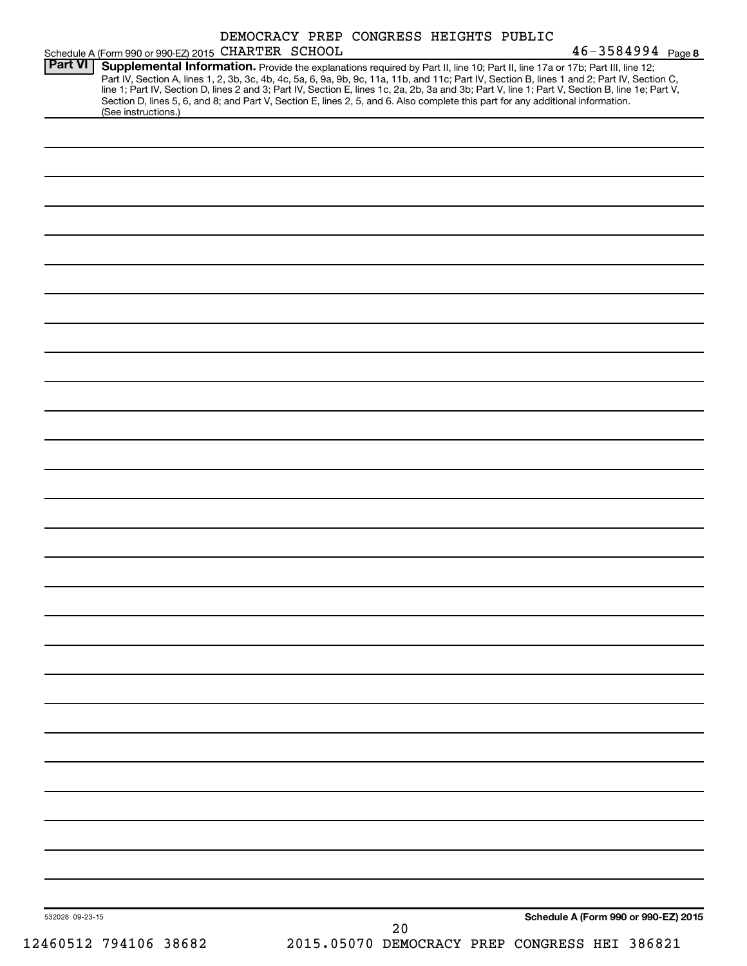|                 | Schedule A (Form 990 or 990-EZ) 2015 CHARTER SCHOOL                                                                                                                                                                                                                                                                                                                                                                                                                                                                                                                                        |  | DEMOCRACY PREP CONGRESS HEIGHTS PUBLIC |  | $46 - 3584994$ Page 8                |  |
|-----------------|--------------------------------------------------------------------------------------------------------------------------------------------------------------------------------------------------------------------------------------------------------------------------------------------------------------------------------------------------------------------------------------------------------------------------------------------------------------------------------------------------------------------------------------------------------------------------------------------|--|----------------------------------------|--|--------------------------------------|--|
| <b>Part VI</b>  | Supplemental Information. Provide the explanations required by Part II, line 10; Part II, line 17a or 17b; Part III, line 12;<br>Part IV, Section A, lines 1, 2, 3b, 3c, 4b, 4c, 5a, 6, 9a, 9b, 9c, 11a, 11b, and 11c; Part IV, Section B, lines 1 and 2; Part IV, Section C,<br>line 1; Part IV, Section D, lines 2 and 3; Part IV, Section E, lines 1c, 2a, 2b, 3a and 3b; Part V, line 1; Part V, Section B, line 1e; Part V,<br>Section D, lines 5, 6, and 8; and Part V, Section E, lines 2, 5, and 6. Also complete this part for any additional information.<br>(See instructions.) |  |                                        |  |                                      |  |
|                 |                                                                                                                                                                                                                                                                                                                                                                                                                                                                                                                                                                                            |  |                                        |  |                                      |  |
|                 |                                                                                                                                                                                                                                                                                                                                                                                                                                                                                                                                                                                            |  |                                        |  |                                      |  |
|                 |                                                                                                                                                                                                                                                                                                                                                                                                                                                                                                                                                                                            |  |                                        |  |                                      |  |
|                 |                                                                                                                                                                                                                                                                                                                                                                                                                                                                                                                                                                                            |  |                                        |  |                                      |  |
|                 |                                                                                                                                                                                                                                                                                                                                                                                                                                                                                                                                                                                            |  |                                        |  |                                      |  |
|                 |                                                                                                                                                                                                                                                                                                                                                                                                                                                                                                                                                                                            |  |                                        |  |                                      |  |
|                 |                                                                                                                                                                                                                                                                                                                                                                                                                                                                                                                                                                                            |  |                                        |  |                                      |  |
|                 |                                                                                                                                                                                                                                                                                                                                                                                                                                                                                                                                                                                            |  |                                        |  |                                      |  |
|                 |                                                                                                                                                                                                                                                                                                                                                                                                                                                                                                                                                                                            |  |                                        |  |                                      |  |
|                 |                                                                                                                                                                                                                                                                                                                                                                                                                                                                                                                                                                                            |  |                                        |  |                                      |  |
|                 |                                                                                                                                                                                                                                                                                                                                                                                                                                                                                                                                                                                            |  |                                        |  |                                      |  |
|                 |                                                                                                                                                                                                                                                                                                                                                                                                                                                                                                                                                                                            |  |                                        |  |                                      |  |
|                 |                                                                                                                                                                                                                                                                                                                                                                                                                                                                                                                                                                                            |  |                                        |  |                                      |  |
|                 |                                                                                                                                                                                                                                                                                                                                                                                                                                                                                                                                                                                            |  |                                        |  |                                      |  |
|                 |                                                                                                                                                                                                                                                                                                                                                                                                                                                                                                                                                                                            |  |                                        |  |                                      |  |
|                 |                                                                                                                                                                                                                                                                                                                                                                                                                                                                                                                                                                                            |  |                                        |  |                                      |  |
|                 |                                                                                                                                                                                                                                                                                                                                                                                                                                                                                                                                                                                            |  |                                        |  |                                      |  |
|                 |                                                                                                                                                                                                                                                                                                                                                                                                                                                                                                                                                                                            |  |                                        |  |                                      |  |
|                 |                                                                                                                                                                                                                                                                                                                                                                                                                                                                                                                                                                                            |  |                                        |  |                                      |  |
|                 |                                                                                                                                                                                                                                                                                                                                                                                                                                                                                                                                                                                            |  |                                        |  |                                      |  |
|                 |                                                                                                                                                                                                                                                                                                                                                                                                                                                                                                                                                                                            |  |                                        |  |                                      |  |
|                 |                                                                                                                                                                                                                                                                                                                                                                                                                                                                                                                                                                                            |  |                                        |  |                                      |  |
|                 |                                                                                                                                                                                                                                                                                                                                                                                                                                                                                                                                                                                            |  |                                        |  |                                      |  |
|                 |                                                                                                                                                                                                                                                                                                                                                                                                                                                                                                                                                                                            |  |                                        |  |                                      |  |
|                 |                                                                                                                                                                                                                                                                                                                                                                                                                                                                                                                                                                                            |  |                                        |  |                                      |  |
|                 |                                                                                                                                                                                                                                                                                                                                                                                                                                                                                                                                                                                            |  |                                        |  |                                      |  |
| 532028 09-23-15 |                                                                                                                                                                                                                                                                                                                                                                                                                                                                                                                                                                                            |  | 20                                     |  | Schedule A (Form 990 or 990-EZ) 2015 |  |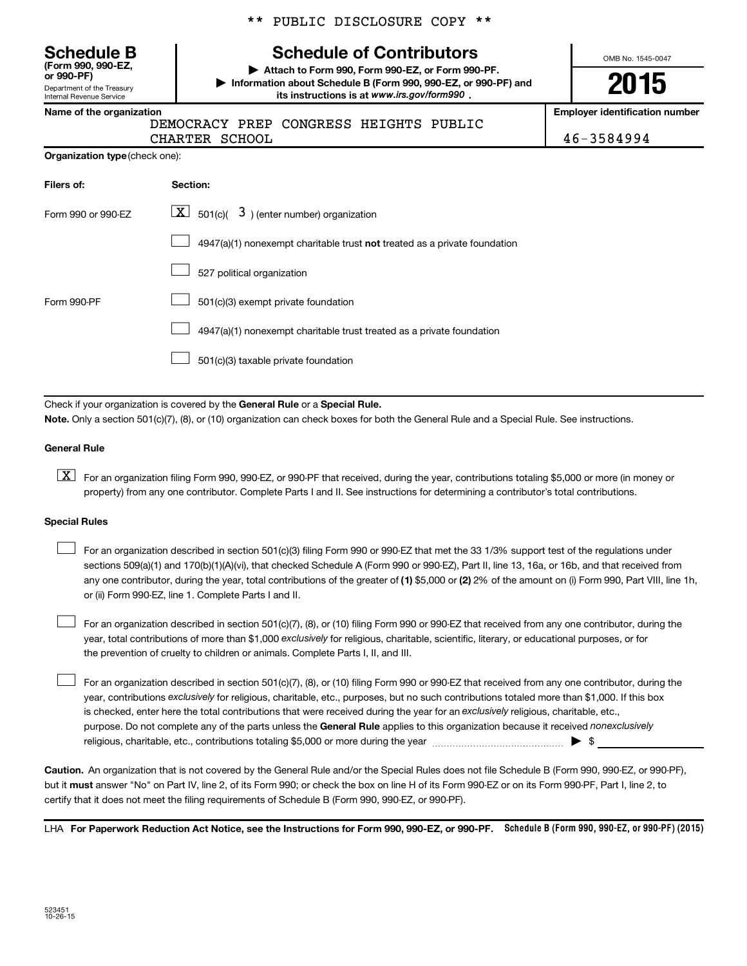**(Form 990, 990-EZ,**

Department of the Treasury Internal Revenue Service

#### \*\* PUBLIC DISCLOSURE COPY \*\*

# **Schedule B Schedule of Contributors**

**or 990-PF) | Attach to Form 990, Form 990-EZ, or Form 990-PF. | Information about Schedule B (Form 990, 990-EZ, or 990-PF) and** its instructions is at www.irs.gov/form990.

OMB No. 1545-0047

# **2015**

**Name of the organization Employer identification number**

DEMOCRACY PREP CONGRESS HEIGHTS PUBLIC CHARTER SCHOOL 2008 2009 12:00 12:00 12:00 12:00 12:00 12:00 12:00 12:00 12:00 12:00 12:00 12:00 12:00 12:00 1

| Filers of:         | Section:                                                                  |
|--------------------|---------------------------------------------------------------------------|
| Form 990 or 990-FZ | $\lfloor \mathbf{X} \rfloor$ 501(c)( 3) (enter number) organization       |
|                    | 4947(a)(1) nonexempt charitable trust not treated as a private foundation |
|                    | 527 political organization                                                |
| Form 990-PF        | 501(c)(3) exempt private foundation                                       |
|                    | 4947(a)(1) nonexempt charitable trust treated as a private foundation     |
|                    | 501(c)(3) taxable private foundation                                      |

Check if your organization is covered by the General Rule or a Special Rule.

**Note.**  Only a section 501(c)(7), (8), or (10) organization can check boxes for both the General Rule and a Special Rule. See instructions.

#### **General Rule**

**K** For an organization filing Form 990, 990-EZ, or 990-PF that received, during the year, contributions totaling \$5,000 or more (in money or property) from any one contributor. Complete Parts I and II. See instructions for determining a contributor's total contributions.

#### **Special Rules**

 $\Box$ 

any one contributor, during the year, total contributions of the greater of **(1)** \$5,000 or **(2)** 2% of the amount on (i) Form 990, Part VIII, line 1h, For an organization described in section 501(c)(3) filing Form 990 or 990-EZ that met the 33 1/3% support test of the regulations under sections 509(a)(1) and 170(b)(1)(A)(vi), that checked Schedule A (Form 990 or 990-EZ), Part II, line 13, 16a, or 16b, and that received from or (ii) Form 990-EZ, line 1. Complete Parts I and II.  $\Box$ 

year, total contributions of more than \$1,000 *exclusively* for religious, charitable, scientific, literary, or educational purposes, or for For an organization described in section 501(c)(7), (8), or (10) filing Form 990 or 990-EZ that received from any one contributor, during the the prevention of cruelty to children or animals. Complete Parts I, II, and III.  $\Box$ 

purpose. Do not complete any of the parts unless the General Rule applies to this organization because it received nonexclusively year, contributions exclusively for religious, charitable, etc., purposes, but no such contributions totaled more than \$1,000. If this box is checked, enter here the total contributions that were received during the year for an exclusively religious, charitable, etc., For an organization described in section 501(c)(7), (8), or (10) filing Form 990 or 990-EZ that received from any one contributor, during the religious, charitable, etc., contributions totaling \$5,000 or more during the year  $\ldots$  $\ldots$  $\ldots$  $\ldots$  $\ldots$  $\ldots$ 

**Caution.** An organization that is not covered by the General Rule and/or the Special Rules does not file Schedule B (Form 990, 990-EZ, or 990-PF),  **must** but it answer "No" on Part IV, line 2, of its Form 990; or check the box on line H of its Form 990-EZ or on its Form 990-PF, Part I, line 2, to certify that it does not meet the filing requirements of Schedule B (Form 990, 990-EZ, or 990-PF).

LHA For Paperwork Reduction Act Notice, see the Instructions for Form 990, 990-EZ, or 990-PF. Schedule B (Form 990, 990-EZ, or 990-PF) (2015)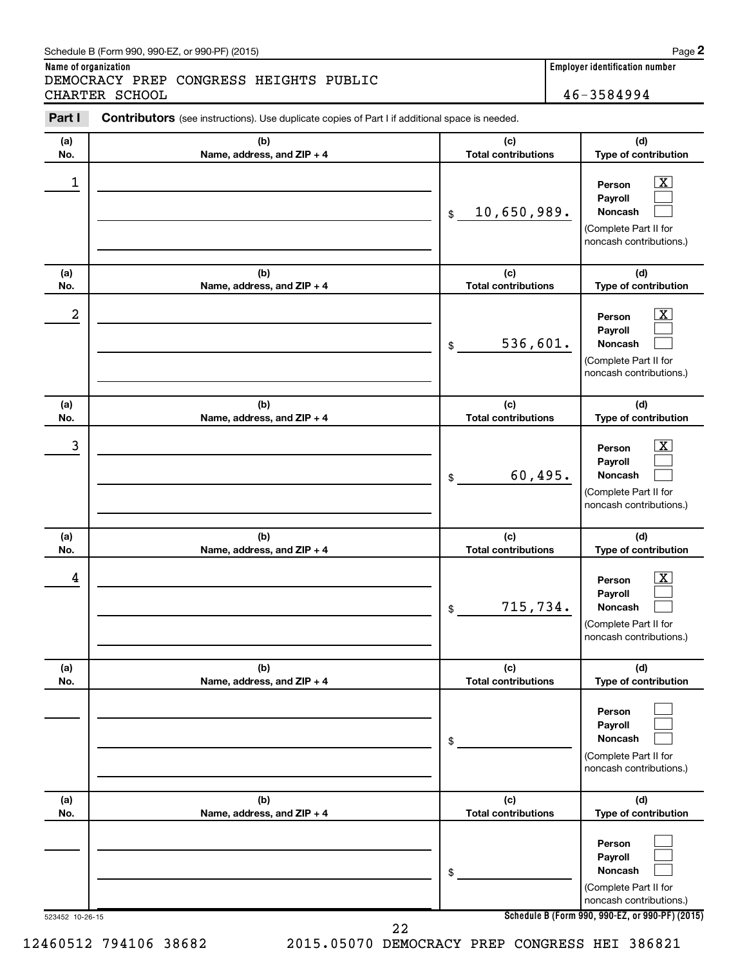#### Schedule B (Form 990, 990-EZ, or 990-PF) (2015)

**Name of organization Employer identification number** DEMOCRACY PREP CONGRESS HEIGHTS PUBLIC CHARTER SCHOOL 46-3584994

| Part I     | Contributors (see instructions). Use duplicate copies of Part I if additional space is needed. |                                   |                                                                                                                                     |  |  |  |  |
|------------|------------------------------------------------------------------------------------------------|-----------------------------------|-------------------------------------------------------------------------------------------------------------------------------------|--|--|--|--|
| (a)<br>No. | (b)<br>Name, address, and ZIP + 4                                                              | (c)<br><b>Total contributions</b> | (d)<br>Type of contribution                                                                                                         |  |  |  |  |
| 1          |                                                                                                | 10,650,989.<br>\$                 | $\overline{\mathbf{X}}$<br>Person<br>Payroll<br><b>Noncash</b><br>(Complete Part II for<br>noncash contributions.)                  |  |  |  |  |
| (a)<br>No. | (b)<br>Name, address, and ZIP + 4                                                              | (c)<br><b>Total contributions</b> | (d)<br>Type of contribution                                                                                                         |  |  |  |  |
| 2          |                                                                                                | 536,601.<br>\$                    | $\overline{\mathbf{X}}$<br>Person<br>Payroll<br><b>Noncash</b><br>(Complete Part II for<br>noncash contributions.)                  |  |  |  |  |
| (a)<br>No. | (b)<br>Name, address, and ZIP + 4                                                              | (c)<br><b>Total contributions</b> | (d)<br>Type of contribution                                                                                                         |  |  |  |  |
| 3          |                                                                                                | 60,495.<br>\$                     | $\overline{\mathbf{X}}$<br>Person<br>Payroll<br><b>Noncash</b><br>(Complete Part II for<br>noncash contributions.)                  |  |  |  |  |
| (a)<br>No. | (b)<br>Name, address, and ZIP + 4                                                              | (c)<br><b>Total contributions</b> | (d)<br>Type of contribution                                                                                                         |  |  |  |  |
| 4          |                                                                                                | 715,734.<br>\$                    | $\overline{\mathbf{X}}$<br>Person<br>Payroll<br><b>Noncash</b><br>(Complete Part II for<br>noncash contributions.)                  |  |  |  |  |
|            |                                                                                                |                                   |                                                                                                                                     |  |  |  |  |
| (a)<br>No. | (b)<br>Name, address, and ZIP + 4                                                              | (c)<br><b>Total contributions</b> | (d)<br>Type of contribution                                                                                                         |  |  |  |  |
|            |                                                                                                | \$                                | Person<br>Payroll<br><b>Noncash</b><br>(Complete Part II for<br>noncash contributions.)                                             |  |  |  |  |
| (a)<br>No. | (b)<br>Name, address, and ZIP + 4                                                              | (c)<br><b>Total contributions</b> | (d)<br>Type of contribution                                                                                                         |  |  |  |  |
|            |                                                                                                | \$                                | Person<br>Payroll<br>Noncash<br>(Complete Part II for<br>noncash contributions.)<br>Schedule B (Form 990, 990-EZ, or 990-PF) (2015) |  |  |  |  |

12460512 794106 38682 2015.05070 DEMOCRACY PREP CONGRESS HEI 386821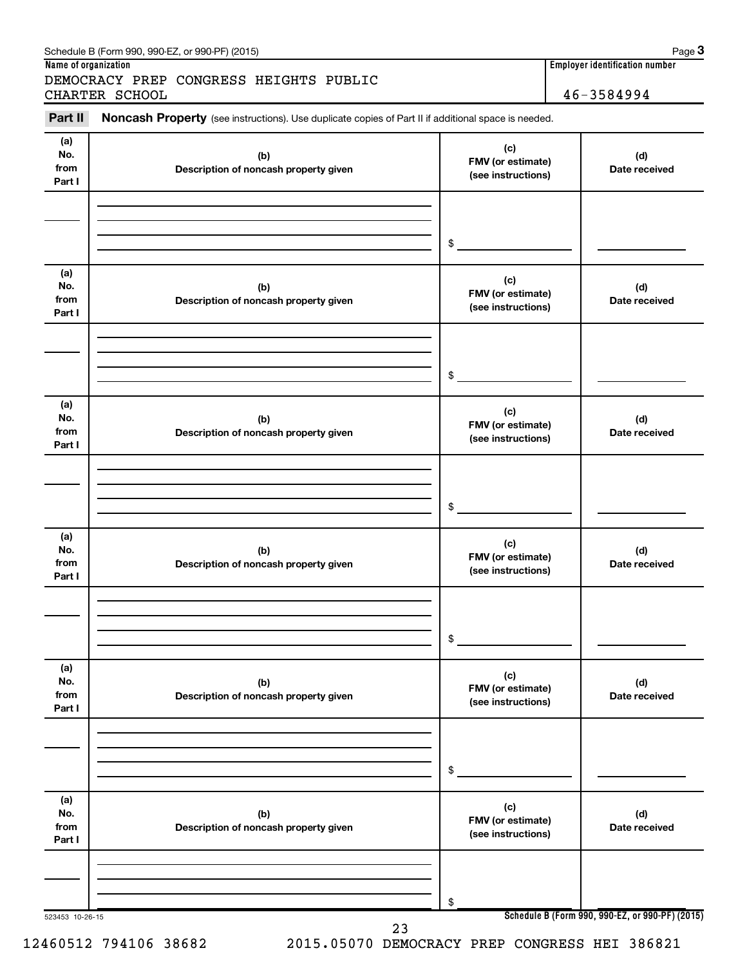| Part II                      | Noncash Property (see instructions). Use duplicate copies of Part II if additional space is needed. |                                                |                      |
|------------------------------|-----------------------------------------------------------------------------------------------------|------------------------------------------------|----------------------|
|                              |                                                                                                     |                                                |                      |
| (a)<br>No.<br>from<br>Part I | (b)<br>Description of noncash property given                                                        | (c)<br>FMV (or estimate)<br>(see instructions) | (d)<br>Date received |
|                              |                                                                                                     | \$                                             |                      |
| (a)<br>No.<br>from<br>Part I | (b)<br>Description of noncash property given                                                        | (c)<br>FMV (or estimate)<br>(see instructions) | (d)<br>Date received |
|                              |                                                                                                     | \$                                             |                      |
| (a)<br>No.<br>from<br>Part I | (b)<br>Description of noncash property given                                                        | (c)<br>FMV (or estimate)<br>(see instructions) | (d)<br>Date received |
|                              |                                                                                                     | \$                                             |                      |
| (a)<br>No.<br>from<br>Part I | (b)<br>Description of noncash property given                                                        | (c)<br>FMV (or estimate)<br>(see instructions) | (d)<br>Date received |
|                              |                                                                                                     | \$                                             |                      |
| (a)<br>No.<br>from<br>Part I | (b)<br>Description of noncash property given                                                        | (c)<br>FMV (or estimate)<br>(see instructions) | (d)<br>Date received |
|                              |                                                                                                     | \$                                             |                      |
| (a)<br>No.<br>from<br>Part I | (b)<br>Description of noncash property given                                                        | (c)<br>FMV (or estimate)<br>(see instructions) | (d)<br>Date received |
|                              |                                                                                                     | \$                                             |                      |

12460512 794106 38682 2015.05070 DEMOCRACY PREP CONGRESS HEI 386821

**Name of organization Employer identification number**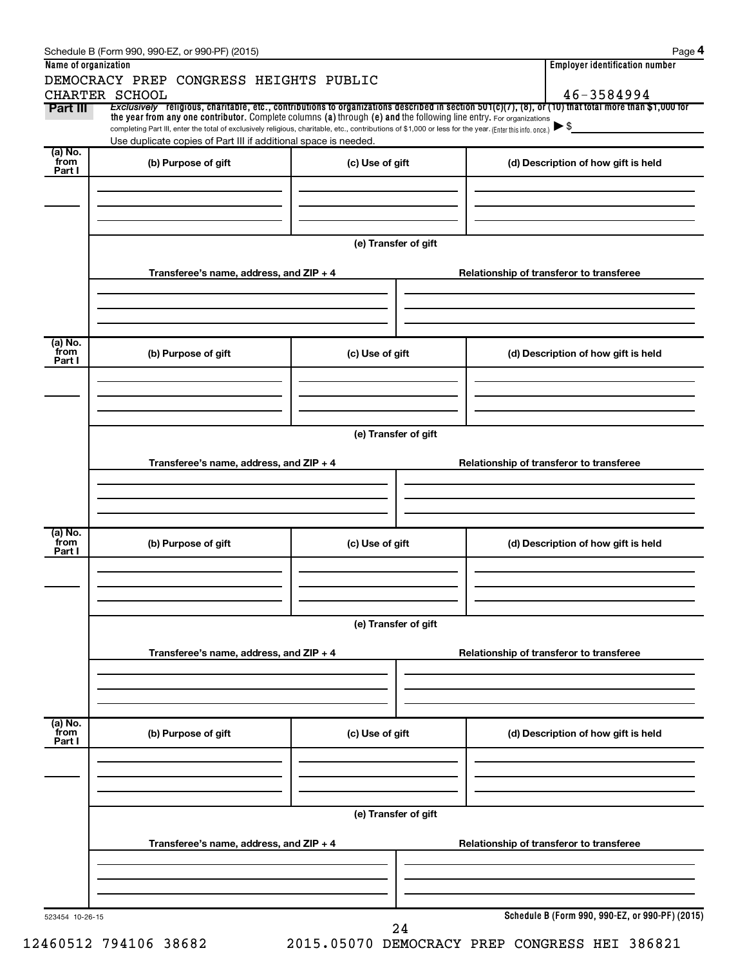|                      | Schedule B (Form 990, 990-EZ, or 990-PF) (2015)                                                                                                                                                                                                                                 |                                                                                     | Page 4                                                                                                                                                   |  |  |  |  |  |  |
|----------------------|---------------------------------------------------------------------------------------------------------------------------------------------------------------------------------------------------------------------------------------------------------------------------------|-------------------------------------------------------------------------------------|----------------------------------------------------------------------------------------------------------------------------------------------------------|--|--|--|--|--|--|
| Name of organization |                                                                                                                                                                                                                                                                                 |                                                                                     | <b>Employer identification number</b>                                                                                                                    |  |  |  |  |  |  |
|                      | DEMOCRACY PREP CONGRESS HEIGHTS PUBLIC                                                                                                                                                                                                                                          |                                                                                     | 46-3584994                                                                                                                                               |  |  |  |  |  |  |
| Part III             | CHARTER SCHOOL                                                                                                                                                                                                                                                                  |                                                                                     | Exclusively religious, charitable, etc., contributions to organizations described in section $501(c)(7)$ , (8), or (10) that total more than \$1,000 for |  |  |  |  |  |  |
|                      | the year from any one contributor. Complete columns (a) through (e) and the following line entry. For organizations<br>completing Part III, enter the total of exclusively religious, charitable, etc., contributions of \$1,000 or less for the year. (Enter this info. once.) |                                                                                     | $\blacktriangleright$ \$                                                                                                                                 |  |  |  |  |  |  |
|                      | Use duplicate copies of Part III if additional space is needed.                                                                                                                                                                                                                 |                                                                                     |                                                                                                                                                          |  |  |  |  |  |  |
| (a) No.<br>from      |                                                                                                                                                                                                                                                                                 |                                                                                     |                                                                                                                                                          |  |  |  |  |  |  |
| Part I               | (b) Purpose of gift                                                                                                                                                                                                                                                             | (c) Use of gift                                                                     | (d) Description of how gift is held                                                                                                                      |  |  |  |  |  |  |
|                      |                                                                                                                                                                                                                                                                                 |                                                                                     |                                                                                                                                                          |  |  |  |  |  |  |
|                      |                                                                                                                                                                                                                                                                                 |                                                                                     |                                                                                                                                                          |  |  |  |  |  |  |
|                      |                                                                                                                                                                                                                                                                                 |                                                                                     |                                                                                                                                                          |  |  |  |  |  |  |
|                      |                                                                                                                                                                                                                                                                                 | (e) Transfer of gift                                                                |                                                                                                                                                          |  |  |  |  |  |  |
|                      |                                                                                                                                                                                                                                                                                 |                                                                                     |                                                                                                                                                          |  |  |  |  |  |  |
|                      | Transferee's name, address, and ZIP + 4                                                                                                                                                                                                                                         |                                                                                     | Relationship of transferor to transferee                                                                                                                 |  |  |  |  |  |  |
|                      |                                                                                                                                                                                                                                                                                 |                                                                                     |                                                                                                                                                          |  |  |  |  |  |  |
|                      |                                                                                                                                                                                                                                                                                 |                                                                                     |                                                                                                                                                          |  |  |  |  |  |  |
|                      |                                                                                                                                                                                                                                                                                 |                                                                                     |                                                                                                                                                          |  |  |  |  |  |  |
| (a) No.<br>from      | (b) Purpose of gift                                                                                                                                                                                                                                                             | (c) Use of gift                                                                     | (d) Description of how gift is held                                                                                                                      |  |  |  |  |  |  |
| Part I               |                                                                                                                                                                                                                                                                                 |                                                                                     |                                                                                                                                                          |  |  |  |  |  |  |
|                      |                                                                                                                                                                                                                                                                                 |                                                                                     |                                                                                                                                                          |  |  |  |  |  |  |
|                      |                                                                                                                                                                                                                                                                                 |                                                                                     |                                                                                                                                                          |  |  |  |  |  |  |
|                      |                                                                                                                                                                                                                                                                                 |                                                                                     |                                                                                                                                                          |  |  |  |  |  |  |
|                      | (e) Transfer of gift                                                                                                                                                                                                                                                            |                                                                                     |                                                                                                                                                          |  |  |  |  |  |  |
|                      |                                                                                                                                                                                                                                                                                 |                                                                                     |                                                                                                                                                          |  |  |  |  |  |  |
|                      | Transferee's name, address, and ZIP + 4                                                                                                                                                                                                                                         |                                                                                     | Relationship of transferor to transferee                                                                                                                 |  |  |  |  |  |  |
|                      |                                                                                                                                                                                                                                                                                 |                                                                                     |                                                                                                                                                          |  |  |  |  |  |  |
|                      |                                                                                                                                                                                                                                                                                 |                                                                                     |                                                                                                                                                          |  |  |  |  |  |  |
|                      |                                                                                                                                                                                                                                                                                 |                                                                                     |                                                                                                                                                          |  |  |  |  |  |  |
| (a) No.<br>from      | (b) Purpose of gift<br>(c) Use of gift                                                                                                                                                                                                                                          |                                                                                     | (d) Description of how gift is held                                                                                                                      |  |  |  |  |  |  |
| Part I               |                                                                                                                                                                                                                                                                                 |                                                                                     |                                                                                                                                                          |  |  |  |  |  |  |
|                      |                                                                                                                                                                                                                                                                                 |                                                                                     |                                                                                                                                                          |  |  |  |  |  |  |
|                      |                                                                                                                                                                                                                                                                                 |                                                                                     |                                                                                                                                                          |  |  |  |  |  |  |
|                      |                                                                                                                                                                                                                                                                                 |                                                                                     |                                                                                                                                                          |  |  |  |  |  |  |
|                      | (e) Transfer of gift                                                                                                                                                                                                                                                            |                                                                                     |                                                                                                                                                          |  |  |  |  |  |  |
|                      |                                                                                                                                                                                                                                                                                 | Transferee's name, address, and ZIP + 4<br>Relationship of transferor to transferee |                                                                                                                                                          |  |  |  |  |  |  |
|                      |                                                                                                                                                                                                                                                                                 |                                                                                     |                                                                                                                                                          |  |  |  |  |  |  |
|                      |                                                                                                                                                                                                                                                                                 |                                                                                     |                                                                                                                                                          |  |  |  |  |  |  |
|                      |                                                                                                                                                                                                                                                                                 |                                                                                     |                                                                                                                                                          |  |  |  |  |  |  |
| (a) No.<br>from      |                                                                                                                                                                                                                                                                                 |                                                                                     |                                                                                                                                                          |  |  |  |  |  |  |
| Part I               | (b) Purpose of gift                                                                                                                                                                                                                                                             | (c) Use of gift                                                                     | (d) Description of how gift is held                                                                                                                      |  |  |  |  |  |  |
|                      |                                                                                                                                                                                                                                                                                 |                                                                                     |                                                                                                                                                          |  |  |  |  |  |  |
|                      |                                                                                                                                                                                                                                                                                 |                                                                                     |                                                                                                                                                          |  |  |  |  |  |  |
|                      |                                                                                                                                                                                                                                                                                 |                                                                                     |                                                                                                                                                          |  |  |  |  |  |  |
|                      |                                                                                                                                                                                                                                                                                 | (e) Transfer of gift                                                                |                                                                                                                                                          |  |  |  |  |  |  |
|                      |                                                                                                                                                                                                                                                                                 |                                                                                     |                                                                                                                                                          |  |  |  |  |  |  |
|                      | Transferee's name, address, and ZIP + 4                                                                                                                                                                                                                                         |                                                                                     | Relationship of transferor to transferee                                                                                                                 |  |  |  |  |  |  |
|                      |                                                                                                                                                                                                                                                                                 |                                                                                     |                                                                                                                                                          |  |  |  |  |  |  |
|                      |                                                                                                                                                                                                                                                                                 |                                                                                     |                                                                                                                                                          |  |  |  |  |  |  |
|                      |                                                                                                                                                                                                                                                                                 |                                                                                     |                                                                                                                                                          |  |  |  |  |  |  |
| 523454 10-26-15      |                                                                                                                                                                                                                                                                                 |                                                                                     | Schedule B (Form 990, 990-EZ, or 990-PF) (2015)                                                                                                          |  |  |  |  |  |  |
|                      |                                                                                                                                                                                                                                                                                 | 24                                                                                  |                                                                                                                                                          |  |  |  |  |  |  |

12460512 794106 38682 2015.05070 DEMOCRACY PREP CONGRESS HEI 386821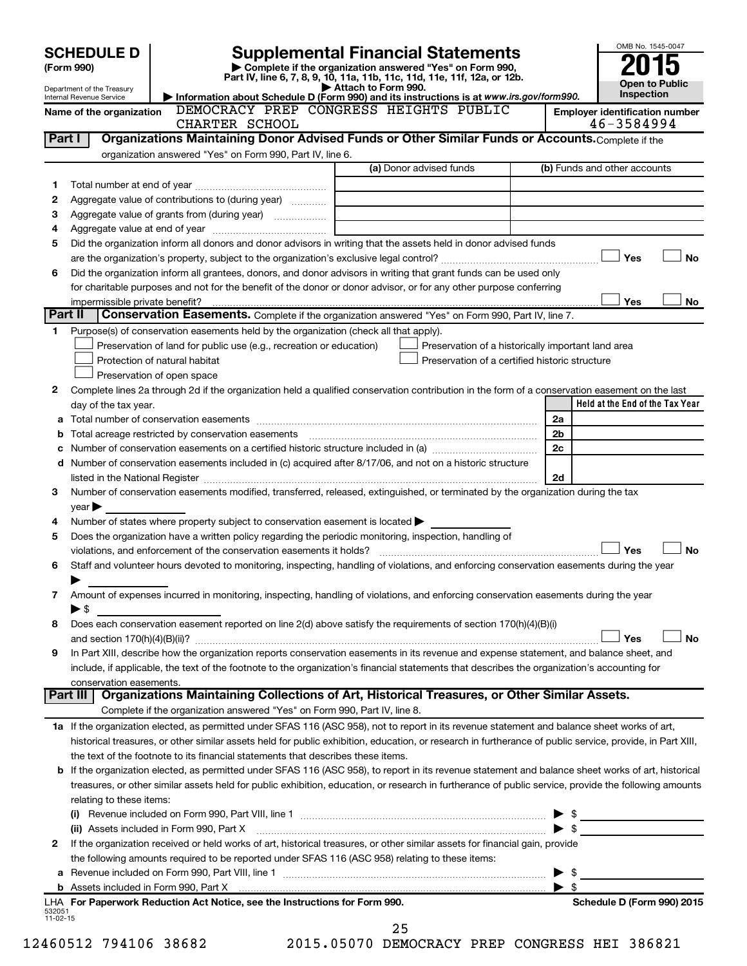|                      | <b>SCHEDULE D</b>              |                                                                                                                                                            | <b>Supplemental Financial Statements</b>                                                                                             |                         | OMB No. 1545-0047                     |
|----------------------|--------------------------------|------------------------------------------------------------------------------------------------------------------------------------------------------------|--------------------------------------------------------------------------------------------------------------------------------------|-------------------------|---------------------------------------|
|                      | (Form 990)                     |                                                                                                                                                            | Complete if the organization answered "Yes" on Form 990,<br>Part IV, line 6, 7, 8, 9, 10, 11a, 11b, 11c, 11d, 11e, 11f, 12a, or 12b. |                         |                                       |
|                      | Department of the Treasury     |                                                                                                                                                            | Attach to Form 990.                                                                                                                  |                         | <b>Open to Public</b>                 |
|                      | Internal Revenue Service       |                                                                                                                                                            | Information about Schedule D (Form 990) and its instructions is at www.irs.gov/form990.                                              |                         | Inspection                            |
|                      | Name of the organization       |                                                                                                                                                            | DEMOCRACY PREP CONGRESS HEIGHTS PUBLIC                                                                                               |                         | <b>Employer identification number</b> |
|                      |                                | CHARTER SCHOOL                                                                                                                                             |                                                                                                                                      |                         | 46-3584994                            |
| Part I               |                                | Organizations Maintaining Donor Advised Funds or Other Similar Funds or Accounts. Complete if the                                                          |                                                                                                                                      |                         |                                       |
|                      |                                | organization answered "Yes" on Form 990, Part IV, line 6.                                                                                                  | (a) Donor advised funds                                                                                                              |                         | (b) Funds and other accounts          |
|                      |                                |                                                                                                                                                            |                                                                                                                                      |                         |                                       |
| 1                    |                                |                                                                                                                                                            |                                                                                                                                      |                         |                                       |
| 2                    |                                | Aggregate value of contributions to (during year)                                                                                                          |                                                                                                                                      |                         |                                       |
| З                    |                                |                                                                                                                                                            |                                                                                                                                      |                         |                                       |
| 4                    |                                |                                                                                                                                                            |                                                                                                                                      |                         |                                       |
| 5                    |                                | Did the organization inform all donors and donor advisors in writing that the assets held in donor advised funds                                           |                                                                                                                                      |                         |                                       |
|                      |                                |                                                                                                                                                            |                                                                                                                                      |                         | Yes<br><b>No</b>                      |
| 6                    |                                | Did the organization inform all grantees, donors, and donor advisors in writing that grant funds can be used only                                          |                                                                                                                                      |                         |                                       |
|                      |                                | for charitable purposes and not for the benefit of the donor or donor advisor, or for any other purpose conferring                                         |                                                                                                                                      |                         |                                       |
|                      | impermissible private benefit? |                                                                                                                                                            |                                                                                                                                      |                         | Yes<br>No                             |
| Part II              |                                | Conservation Easements. Complete if the organization answered "Yes" on Form 990, Part IV, line 7.                                                          |                                                                                                                                      |                         |                                       |
| 1                    |                                | Purpose(s) of conservation easements held by the organization (check all that apply).                                                                      |                                                                                                                                      |                         |                                       |
|                      |                                | Preservation of land for public use (e.g., recreation or education)                                                                                        | Preservation of a historically important land area                                                                                   |                         |                                       |
|                      |                                | Protection of natural habitat                                                                                                                              | Preservation of a certified historic structure                                                                                       |                         |                                       |
|                      |                                | Preservation of open space                                                                                                                                 |                                                                                                                                      |                         |                                       |
| 2                    |                                | Complete lines 2a through 2d if the organization held a qualified conservation contribution in the form of a conservation easement on the last             |                                                                                                                                      |                         |                                       |
|                      | day of the tax year.           |                                                                                                                                                            |                                                                                                                                      |                         | Held at the End of the Tax Year       |
|                      |                                |                                                                                                                                                            |                                                                                                                                      | 2a                      |                                       |
|                      |                                |                                                                                                                                                            |                                                                                                                                      | 2b                      |                                       |
|                      |                                |                                                                                                                                                            |                                                                                                                                      | 2c                      |                                       |
|                      |                                | d Number of conservation easements included in (c) acquired after 8/17/06, and not on a historic structure                                                 |                                                                                                                                      |                         |                                       |
|                      |                                |                                                                                                                                                            |                                                                                                                                      | 2d                      |                                       |
| З                    |                                | Number of conservation easements modified, transferred, released, extinguished, or terminated by the organization during the tax                           |                                                                                                                                      |                         |                                       |
|                      | $year \triangleright$          |                                                                                                                                                            |                                                                                                                                      |                         |                                       |
| 4                    |                                | Number of states where property subject to conservation easement is located                                                                                |                                                                                                                                      |                         |                                       |
| 5                    |                                | Does the organization have a written policy regarding the periodic monitoring, inspection, handling of                                                     |                                                                                                                                      |                         |                                       |
|                      |                                |                                                                                                                                                            |                                                                                                                                      |                         | Yes<br><b>No</b>                      |
| 6                    |                                | Staff and volunteer hours devoted to monitoring, inspecting, handling of violations, and enforcing conservation easements during the year                  |                                                                                                                                      |                         |                                       |
|                      |                                |                                                                                                                                                            |                                                                                                                                      |                         |                                       |
| 7                    |                                | Amount of expenses incurred in monitoring, inspecting, handling of violations, and enforcing conservation easements during the year                        |                                                                                                                                      |                         |                                       |
|                      | ▶ \$                           |                                                                                                                                                            |                                                                                                                                      |                         |                                       |
| 8                    |                                | Does each conservation easement reported on line 2(d) above satisfy the requirements of section 170(h)(4)(B)(i)                                            |                                                                                                                                      |                         |                                       |
|                      |                                |                                                                                                                                                            |                                                                                                                                      |                         | Yes<br>No                             |
| 9                    |                                | In Part XIII, describe how the organization reports conservation easements in its revenue and expense statement, and balance sheet, and                    |                                                                                                                                      |                         |                                       |
|                      |                                | include, if applicable, the text of the footnote to the organization's financial statements that describes the organization's accounting for               |                                                                                                                                      |                         |                                       |
|                      | conservation easements.        |                                                                                                                                                            |                                                                                                                                      |                         |                                       |
|                      | Part III                       | Organizations Maintaining Collections of Art, Historical Treasures, or Other Similar Assets.                                                               |                                                                                                                                      |                         |                                       |
|                      |                                | Complete if the organization answered "Yes" on Form 990, Part IV, line 8.                                                                                  |                                                                                                                                      |                         |                                       |
|                      |                                | 1a If the organization elected, as permitted under SFAS 116 (ASC 958), not to report in its revenue statement and balance sheet works of art,              |                                                                                                                                      |                         |                                       |
|                      |                                | historical treasures, or other similar assets held for public exhibition, education, or research in furtherance of public service, provide, in Part XIII,  |                                                                                                                                      |                         |                                       |
|                      |                                | the text of the footnote to its financial statements that describes these items.                                                                           |                                                                                                                                      |                         |                                       |
|                      |                                | <b>b</b> If the organization elected, as permitted under SFAS 116 (ASC 958), to report in its revenue statement and balance sheet works of art, historical |                                                                                                                                      |                         |                                       |
|                      |                                | treasures, or other similar assets held for public exhibition, education, or research in furtherance of public service, provide the following amounts      |                                                                                                                                      |                         |                                       |
|                      | relating to these items:       |                                                                                                                                                            |                                                                                                                                      |                         |                                       |
|                      |                                |                                                                                                                                                            |                                                                                                                                      | \$                      |                                       |
|                      |                                | (ii) Assets included in Form 990, Part X                                                                                                                   |                                                                                                                                      | \$                      |                                       |
| 2                    |                                | If the organization received or held works of art, historical treasures, or other similar assets for financial gain, provide                               |                                                                                                                                      |                         |                                       |
|                      |                                | the following amounts required to be reported under SFAS 116 (ASC 958) relating to these items:                                                            |                                                                                                                                      |                         |                                       |
|                      |                                |                                                                                                                                                            |                                                                                                                                      | \$                      |                                       |
|                      |                                |                                                                                                                                                            |                                                                                                                                      | $\blacktriangleright$ s |                                       |
|                      |                                | LHA For Paperwork Reduction Act Notice, see the Instructions for Form 990.                                                                                 |                                                                                                                                      |                         | Schedule D (Form 990) 2015            |
| 532051<br>$11-02-15$ |                                |                                                                                                                                                            |                                                                                                                                      |                         |                                       |
|                      |                                |                                                                                                                                                            | 25                                                                                                                                   |                         |                                       |

12460512 794106 38682 2015.05070 DEMOCRACY PREP CONGRESS HEI 386821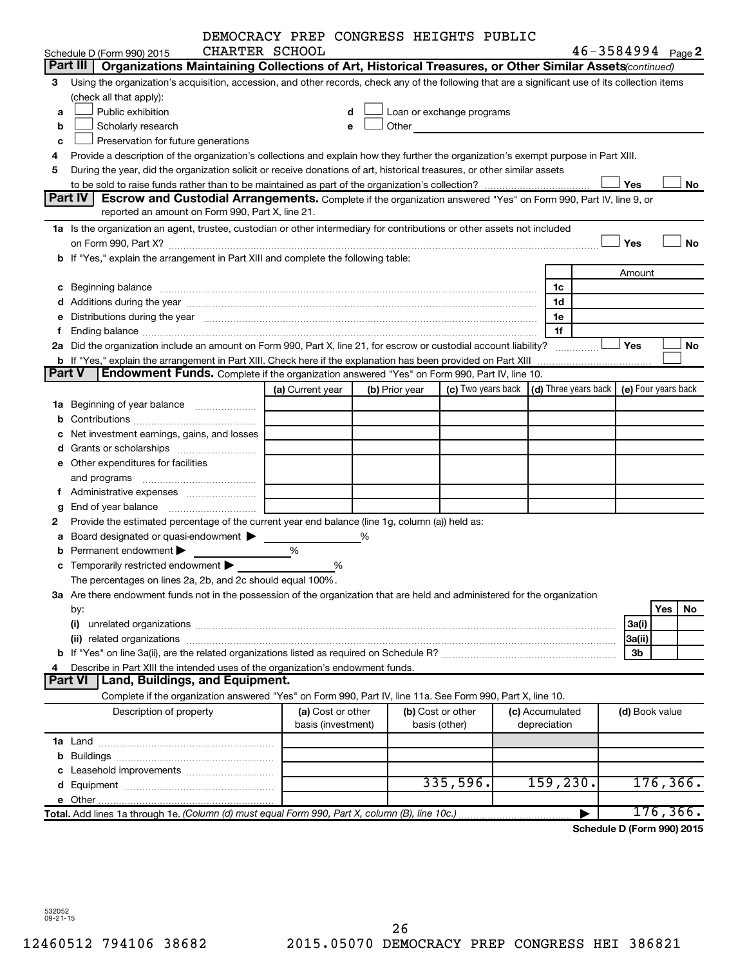|               |                                                                                                                                                                                                                                | DEMOCRACY PREP CONGRESS HEIGHTS PUBLIC |                                         |                |                                                                                                                                                                                                                               |                                                                  |                       |           |
|---------------|--------------------------------------------------------------------------------------------------------------------------------------------------------------------------------------------------------------------------------|----------------------------------------|-----------------------------------------|----------------|-------------------------------------------------------------------------------------------------------------------------------------------------------------------------------------------------------------------------------|------------------------------------------------------------------|-----------------------|-----------|
|               | CHARTER SCHOOL<br>Schedule D (Form 990) 2015                                                                                                                                                                                   |                                        |                                         |                |                                                                                                                                                                                                                               |                                                                  | $46 - 3584994$ Page 2 |           |
|               | Part III<br>Organizations Maintaining Collections of Art, Historical Treasures, or Other Similar Assets (continued)                                                                                                            |                                        |                                         |                |                                                                                                                                                                                                                               |                                                                  |                       |           |
| З             | Using the organization's acquisition, accession, and other records, check any of the following that are a significant use of its collection items                                                                              |                                        |                                         |                |                                                                                                                                                                                                                               |                                                                  |                       |           |
|               | (check all that apply):                                                                                                                                                                                                        |                                        |                                         |                |                                                                                                                                                                                                                               |                                                                  |                       |           |
| a             | Public exhibition                                                                                                                                                                                                              |                                        |                                         |                | Loan or exchange programs                                                                                                                                                                                                     |                                                                  |                       |           |
| b             | Scholarly research                                                                                                                                                                                                             |                                        |                                         |                | Other and the contract of the contract of the contract of the contract of the contract of the contract of the contract of the contract of the contract of the contract of the contract of the contract of the contract of the |                                                                  |                       |           |
| c             | Preservation for future generations                                                                                                                                                                                            |                                        |                                         |                |                                                                                                                                                                                                                               |                                                                  |                       |           |
| 4             | Provide a description of the organization's collections and explain how they further the organization's exempt purpose in Part XIII.                                                                                           |                                        |                                         |                |                                                                                                                                                                                                                               |                                                                  |                       |           |
| 5             | During the year, did the organization solicit or receive donations of art, historical treasures, or other similar assets                                                                                                       |                                        |                                         |                |                                                                                                                                                                                                                               |                                                                  |                       |           |
|               |                                                                                                                                                                                                                                |                                        |                                         |                |                                                                                                                                                                                                                               |                                                                  | Yes                   | No        |
|               | Part IV<br><b>Escrow and Custodial Arrangements.</b> Complete if the organization answered "Yes" on Form 990, Part IV, line 9, or                                                                                              |                                        |                                         |                |                                                                                                                                                                                                                               |                                                                  |                       |           |
|               | reported an amount on Form 990, Part X, line 21.                                                                                                                                                                               |                                        |                                         |                |                                                                                                                                                                                                                               |                                                                  |                       |           |
|               | 1a Is the organization an agent, trustee, custodian or other intermediary for contributions or other assets not included                                                                                                       |                                        |                                         |                |                                                                                                                                                                                                                               |                                                                  |                       |           |
|               |                                                                                                                                                                                                                                |                                        |                                         |                |                                                                                                                                                                                                                               |                                                                  | Yes                   | <b>No</b> |
|               | b If "Yes," explain the arrangement in Part XIII and complete the following table:                                                                                                                                             |                                        |                                         |                |                                                                                                                                                                                                                               |                                                                  |                       |           |
|               |                                                                                                                                                                                                                                |                                        |                                         |                |                                                                                                                                                                                                                               |                                                                  | Amount                |           |
|               | c Beginning balance measurements and the contract of the contract of the contract of the contract of the contract of the contract of the contract of the contract of the contract of the contract of the contract of the contr |                                        |                                         |                |                                                                                                                                                                                                                               | 1c                                                               |                       |           |
|               |                                                                                                                                                                                                                                |                                        |                                         |                |                                                                                                                                                                                                                               | 1d                                                               |                       |           |
|               | e Distributions during the year manufactured and continuum control of the control of the control of the state of the control of the control of the control of the control of the control of the control of the control of the  |                                        |                                         |                |                                                                                                                                                                                                                               | 1e                                                               |                       |           |
| f.            |                                                                                                                                                                                                                                |                                        |                                         |                |                                                                                                                                                                                                                               | 1f                                                               |                       |           |
|               | 2a Did the organization include an amount on Form 990, Part X, line 21, for escrow or custodial account liability?                                                                                                             |                                        |                                         |                |                                                                                                                                                                                                                               |                                                                  | Yes                   | No        |
|               | <b>b</b> If "Yes," explain the arrangement in Part XIII. Check here if the explanation has been provided on Part XIII                                                                                                          |                                        |                                         |                |                                                                                                                                                                                                                               |                                                                  |                       |           |
| <b>Part V</b> | <b>Endowment Funds.</b> Complete if the organization answered "Yes" on Form 990, Part IV, line 10.                                                                                                                             |                                        |                                         |                |                                                                                                                                                                                                                               |                                                                  |                       |           |
|               |                                                                                                                                                                                                                                | (a) Current year                       |                                         | (b) Prior year |                                                                                                                                                                                                                               | (c) Two years back $ (d)$ Three years back $ e $ Four years back |                       |           |
|               | <b>1a</b> Beginning of year balance <i>manumumum</i>                                                                                                                                                                           |                                        |                                         |                |                                                                                                                                                                                                                               |                                                                  |                       |           |
|               |                                                                                                                                                                                                                                |                                        |                                         |                |                                                                                                                                                                                                                               |                                                                  |                       |           |
| c             | Net investment earnings, gains, and losses                                                                                                                                                                                     |                                        |                                         |                |                                                                                                                                                                                                                               |                                                                  |                       |           |
|               |                                                                                                                                                                                                                                |                                        |                                         |                |                                                                                                                                                                                                                               |                                                                  |                       |           |
|               | e Other expenditures for facilities                                                                                                                                                                                            |                                        |                                         |                |                                                                                                                                                                                                                               |                                                                  |                       |           |
|               | and programs                                                                                                                                                                                                                   |                                        |                                         |                |                                                                                                                                                                                                                               |                                                                  |                       |           |
|               |                                                                                                                                                                                                                                |                                        |                                         |                |                                                                                                                                                                                                                               |                                                                  |                       |           |
|               |                                                                                                                                                                                                                                |                                        |                                         |                |                                                                                                                                                                                                                               |                                                                  |                       |           |
| 2             | Provide the estimated percentage of the current year end balance (line 1g, column (a)) held as:                                                                                                                                |                                        |                                         |                |                                                                                                                                                                                                                               |                                                                  |                       |           |
| а             | Board designated or quasi-endowment                                                                                                                                                                                            |                                        | %                                       |                |                                                                                                                                                                                                                               |                                                                  |                       |           |
|               | Permanent endowment                                                                                                                                                                                                            | %                                      |                                         |                |                                                                                                                                                                                                                               |                                                                  |                       |           |
|               | <b>c</b> Temporarily restricted endowment $\blacktriangleright$                                                                                                                                                                |                                        | %                                       |                |                                                                                                                                                                                                                               |                                                                  |                       |           |
|               | The percentages on lines 2a, 2b, and 2c should equal 100%.                                                                                                                                                                     |                                        |                                         |                |                                                                                                                                                                                                                               |                                                                  |                       |           |
|               | 3a Are there endowment funds not in the possession of the organization that are held and administered for the organization                                                                                                     |                                        |                                         |                |                                                                                                                                                                                                                               |                                                                  |                       |           |
|               | by:                                                                                                                                                                                                                            |                                        |                                         |                |                                                                                                                                                                                                                               |                                                                  |                       | Yes<br>No |
|               | (i)                                                                                                                                                                                                                            |                                        |                                         |                |                                                                                                                                                                                                                               |                                                                  | 3a(i)                 |           |
|               |                                                                                                                                                                                                                                |                                        |                                         |                |                                                                                                                                                                                                                               |                                                                  | 3a(ii)                |           |
|               |                                                                                                                                                                                                                                |                                        |                                         |                |                                                                                                                                                                                                                               |                                                                  | 3b                    |           |
| 4             | Describe in Part XIII the intended uses of the organization's endowment funds.<br>Part VI                                                                                                                                      |                                        |                                         |                |                                                                                                                                                                                                                               |                                                                  |                       |           |
|               | Land, Buildings, and Equipment.                                                                                                                                                                                                |                                        |                                         |                |                                                                                                                                                                                                                               |                                                                  |                       |           |
|               | Complete if the organization answered "Yes" on Form 990, Part IV, line 11a. See Form 990, Part X, line 10.                                                                                                                     |                                        |                                         |                |                                                                                                                                                                                                                               |                                                                  |                       |           |
|               | Description of property                                                                                                                                                                                                        |                                        | (a) Cost or other<br>basis (investment) |                | (b) Cost or other<br>basis (other)                                                                                                                                                                                            | (c) Accumulated<br>depreciation                                  | (d) Book value        |           |
|               |                                                                                                                                                                                                                                |                                        |                                         |                |                                                                                                                                                                                                                               |                                                                  |                       |           |
|               |                                                                                                                                                                                                                                |                                        |                                         |                |                                                                                                                                                                                                                               |                                                                  |                       |           |
|               |                                                                                                                                                                                                                                |                                        |                                         |                |                                                                                                                                                                                                                               |                                                                  |                       |           |
|               |                                                                                                                                                                                                                                |                                        |                                         |                | 335,596.                                                                                                                                                                                                                      | 159, 230.                                                        |                       | 176, 366. |
|               |                                                                                                                                                                                                                                |                                        |                                         |                |                                                                                                                                                                                                                               |                                                                  |                       |           |
|               | Total. Add lines 1a through 1e. (Column (d) must equal Form 990, Part X, column (B), line 10c.)                                                                                                                                |                                        |                                         |                |                                                                                                                                                                                                                               |                                                                  |                       | 176, 366. |
|               |                                                                                                                                                                                                                                |                                        |                                         |                |                                                                                                                                                                                                                               |                                                                  |                       |           |

**Schedule D (Form 990) 2015**

532052 09-21-15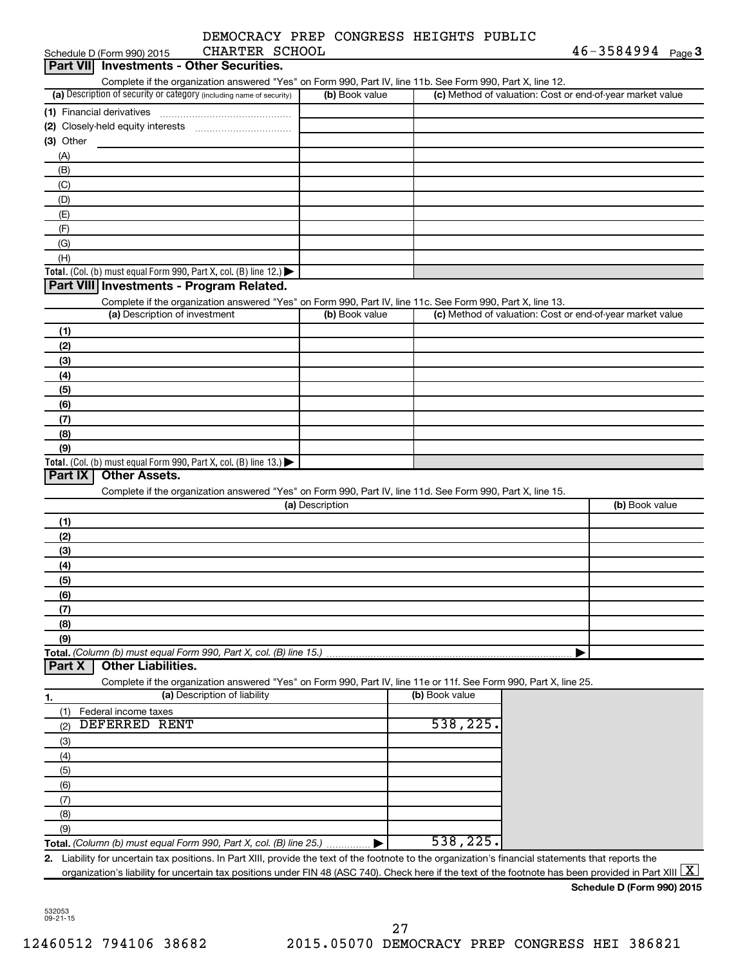| DEMOCRACY PREP CONGRESS HEIGHTS PUBLIC |  |  |
|----------------------------------------|--|--|
|                                        |  |  |

| Schedule D (Form 990) 2015                                                                                        | CHARTER SCHOOL               |                 |                | $46 - 3584994$ Page 3                                                                                                                                                           |
|-------------------------------------------------------------------------------------------------------------------|------------------------------|-----------------|----------------|---------------------------------------------------------------------------------------------------------------------------------------------------------------------------------|
| <b>Part VII</b> Investments - Other Securities.                                                                   |                              |                 |                |                                                                                                                                                                                 |
| Complete if the organization answered "Yes" on Form 990, Part IV, line 11b. See Form 990, Part X, line 12.        |                              |                 |                |                                                                                                                                                                                 |
| (a) Description of security or category (including name of security)                                              |                              | (b) Book value  |                | (c) Method of valuation: Cost or end-of-year market value                                                                                                                       |
|                                                                                                                   |                              |                 |                |                                                                                                                                                                                 |
|                                                                                                                   |                              |                 |                |                                                                                                                                                                                 |
| $(3)$ Other                                                                                                       |                              |                 |                |                                                                                                                                                                                 |
| (A)                                                                                                               |                              |                 |                |                                                                                                                                                                                 |
| (B)                                                                                                               |                              |                 |                |                                                                                                                                                                                 |
| (C)                                                                                                               |                              |                 |                |                                                                                                                                                                                 |
| (D)                                                                                                               |                              |                 |                |                                                                                                                                                                                 |
| (E)                                                                                                               |                              |                 |                |                                                                                                                                                                                 |
| (F)                                                                                                               |                              |                 |                |                                                                                                                                                                                 |
| (G)                                                                                                               |                              |                 |                |                                                                                                                                                                                 |
| (H)                                                                                                               |                              |                 |                |                                                                                                                                                                                 |
| Total. (Col. (b) must equal Form 990, Part X, col. (B) line 12.) $\blacktriangleright$                            |                              |                 |                |                                                                                                                                                                                 |
| Part VIII Investments - Program Related.                                                                          |                              |                 |                |                                                                                                                                                                                 |
| Complete if the organization answered "Yes" on Form 990, Part IV, line 11c. See Form 990, Part X, line 13.        |                              |                 |                |                                                                                                                                                                                 |
| (a) Description of investment                                                                                     |                              | (b) Book value  |                | (c) Method of valuation: Cost or end-of-year market value                                                                                                                       |
| (1)                                                                                                               |                              |                 |                |                                                                                                                                                                                 |
| (2)                                                                                                               |                              |                 |                |                                                                                                                                                                                 |
| (3)                                                                                                               |                              |                 |                |                                                                                                                                                                                 |
| (4)                                                                                                               |                              |                 |                |                                                                                                                                                                                 |
| (5)                                                                                                               |                              |                 |                |                                                                                                                                                                                 |
| (6)                                                                                                               |                              |                 |                |                                                                                                                                                                                 |
| (7)                                                                                                               |                              |                 |                |                                                                                                                                                                                 |
| (8)                                                                                                               |                              |                 |                |                                                                                                                                                                                 |
| (9)                                                                                                               |                              |                 |                |                                                                                                                                                                                 |
| Total. (Col. (b) must equal Form 990, Part X, col. (B) line 13.)                                                  |                              |                 |                |                                                                                                                                                                                 |
| Part IX<br><b>Other Assets.</b>                                                                                   |                              |                 |                |                                                                                                                                                                                 |
| Complete if the organization answered "Yes" on Form 990, Part IV, line 11d. See Form 990, Part X, line 15.        |                              |                 |                |                                                                                                                                                                                 |
|                                                                                                                   |                              | (a) Description |                | (b) Book value                                                                                                                                                                  |
| (1)                                                                                                               |                              |                 |                |                                                                                                                                                                                 |
| (2)                                                                                                               |                              |                 |                |                                                                                                                                                                                 |
| (3)                                                                                                               |                              |                 |                |                                                                                                                                                                                 |
| (4)                                                                                                               |                              |                 |                |                                                                                                                                                                                 |
| (5)                                                                                                               |                              |                 |                |                                                                                                                                                                                 |
| (6)                                                                                                               |                              |                 |                |                                                                                                                                                                                 |
| (7)                                                                                                               |                              |                 |                |                                                                                                                                                                                 |
| (8)                                                                                                               |                              |                 |                |                                                                                                                                                                                 |
| (9)                                                                                                               |                              |                 |                |                                                                                                                                                                                 |
| Total. (Column (b) must equal Form 990, Part X, col. (B) line 15.)<br><b>Other Liabilities.</b><br><b>Part X</b>  |                              |                 |                |                                                                                                                                                                                 |
| Complete if the organization answered "Yes" on Form 990, Part IV, line 11e or 11f. See Form 990, Part X, line 25. |                              |                 |                |                                                                                                                                                                                 |
| 1.                                                                                                                | (a) Description of liability |                 | (b) Book value |                                                                                                                                                                                 |
| Federal income taxes<br>(1)                                                                                       |                              |                 |                |                                                                                                                                                                                 |
| <b>DEFERRED RENT</b><br>(2)                                                                                       |                              |                 | 538,225.       |                                                                                                                                                                                 |
| (3)                                                                                                               |                              |                 |                |                                                                                                                                                                                 |
| (4)                                                                                                               |                              |                 |                |                                                                                                                                                                                 |
| (5)                                                                                                               |                              |                 |                |                                                                                                                                                                                 |
| (6)                                                                                                               |                              |                 |                |                                                                                                                                                                                 |
| (7)                                                                                                               |                              |                 |                |                                                                                                                                                                                 |
| (8)                                                                                                               |                              |                 |                |                                                                                                                                                                                 |
| (9)                                                                                                               |                              |                 |                |                                                                                                                                                                                 |
| Total. (Column (b) must equal Form 990, Part X, col. (B) line 25.)                                                |                              |                 | 538,225.       |                                                                                                                                                                                 |
| 2.                                                                                                                |                              |                 |                | Liability for uncertain tax positions. In Part XIII, provide the text of the footnote to the organization's financial statements that reports the                               |
|                                                                                                                   |                              |                 |                | organization's liability for uncertain tax positions under FIN 48 (ASC 740). Check here if the text of the footnote has been provided in Part XIII $\lfloor \texttt{X} \rfloor$ |

**Schedule D (Form 990) 2015**

532053 09-21-15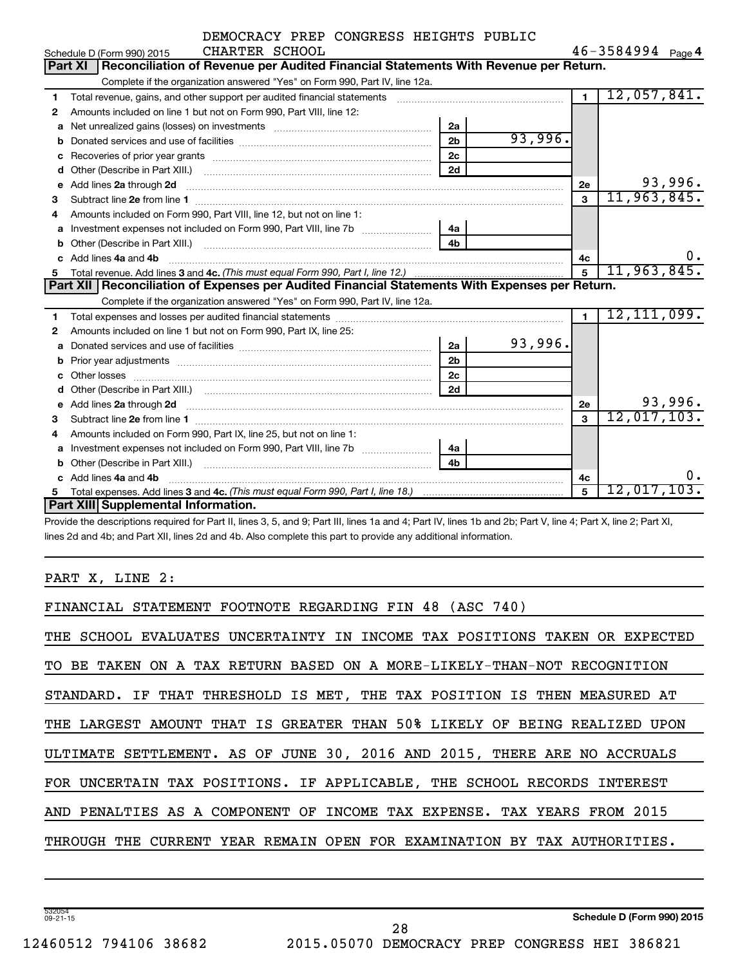|    | DEMOCRACY PREP CONGRESS HEIGHTS PUBLIC                                                                                 |                |         |                |                       |         |  |  |  |
|----|------------------------------------------------------------------------------------------------------------------------|----------------|---------|----------------|-----------------------|---------|--|--|--|
|    | CHARTER SCHOOL<br>Schedule D (Form 990) 2015                                                                           |                |         |                | $46 - 3584994$ Page 4 |         |  |  |  |
|    | Reconciliation of Revenue per Audited Financial Statements With Revenue per Return.<br><b>Part XI</b>                  |                |         |                |                       |         |  |  |  |
|    | Complete if the organization answered "Yes" on Form 990, Part IV, line 12a.                                            |                |         |                |                       |         |  |  |  |
| 1  | Total revenue, gains, and other support per audited financial statements [[[[[[[[[[[[[[[[[[[[[[[[[]]]]]]]]]]]          |                |         | $\blacksquare$ | 12,057,841.           |         |  |  |  |
| 2  | Amounts included on line 1 but not on Form 990, Part VIII, line 12:                                                    |                |         |                |                       |         |  |  |  |
| a  |                                                                                                                        | 2a             |         |                |                       |         |  |  |  |
|    |                                                                                                                        | 2 <sub>b</sub> | 93,996. |                |                       |         |  |  |  |
| C  |                                                                                                                        | 2c             |         |                |                       |         |  |  |  |
| d  |                                                                                                                        | 2d             |         |                |                       |         |  |  |  |
| е  | Add lines 2a through 2d                                                                                                |                |         | 2е             |                       | 93,996. |  |  |  |
| 3  | Subtract line 2e from line 1 <b>manufacture in the contract of the 2e</b> from line 1                                  |                |         | $\mathbf{3}$   | 11,963,845.           |         |  |  |  |
| 4  | Amounts included on Form 990, Part VIII, line 12, but not on line 1:                                                   |                |         |                |                       |         |  |  |  |
|    | a Investment expenses not included on Form 990, Part VIII, line 7b [11, 11, 11, 11]                                    | 4a             |         |                |                       |         |  |  |  |
| b  |                                                                                                                        | 4 <sub>h</sub> |         |                |                       |         |  |  |  |
|    | c Add lines 4a and 4b                                                                                                  |                |         | 4c             |                       | 0.      |  |  |  |
| 5  |                                                                                                                        |                |         | $\overline{5}$ | 11,963,845.           |         |  |  |  |
|    | Part XII   Reconciliation of Expenses per Audited Financial Statements With Expenses per Return.                       |                |         |                |                       |         |  |  |  |
|    | Complete if the organization answered "Yes" on Form 990, Part IV, line 12a.                                            |                |         |                |                       |         |  |  |  |
| 1. |                                                                                                                        |                |         | $\blacksquare$ | 12, 111, 099.         |         |  |  |  |
| 2  | Amounts included on line 1 but not on Form 990, Part IX, line 25:                                                      |                |         |                |                       |         |  |  |  |
| a  | Donated services and use of facilities [11] manufactures in the service of facilities [11] manufactures in the         | 2a             | 93,996. |                |                       |         |  |  |  |
| b  |                                                                                                                        | 2 <sub>b</sub> |         |                |                       |         |  |  |  |
|    |                                                                                                                        | 2 <sub>c</sub> |         |                |                       |         |  |  |  |
|    |                                                                                                                        | 2d             |         |                |                       |         |  |  |  |
| e  | Add lines 2a through 2d <b>contained a contained a contained a contained a</b> contained a contained a contact the set |                |         | 2е             |                       | 93,996. |  |  |  |
| 3  |                                                                                                                        |                |         | 3              | 12,017,103.           |         |  |  |  |
| 4  | Amounts included on Form 990, Part IX, line 25, but not on line 1:                                                     |                |         |                |                       |         |  |  |  |
| a  | Investment expenses not included on Form 990, Part VIII, line 7b [11, 11, 11, 11, 11]                                  | 4a             |         |                |                       |         |  |  |  |
|    |                                                                                                                        | 4 <sub>h</sub> |         |                |                       |         |  |  |  |
|    | c Add lines 4a and 4b                                                                                                  |                |         | 4c             |                       | 0.      |  |  |  |
|    |                                                                                                                        |                |         | 5              | 12,017,103.           |         |  |  |  |
|    | Part XIII Supplemental Information.                                                                                    |                |         |                |                       |         |  |  |  |

Provide the descriptions required for Part II, lines 3, 5, and 9; Part III, lines 1a and 4; Part IV, lines 1b and 2b; Part V, line 4; Part X, line 2; Part XI, lines 2d and 4b; and Part XII, lines 2d and 4b. Also complete this part to provide any additional information.

#### PART X, LINE 2:

| FINANCIAL STATEMENT FOOTNOTE REGARDING FIN 48 (ASC 740)                    |
|----------------------------------------------------------------------------|
| THE SCHOOL EVALUATES UNCERTAINTY IN INCOME TAX POSITIONS TAKEN OR EXPECTED |
| TO BE TAKEN ON A TAX RETURN BASED ON A MORE-LIKELY-THAN-NOT RECOGNITION    |
| STANDARD. IF THAT THRESHOLD IS MET, THE TAX POSITION IS THEN MEASURED AT   |
| THE LARGEST AMOUNT THAT IS GREATER THAN 50% LIKELY OF BEING REALIZED UPON  |
| ULTIMATE SETTLEMENT. AS OF JUNE 30, 2016 AND 2015, THERE ARE NO ACCRUALS   |
| FOR UNCERTAIN TAX POSITIONS. IF APPLICABLE, THE SCHOOL RECORDS INTEREST    |
| AND PENALTIES AS A COMPONENT OF INCOME TAX EXPENSE. TAX YEARS FROM 2015    |
| THROUGH THE CURRENT YEAR REMAIN OPEN FOR EXAMINATION BY TAX AUTHORITIES.   |
|                                                                            |

532054 09-21-15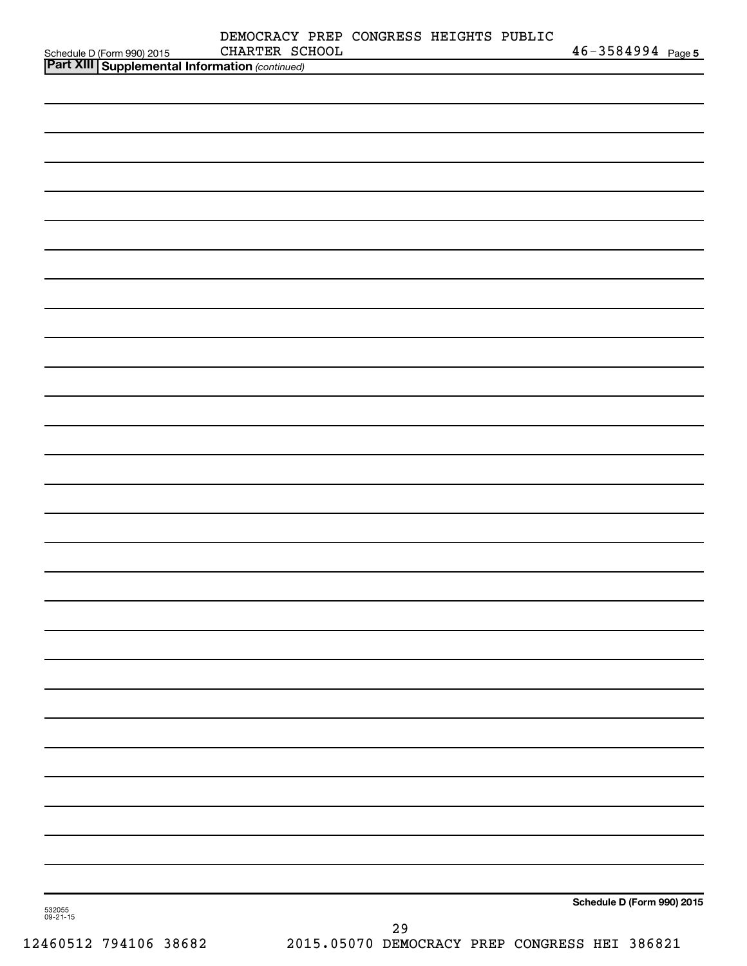| Schedule D (Form 990) 2015 CHARTER SC<br><b>Part XIII   Supplemental Information</b> (continued) | DEMOCRACY PREP CONGRESS HEIGHTS PUBLIC<br>CHARTER SCHOOL |        | $46 - 3584994$ Page 5      |
|--------------------------------------------------------------------------------------------------|----------------------------------------------------------|--------|----------------------------|
|                                                                                                  |                                                          |        |                            |
|                                                                                                  |                                                          |        |                            |
|                                                                                                  |                                                          |        |                            |
|                                                                                                  |                                                          |        |                            |
|                                                                                                  |                                                          |        |                            |
|                                                                                                  |                                                          |        |                            |
|                                                                                                  |                                                          |        |                            |
|                                                                                                  |                                                          |        |                            |
|                                                                                                  |                                                          |        |                            |
|                                                                                                  |                                                          |        |                            |
|                                                                                                  |                                                          |        |                            |
|                                                                                                  |                                                          |        |                            |
|                                                                                                  |                                                          |        |                            |
|                                                                                                  |                                                          |        |                            |
|                                                                                                  |                                                          |        |                            |
|                                                                                                  |                                                          |        |                            |
|                                                                                                  |                                                          |        |                            |
|                                                                                                  |                                                          |        |                            |
|                                                                                                  |                                                          |        |                            |
|                                                                                                  |                                                          |        |                            |
|                                                                                                  |                                                          |        |                            |
|                                                                                                  |                                                          |        |                            |
|                                                                                                  |                                                          |        |                            |
|                                                                                                  |                                                          |        |                            |
|                                                                                                  |                                                          |        |                            |
|                                                                                                  |                                                          |        |                            |
|                                                                                                  |                                                          |        |                            |
|                                                                                                  |                                                          |        |                            |
|                                                                                                  |                                                          |        |                            |
|                                                                                                  |                                                          |        |                            |
|                                                                                                  |                                                          |        |                            |
|                                                                                                  |                                                          |        |                            |
|                                                                                                  |                                                          |        |                            |
| 532055<br>09-21-15                                                                               |                                                          |        | Schedule D (Form 990) 2015 |
|                                                                                                  |                                                          | $\sim$ |                            |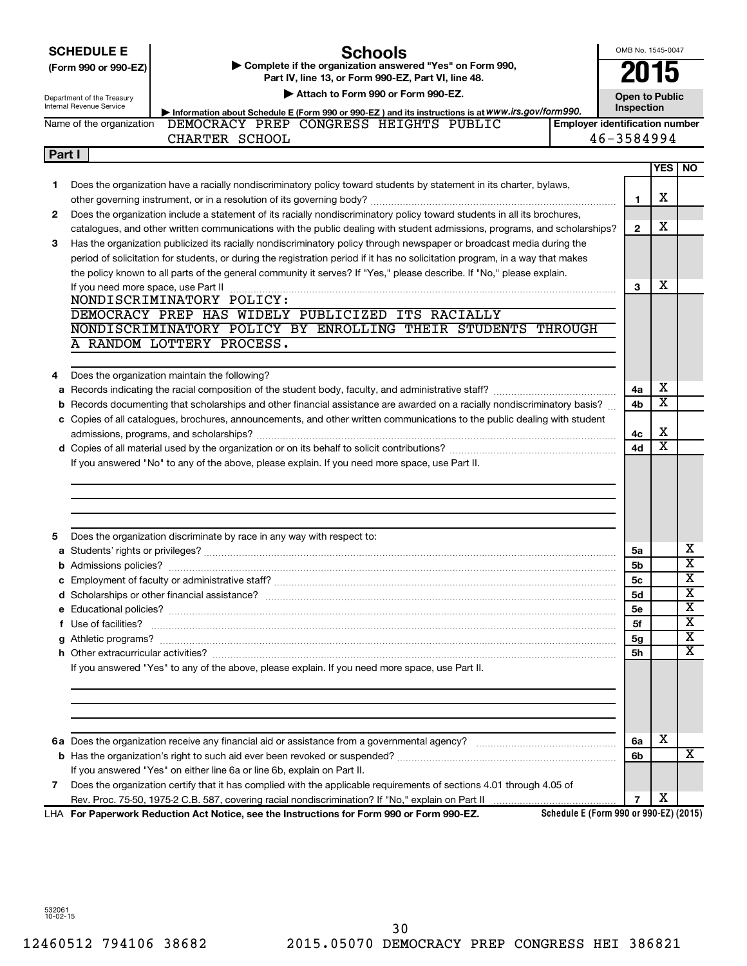| <b>SCHEDULE E</b><br>(Form 990 or 990-EZ)<br>Department of the Treasury<br>Internal Revenue Service<br>Name of the organization |                                     | <b>Schools</b><br>Complete if the organization answered "Yes" on Form 990,<br>Part IV, line 13, or Form 990-EZ, Part VI, line 48.<br>Attach to Form 990 or Form 990-EZ.                                              | OMB No. 1545-0047<br><b>Open to Public</b><br>Inspection |                |                       |                              |
|---------------------------------------------------------------------------------------------------------------------------------|-------------------------------------|----------------------------------------------------------------------------------------------------------------------------------------------------------------------------------------------------------------------|----------------------------------------------------------|----------------|-----------------------|------------------------------|
|                                                                                                                                 |                                     | Information about Schedule E (Form 990 or 990-EZ) and its instructions is at WWW.irs.gov/form990.<br>DEMOCRACY PREP CONGRESS HEIGHTS PUBLIC<br><b>Employer identification number</b><br>46-3584994<br>CHARTER SCHOOL |                                                          |                |                       |                              |
| Part I                                                                                                                          |                                     |                                                                                                                                                                                                                      |                                                          |                |                       |                              |
|                                                                                                                                 |                                     |                                                                                                                                                                                                                      |                                                          |                | <b>YES</b>            | <b>NO</b>                    |
| 1.                                                                                                                              |                                     | Does the organization have a racially nondiscriminatory policy toward students by statement in its charter, bylaws,                                                                                                  |                                                          | 1              | х                     |                              |
| 2                                                                                                                               |                                     | Does the organization include a statement of its racially nondiscriminatory policy toward students in all its brochures,                                                                                             |                                                          |                |                       |                              |
|                                                                                                                                 |                                     | catalogues, and other written communications with the public dealing with student admissions, programs, and scholarships?                                                                                            |                                                          | 2              | x                     |                              |
| 3                                                                                                                               |                                     | Has the organization publicized its racially nondiscriminatory policy through newspaper or broadcast media during the                                                                                                |                                                          |                |                       |                              |
|                                                                                                                                 |                                     | period of solicitation for students, or during the registration period if it has no solicitation program, in a way that makes                                                                                        |                                                          |                |                       |                              |
|                                                                                                                                 |                                     | the policy known to all parts of the general community it serves? If "Yes," please describe. If "No," please explain.                                                                                                |                                                          |                |                       |                              |
|                                                                                                                                 | If you need more space, use Part II |                                                                                                                                                                                                                      |                                                          | 3              | х                     |                              |
|                                                                                                                                 |                                     | NONDISCRIMINATORY POLICY:<br>DEMOCRACY PREP HAS WIDELY PUBLICIZED ITS RACIALLY                                                                                                                                       |                                                          |                |                       |                              |
|                                                                                                                                 |                                     | NONDISCRIMINATORY POLICY BY ENROLLING THEIR STUDENTS THROUGH                                                                                                                                                         |                                                          |                |                       |                              |
|                                                                                                                                 |                                     | A RANDOM LOTTERY PROCESS.                                                                                                                                                                                            |                                                          |                |                       |                              |
|                                                                                                                                 |                                     |                                                                                                                                                                                                                      |                                                          |                |                       |                              |
| 4                                                                                                                               |                                     | Does the organization maintain the following?                                                                                                                                                                        |                                                          |                |                       |                              |
|                                                                                                                                 |                                     |                                                                                                                                                                                                                      |                                                          | 4a             | х                     |                              |
|                                                                                                                                 |                                     | <b>b</b> Records documenting that scholarships and other financial assistance are awarded on a racially nondiscriminatory basis?                                                                                     |                                                          | 4b             | $\overline{\text{x}}$ |                              |
|                                                                                                                                 |                                     | c Copies of all catalogues, brochures, announcements, and other written communications to the public dealing with student                                                                                            |                                                          |                |                       |                              |
|                                                                                                                                 |                                     |                                                                                                                                                                                                                      |                                                          | 4c             | х                     |                              |
|                                                                                                                                 |                                     |                                                                                                                                                                                                                      |                                                          | 4d             | $\overline{\text{x}}$ |                              |
|                                                                                                                                 |                                     | If you answered "No" to any of the above, please explain. If you need more space, use Part II.                                                                                                                       |                                                          |                |                       |                              |
|                                                                                                                                 |                                     |                                                                                                                                                                                                                      |                                                          |                |                       |                              |
|                                                                                                                                 |                                     |                                                                                                                                                                                                                      |                                                          |                |                       |                              |
|                                                                                                                                 |                                     |                                                                                                                                                                                                                      |                                                          |                |                       |                              |
|                                                                                                                                 |                                     |                                                                                                                                                                                                                      |                                                          |                |                       |                              |
|                                                                                                                                 |                                     | Does the organization discriminate by race in any way with respect to:                                                                                                                                               |                                                          |                |                       |                              |
|                                                                                                                                 |                                     |                                                                                                                                                                                                                      |                                                          | 5a             |                       | x<br>$\overline{\mathbf{X}}$ |
|                                                                                                                                 |                                     |                                                                                                                                                                                                                      |                                                          | 5b<br>5c       |                       | $\overline{\text{x}}$        |
|                                                                                                                                 |                                     | c Employment of faculty or administrative staff?                                                                                                                                                                     |                                                          | <b>5d</b>      |                       | х                            |
|                                                                                                                                 |                                     |                                                                                                                                                                                                                      |                                                          | 5е             |                       | $\overline{\mathbf{X}}$      |
|                                                                                                                                 | f Use of facilities?                |                                                                                                                                                                                                                      |                                                          | 5f             |                       | $\overline{\mathbf{X}}$      |
|                                                                                                                                 |                                     |                                                                                                                                                                                                                      |                                                          | 5g             |                       | $\overline{\mathbf{X}}$      |
|                                                                                                                                 |                                     |                                                                                                                                                                                                                      |                                                          | 5h             |                       | х                            |
|                                                                                                                                 |                                     | If you answered "Yes" to any of the above, please explain. If you need more space, use Part II.                                                                                                                      |                                                          |                |                       |                              |
|                                                                                                                                 |                                     |                                                                                                                                                                                                                      |                                                          |                |                       |                              |
|                                                                                                                                 |                                     |                                                                                                                                                                                                                      |                                                          |                |                       |                              |
|                                                                                                                                 |                                     |                                                                                                                                                                                                                      |                                                          |                |                       |                              |
|                                                                                                                                 |                                     |                                                                                                                                                                                                                      |                                                          |                |                       |                              |
|                                                                                                                                 |                                     |                                                                                                                                                                                                                      |                                                          | 6a             | х                     |                              |
|                                                                                                                                 |                                     |                                                                                                                                                                                                                      |                                                          | 6b             |                       | X                            |
|                                                                                                                                 |                                     | If you answered "Yes" on either line 6a or line 6b, explain on Part II.                                                                                                                                              |                                                          |                |                       |                              |
| 7                                                                                                                               |                                     | Does the organization certify that it has complied with the applicable requirements of sections 4.01 through 4.05 of                                                                                                 |                                                          |                |                       |                              |
|                                                                                                                                 |                                     |                                                                                                                                                                                                                      |                                                          | $\overline{7}$ | х                     |                              |

**For Paperwork Reduction Act Notice, see the Instructions for Form 990 or Form 990-EZ.** LHA

**Schedule E (Form 990 or 990-EZ) (2015)**

532061 10-02-15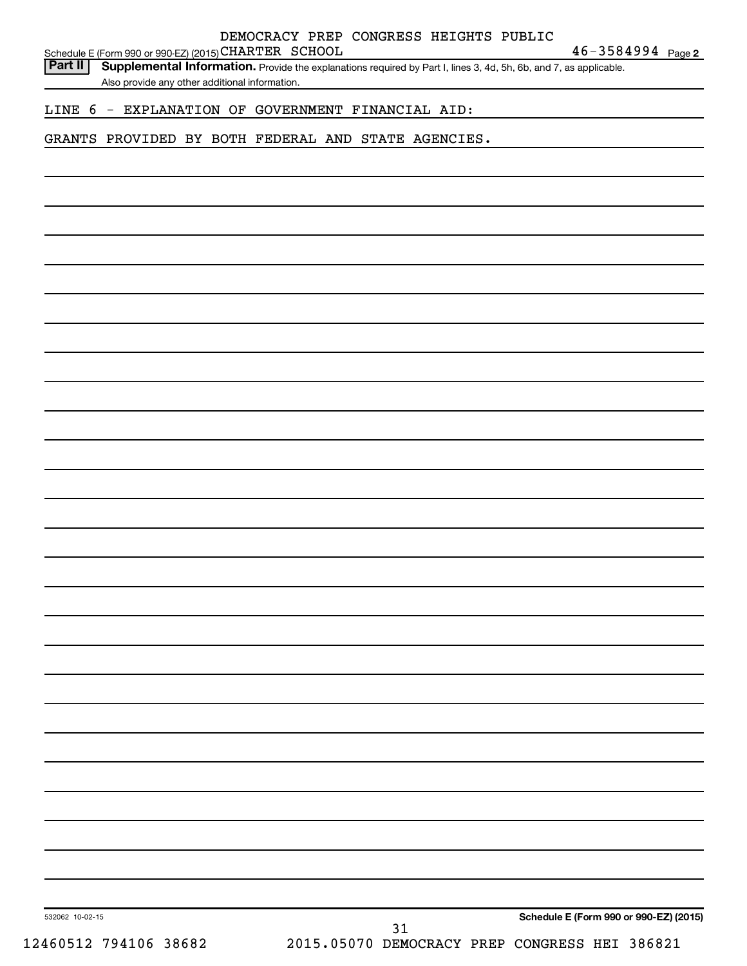| LINE 6 - EXPLANATION OF GOVERNMENT FINANCIAL AID:<br>GRANTS PROVIDED BY BOTH FEDERAL AND STATE AGENCIES.<br>Schedule E (Form 990 or 990-EZ) (2015)<br>532062 10-02-15 |  |  |  | 31 |  | 2015.05070 DEMOCRACY PREP CONGRESS HEI 386821 |  |
|-----------------------------------------------------------------------------------------------------------------------------------------------------------------------|--|--|--|----|--|-----------------------------------------------|--|
|                                                                                                                                                                       |  |  |  |    |  |                                               |  |
|                                                                                                                                                                       |  |  |  |    |  |                                               |  |
|                                                                                                                                                                       |  |  |  |    |  |                                               |  |
|                                                                                                                                                                       |  |  |  |    |  |                                               |  |
|                                                                                                                                                                       |  |  |  |    |  |                                               |  |
|                                                                                                                                                                       |  |  |  |    |  |                                               |  |
|                                                                                                                                                                       |  |  |  |    |  |                                               |  |
|                                                                                                                                                                       |  |  |  |    |  |                                               |  |
|                                                                                                                                                                       |  |  |  |    |  |                                               |  |
|                                                                                                                                                                       |  |  |  |    |  |                                               |  |
|                                                                                                                                                                       |  |  |  |    |  |                                               |  |
|                                                                                                                                                                       |  |  |  |    |  |                                               |  |
|                                                                                                                                                                       |  |  |  |    |  |                                               |  |
|                                                                                                                                                                       |  |  |  |    |  |                                               |  |
|                                                                                                                                                                       |  |  |  |    |  |                                               |  |
|                                                                                                                                                                       |  |  |  |    |  |                                               |  |
|                                                                                                                                                                       |  |  |  |    |  |                                               |  |
|                                                                                                                                                                       |  |  |  |    |  |                                               |  |
|                                                                                                                                                                       |  |  |  |    |  |                                               |  |
|                                                                                                                                                                       |  |  |  |    |  |                                               |  |
|                                                                                                                                                                       |  |  |  |    |  |                                               |  |
|                                                                                                                                                                       |  |  |  |    |  |                                               |  |
|                                                                                                                                                                       |  |  |  |    |  |                                               |  |
|                                                                                                                                                                       |  |  |  |    |  |                                               |  |
|                                                                                                                                                                       |  |  |  |    |  |                                               |  |
|                                                                                                                                                                       |  |  |  |    |  |                                               |  |
|                                                                                                                                                                       |  |  |  |    |  |                                               |  |
|                                                                                                                                                                       |  |  |  |    |  |                                               |  |
| Also provide any other additional information.                                                                                                                        |  |  |  |    |  |                                               |  |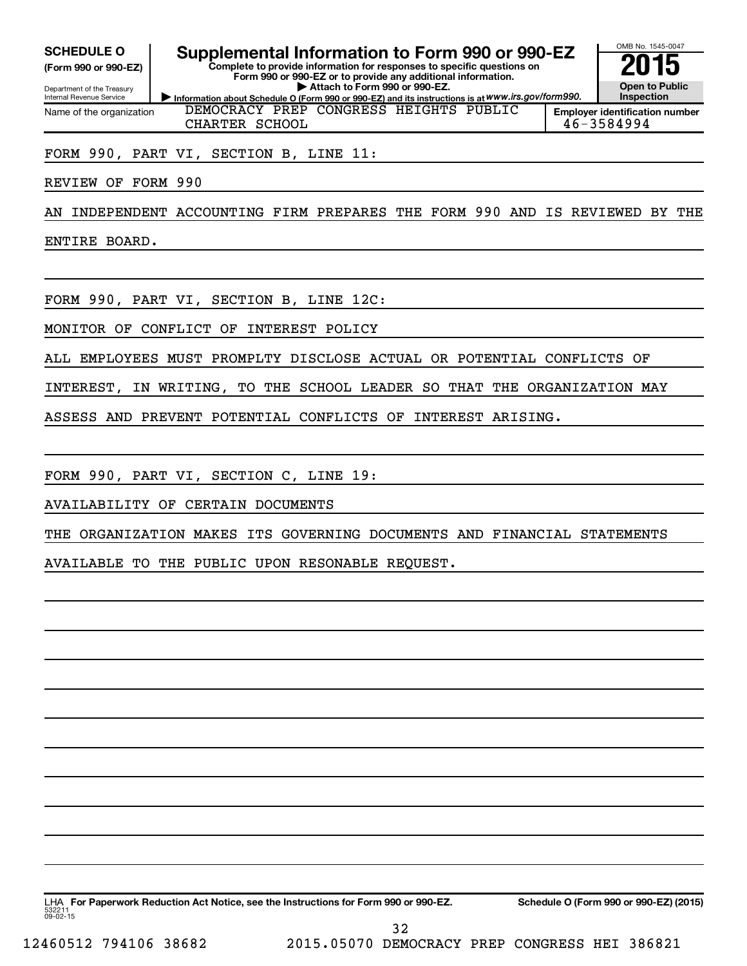**(Form 990 or 990-EZ)**

Department of the Treasury Internal Revenue Service Name of the organization

**Complete to provide information for responses to specific questions on Form 990 or 990-EZ or to provide any additional information. | Attach to Form 990 or 990-EZ. SCHEDULE O Supplemental Information to Form 990 or 990-EZ 2015**<br>(Form 990 or 990-EZ) Complete to provide information for responses to specific questions on



**Information about Schedule O (Form 990 or 990-EZ) and its instructions is at WWW.irs.gov/form990. Employer identification number** DEMOCRACY PREP CONGRESS HEIGHTS PUBLIC CHARTER SCHOOL 46-3584994

FORM 990, PART VI, SECTION B, LINE 11:

REVIEW OF FORM 990

AN INDEPENDENT ACCOUNTING FIRM PREPARES THE FORM 990 AND IS REVIEWED BY THE

ENTIRE BOARD.

FORM 990, PART VI, SECTION B, LINE 12C:

MONITOR OF CONFLICT OF INTEREST POLICY

ALL EMPLOYEES MUST PROMPLTY DISCLOSE ACTUAL OR POTENTIAL CONFLICTS OF

INTEREST, IN WRITING, TO THE SCHOOL LEADER SO THAT THE ORGANIZATION MAY

ASSESS AND PREVENT POTENTIAL CONFLICTS OF INTEREST ARISING.

FORM 990, PART VI, SECTION C, LINE 19:

AVAILABILITY OF CERTAIN DOCUMENTS

THE ORGANIZATION MAKES ITS GOVERNING DOCUMENTS AND FINANCIAL STATEMENTS

AVAILABLE TO THE PUBLIC UPON RESONABLE REQUEST.

53221  $09 - 02 - 15$ LHA For Paperwork Reduction Act Notice, see the Instructions for Form 990 or 990-EZ. Schedule O (Form 990 or 990-EZ) (2015) 32